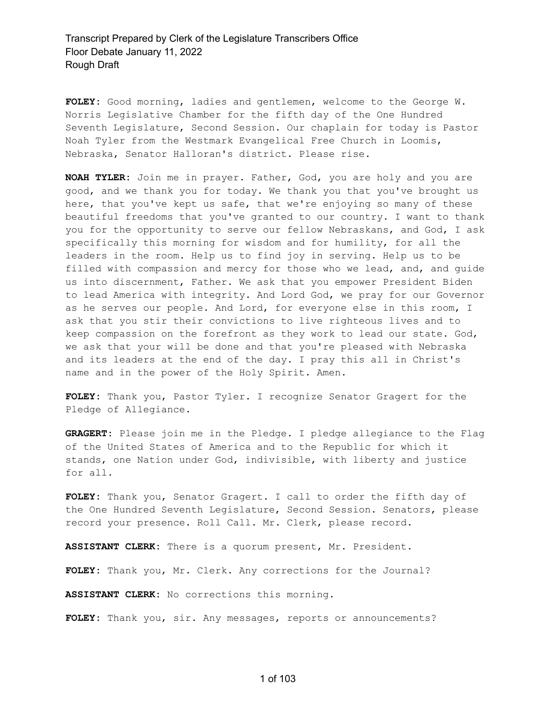**FOLEY:** Good morning, ladies and gentlemen, welcome to the George W. Norris Legislative Chamber for the fifth day of the One Hundred Seventh Legislature, Second Session. Our chaplain for today is Pastor Noah Tyler from the Westmark Evangelical Free Church in Loomis, Nebraska, Senator Halloran's district. Please rise.

**NOAH TYLER:** Join me in prayer. Father, God, you are holy and you are good, and we thank you for today. We thank you that you've brought us here, that you've kept us safe, that we're enjoying so many of these beautiful freedoms that you've granted to our country. I want to thank you for the opportunity to serve our fellow Nebraskans, and God, I ask specifically this morning for wisdom and for humility, for all the leaders in the room. Help us to find joy in serving. Help us to be filled with compassion and mercy for those who we lead, and, and guide us into discernment, Father. We ask that you empower President Biden to lead America with integrity. And Lord God, we pray for our Governor as he serves our people. And Lord, for everyone else in this room, I ask that you stir their convictions to live righteous lives and to keep compassion on the forefront as they work to lead our state. God, we ask that your will be done and that you're pleased with Nebraska and its leaders at the end of the day. I pray this all in Christ's name and in the power of the Holy Spirit. Amen.

**FOLEY:** Thank you, Pastor Tyler. I recognize Senator Gragert for the Pledge of Allegiance.

**GRAGERT:** Please join me in the Pledge. I pledge allegiance to the Flag of the United States of America and to the Republic for which it stands, one Nation under God, indivisible, with liberty and justice for all.

**FOLEY:** Thank you, Senator Gragert. I call to order the fifth day of the One Hundred Seventh Legislature, Second Session. Senators, please record your presence. Roll Call. Mr. Clerk, please record.

**ASSISTANT CLERK:** There is a quorum present, Mr. President.

**FOLEY:** Thank you, Mr. Clerk. Any corrections for the Journal?

**ASSISTANT CLERK:** No corrections this morning.

**FOLEY:** Thank you, sir. Any messages, reports or announcements?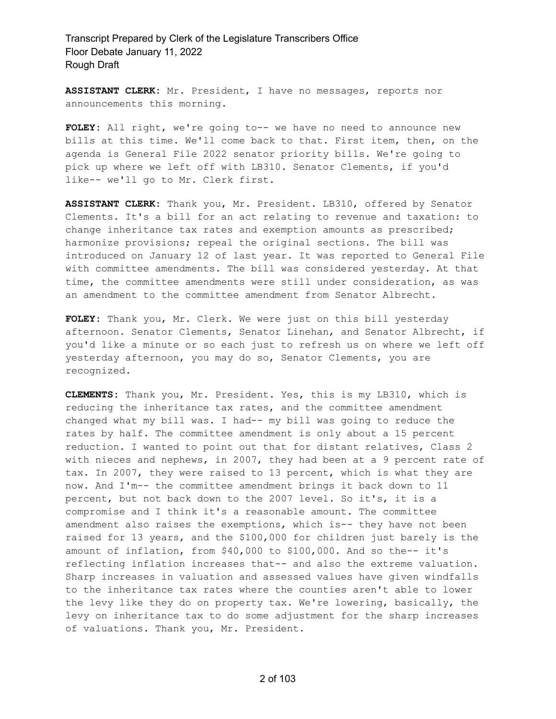**ASSISTANT CLERK:** Mr. President, I have no messages, reports nor announcements this morning.

**FOLEY:** All right, we're going to-- we have no need to announce new bills at this time. We'll come back to that. First item, then, on the agenda is General File 2022 senator priority bills. We're going to pick up where we left off with LB310. Senator Clements, if you'd like-- we'll go to Mr. Clerk first.

**ASSISTANT CLERK:** Thank you, Mr. President. LB310, offered by Senator Clements. It's a bill for an act relating to revenue and taxation: to change inheritance tax rates and exemption amounts as prescribed; harmonize provisions; repeal the original sections. The bill was introduced on January 12 of last year. It was reported to General File with committee amendments. The bill was considered yesterday. At that time, the committee amendments were still under consideration, as was an amendment to the committee amendment from Senator Albrecht.

**FOLEY:** Thank you, Mr. Clerk. We were just on this bill yesterday afternoon. Senator Clements, Senator Linehan, and Senator Albrecht, if you'd like a minute or so each just to refresh us on where we left off yesterday afternoon, you may do so, Senator Clements, you are recognized.

**CLEMENTS:** Thank you, Mr. President. Yes, this is my LB310, which is reducing the inheritance tax rates, and the committee amendment changed what my bill was. I had-- my bill was going to reduce the rates by half. The committee amendment is only about a 15 percent reduction. I wanted to point out that for distant relatives, Class 2 with nieces and nephews, in 2007, they had been at a 9 percent rate of tax. In 2007, they were raised to 13 percent, which is what they are now. And I'm-- the committee amendment brings it back down to 11 percent, but not back down to the 2007 level. So it's, it is a compromise and I think it's a reasonable amount. The committee amendment also raises the exemptions, which is-- they have not been raised for 13 years, and the \$100,000 for children just barely is the amount of inflation, from \$40,000 to \$100,000. And so the-- it's reflecting inflation increases that-- and also the extreme valuation. Sharp increases in valuation and assessed values have given windfalls to the inheritance tax rates where the counties aren't able to lower the levy like they do on property tax. We're lowering, basically, the levy on inheritance tax to do some adjustment for the sharp increases of valuations. Thank you, Mr. President.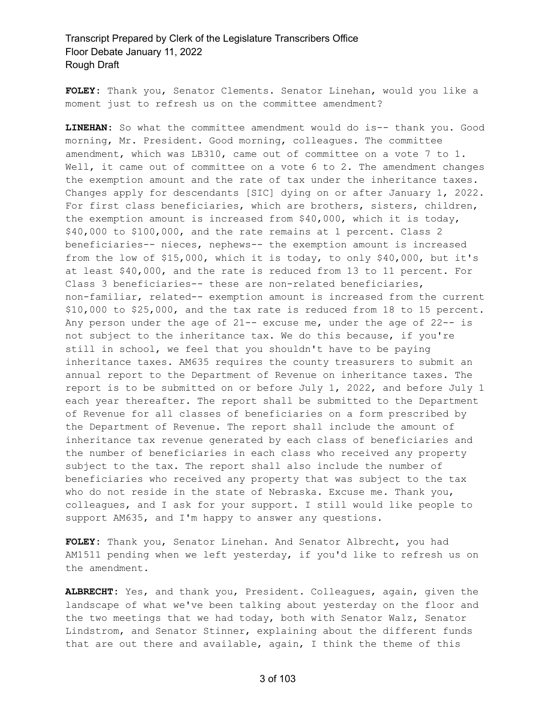**FOLEY:** Thank you, Senator Clements. Senator Linehan, would you like a moment just to refresh us on the committee amendment?

**LINEHAN:** So what the committee amendment would do is-- thank you. Good morning, Mr. President. Good morning, colleagues. The committee amendment, which was LB310, came out of committee on a vote 7 to 1. Well, it came out of committee on a vote 6 to 2. The amendment changes the exemption amount and the rate of tax under the inheritance taxes. Changes apply for descendants [SIC] dying on or after January 1, 2022. For first class beneficiaries, which are brothers, sisters, children, the exemption amount is increased from \$40,000, which it is today, \$40,000 to \$100,000, and the rate remains at 1 percent. Class 2 beneficiaries-- nieces, nephews-- the exemption amount is increased from the low of \$15,000, which it is today, to only \$40,000, but it's at least \$40,000, and the rate is reduced from 13 to 11 percent. For Class 3 beneficiaries-- these are non-related beneficiaries, non-familiar, related-- exemption amount is increased from the current \$10,000 to \$25,000, and the tax rate is reduced from 18 to 15 percent. Any person under the age of  $21--$  excuse me, under the age of  $22--$  is not subject to the inheritance tax. We do this because, if you're still in school, we feel that you shouldn't have to be paying inheritance taxes. AM635 requires the county treasurers to submit an annual report to the Department of Revenue on inheritance taxes. The report is to be submitted on or before July 1, 2022, and before July 1 each year thereafter. The report shall be submitted to the Department of Revenue for all classes of beneficiaries on a form prescribed by the Department of Revenue. The report shall include the amount of inheritance tax revenue generated by each class of beneficiaries and the number of beneficiaries in each class who received any property subject to the tax. The report shall also include the number of beneficiaries who received any property that was subject to the tax who do not reside in the state of Nebraska. Excuse me. Thank you, colleagues, and I ask for your support. I still would like people to support AM635, and I'm happy to answer any questions.

**FOLEY:** Thank you, Senator Linehan. And Senator Albrecht, you had AM1511 pending when we left yesterday, if you'd like to refresh us on the amendment.

**ALBRECHT:** Yes, and thank you, President. Colleagues, again, given the landscape of what we've been talking about yesterday on the floor and the two meetings that we had today, both with Senator Walz, Senator Lindstrom, and Senator Stinner, explaining about the different funds that are out there and available, again, I think the theme of this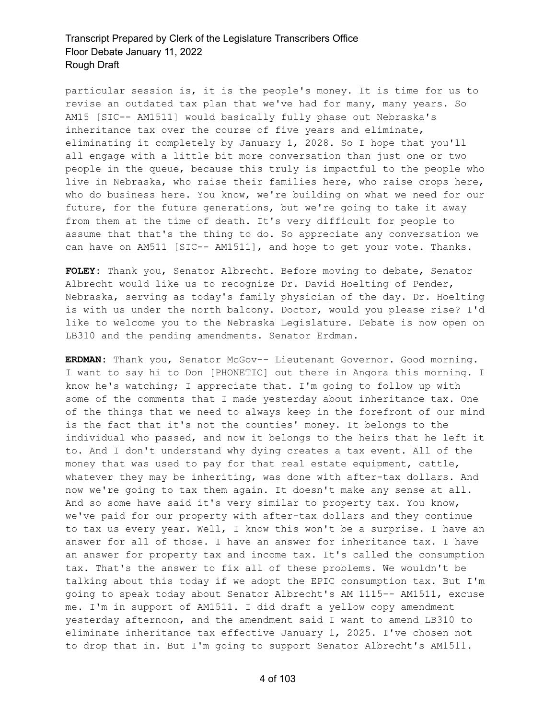particular session is, it is the people's money. It is time for us to revise an outdated tax plan that we've had for many, many years. So AM15 [SIC-- AM1511] would basically fully phase out Nebraska's inheritance tax over the course of five years and eliminate, eliminating it completely by January 1, 2028. So I hope that you'll all engage with a little bit more conversation than just one or two people in the queue, because this truly is impactful to the people who live in Nebraska, who raise their families here, who raise crops here, who do business here. You know, we're building on what we need for our future, for the future generations, but we're going to take it away from them at the time of death. It's very difficult for people to assume that that's the thing to do. So appreciate any conversation we can have on AM511 [SIC-- AM1511], and hope to get your vote. Thanks.

**FOLEY:** Thank you, Senator Albrecht. Before moving to debate, Senator Albrecht would like us to recognize Dr. David Hoelting of Pender, Nebraska, serving as today's family physician of the day. Dr. Hoelting is with us under the north balcony. Doctor, would you please rise? I'd like to welcome you to the Nebraska Legislature. Debate is now open on LB310 and the pending amendments. Senator Erdman.

**ERDMAN:** Thank you, Senator McGov-- Lieutenant Governor. Good morning. I want to say hi to Don [PHONETIC] out there in Angora this morning. I know he's watching; I appreciate that. I'm going to follow up with some of the comments that I made yesterday about inheritance tax. One of the things that we need to always keep in the forefront of our mind is the fact that it's not the counties' money. It belongs to the individual who passed, and now it belongs to the heirs that he left it to. And I don't understand why dying creates a tax event. All of the money that was used to pay for that real estate equipment, cattle, whatever they may be inheriting, was done with after-tax dollars. And now we're going to tax them again. It doesn't make any sense at all. And so some have said it's very similar to property tax. You know, we've paid for our property with after-tax dollars and they continue to tax us every year. Well, I know this won't be a surprise. I have an answer for all of those. I have an answer for inheritance tax. I have an answer for property tax and income tax. It's called the consumption tax. That's the answer to fix all of these problems. We wouldn't be talking about this today if we adopt the EPIC consumption tax. But I'm going to speak today about Senator Albrecht's AM 1115-- AM1511, excuse me. I'm in support of AM1511. I did draft a yellow copy amendment yesterday afternoon, and the amendment said I want to amend LB310 to eliminate inheritance tax effective January 1, 2025. I've chosen not to drop that in. But I'm going to support Senator Albrecht's AM1511.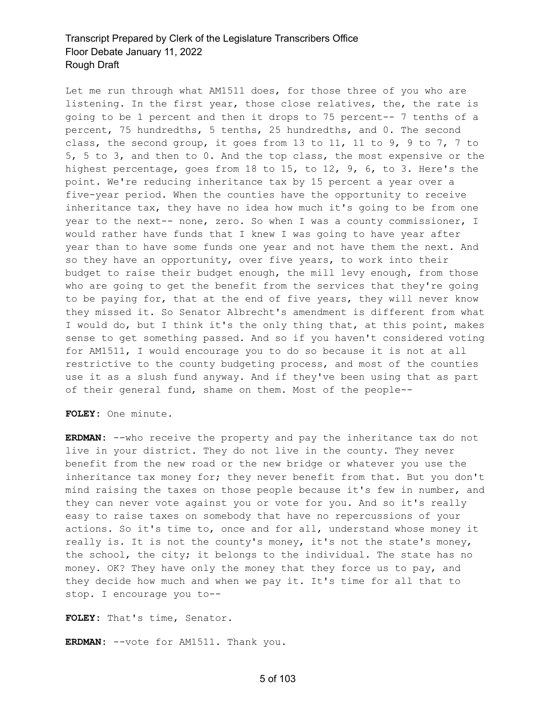Let me run through what AM1511 does, for those three of you who are listening. In the first year, those close relatives, the, the rate is going to be 1 percent and then it drops to 75 percent-- 7 tenths of a percent, 75 hundredths, 5 tenths, 25 hundredths, and 0. The second class, the second group, it goes from 13 to 11, 11 to 9, 9 to 7, 7 to 5, 5 to 3, and then to 0. And the top class, the most expensive or the highest percentage, goes from 18 to 15, to 12, 9, 6, to 3. Here's the point. We're reducing inheritance tax by 15 percent a year over a five-year period. When the counties have the opportunity to receive inheritance tax, they have no idea how much it's going to be from one year to the next-- none, zero. So when I was a county commissioner, I would rather have funds that I knew I was going to have year after year than to have some funds one year and not have them the next. And so they have an opportunity, over five years, to work into their budget to raise their budget enough, the mill levy enough, from those who are going to get the benefit from the services that they're going to be paying for, that at the end of five years, they will never know they missed it. So Senator Albrecht's amendment is different from what I would do, but I think it's the only thing that, at this point, makes sense to get something passed. And so if you haven't considered voting for AM1511, I would encourage you to do so because it is not at all restrictive to the county budgeting process, and most of the counties use it as a slush fund anyway. And if they've been using that as part of their general fund, shame on them. Most of the people--

**FOLEY:** One minute.

**ERDMAN:** --who receive the property and pay the inheritance tax do not live in your district. They do not live in the county. They never benefit from the new road or the new bridge or whatever you use the inheritance tax money for; they never benefit from that. But you don't mind raising the taxes on those people because it's few in number, and they can never vote against you or vote for you. And so it's really easy to raise taxes on somebody that have no repercussions of your actions. So it's time to, once and for all, understand whose money it really is. It is not the county's money, it's not the state's money, the school, the city; it belongs to the individual. The state has no money. OK? They have only the money that they force us to pay, and they decide how much and when we pay it. It's time for all that to stop. I encourage you to--

**FOLEY:** That's time, Senator.

**ERDMAN:** --vote for AM1511. Thank you.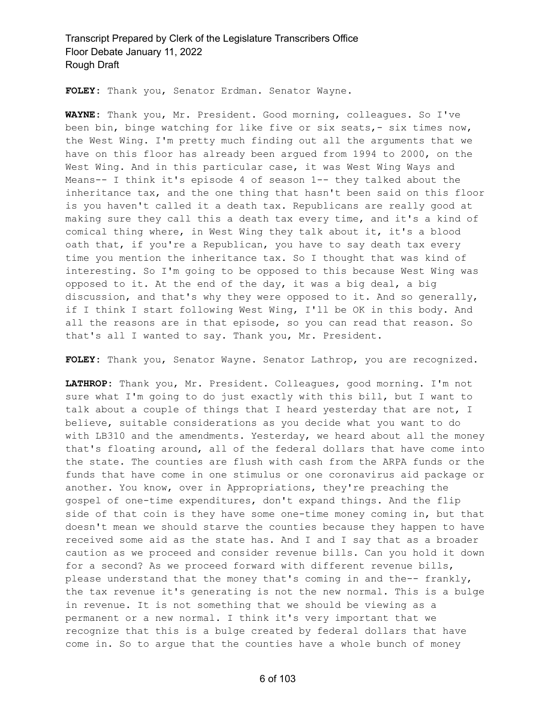**FOLEY:** Thank you, Senator Erdman. Senator Wayne.

**WAYNE:** Thank you, Mr. President. Good morning, colleagues. So I've been bin, binge watching for like five or six seats,- six times now, the West Wing. I'm pretty much finding out all the arguments that we have on this floor has already been argued from 1994 to 2000, on the West Wing. And in this particular case, it was West Wing Ways and Means-- I think it's episode 4 of season 1-- they talked about the inheritance tax, and the one thing that hasn't been said on this floor is you haven't called it a death tax. Republicans are really good at making sure they call this a death tax every time, and it's a kind of comical thing where, in West Wing they talk about it, it's a blood oath that, if you're a Republican, you have to say death tax every time you mention the inheritance tax. So I thought that was kind of interesting. So I'm going to be opposed to this because West Wing was opposed to it. At the end of the day, it was a big deal, a big discussion, and that's why they were opposed to it. And so generally, if I think I start following West Wing, I'll be OK in this body. And all the reasons are in that episode, so you can read that reason. So that's all I wanted to say. Thank you, Mr. President.

**FOLEY:** Thank you, Senator Wayne. Senator Lathrop, you are recognized.

**LATHROP:** Thank you, Mr. President. Colleagues, good morning. I'm not sure what I'm going to do just exactly with this bill, but I want to talk about a couple of things that I heard yesterday that are not, I believe, suitable considerations as you decide what you want to do with LB310 and the amendments. Yesterday, we heard about all the money that's floating around, all of the federal dollars that have come into the state. The counties are flush with cash from the ARPA funds or the funds that have come in one stimulus or one coronavirus aid package or another. You know, over in Appropriations, they're preaching the gospel of one-time expenditures, don't expand things. And the flip side of that coin is they have some one-time money coming in, but that doesn't mean we should starve the counties because they happen to have received some aid as the state has. And I and I say that as a broader caution as we proceed and consider revenue bills. Can you hold it down for a second? As we proceed forward with different revenue bills, please understand that the money that's coming in and the-- frankly, the tax revenue it's generating is not the new normal. This is a bulge in revenue. It is not something that we should be viewing as a permanent or a new normal. I think it's very important that we recognize that this is a bulge created by federal dollars that have come in. So to argue that the counties have a whole bunch of money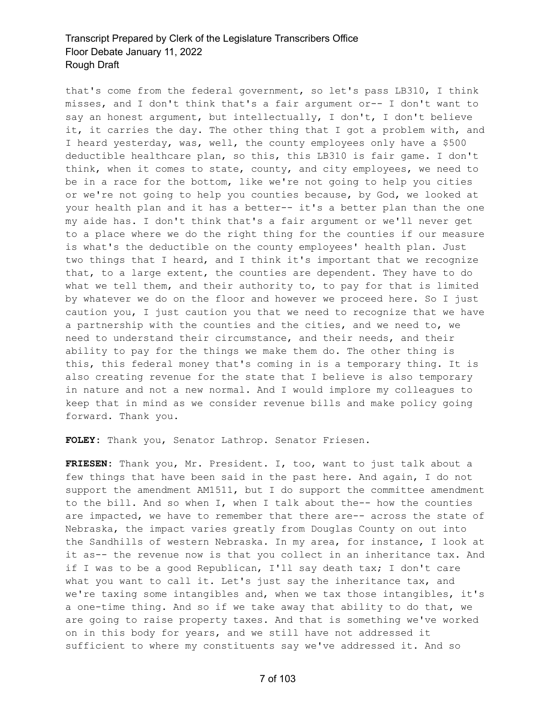that's come from the federal government, so let's pass LB310, I think misses, and I don't think that's a fair argument or-- I don't want to say an honest argument, but intellectually, I don't, I don't believe it, it carries the day. The other thing that I got a problem with, and I heard yesterday, was, well, the county employees only have a \$500 deductible healthcare plan, so this, this LB310 is fair game. I don't think, when it comes to state, county, and city employees, we need to be in a race for the bottom, like we're not going to help you cities or we're not going to help you counties because, by God, we looked at your health plan and it has a better-- it's a better plan than the one my aide has. I don't think that's a fair argument or we'll never get to a place where we do the right thing for the counties if our measure is what's the deductible on the county employees' health plan. Just two things that I heard, and I think it's important that we recognize that, to a large extent, the counties are dependent. They have to do what we tell them, and their authority to, to pay for that is limited by whatever we do on the floor and however we proceed here. So I just caution you, I just caution you that we need to recognize that we have a partnership with the counties and the cities, and we need to, we need to understand their circumstance, and their needs, and their ability to pay for the things we make them do. The other thing is this, this federal money that's coming in is a temporary thing. It is also creating revenue for the state that I believe is also temporary in nature and not a new normal. And I would implore my colleagues to keep that in mind as we consider revenue bills and make policy going forward. Thank you.

**FOLEY:** Thank you, Senator Lathrop. Senator Friesen.

**FRIESEN:** Thank you, Mr. President. I, too, want to just talk about a few things that have been said in the past here. And again, I do not support the amendment AM1511, but I do support the committee amendment to the bill. And so when I, when I talk about the-- how the counties are impacted, we have to remember that there are-- across the state of Nebraska, the impact varies greatly from Douglas County on out into the Sandhills of western Nebraska. In my area, for instance, I look at it as-- the revenue now is that you collect in an inheritance tax. And if I was to be a good Republican, I'll say death tax; I don't care what you want to call it. Let's just say the inheritance tax, and we're taxing some intangibles and, when we tax those intangibles, it's a one-time thing. And so if we take away that ability to do that, we are going to raise property taxes. And that is something we've worked on in this body for years, and we still have not addressed it sufficient to where my constituents say we've addressed it. And so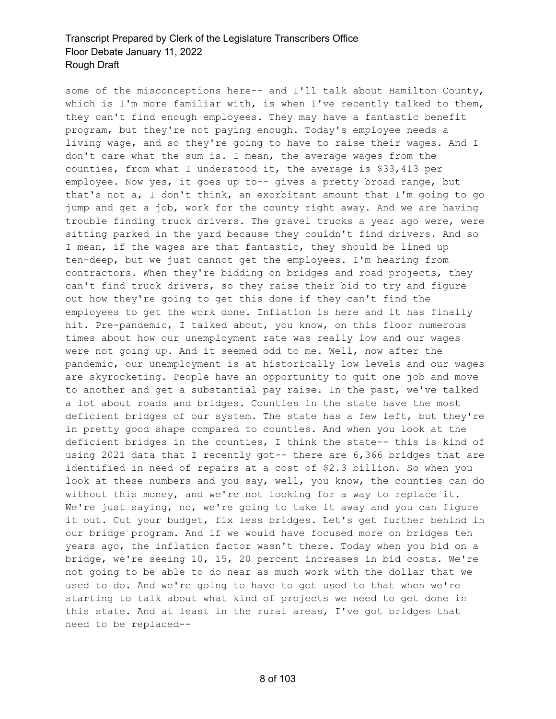some of the misconceptions here-- and I'll talk about Hamilton County, which is I'm more familiar with, is when I've recently talked to them, they can't find enough employees. They may have a fantastic benefit program, but they're not paying enough. Today's employee needs a living wage, and so they're going to have to raise their wages. And I don't care what the sum is. I mean, the average wages from the counties, from what I understood it, the average is \$33,413 per employee. Now yes, it goes up to-- gives a pretty broad range, but that's not a, I don't think, an exorbitant amount that I'm going to go jump and get a job, work for the county right away. And we are having trouble finding truck drivers. The gravel trucks a year ago were, were sitting parked in the yard because they couldn't find drivers. And so I mean, if the wages are that fantastic, they should be lined up ten-deep, but we just cannot get the employees. I'm hearing from contractors. When they're bidding on bridges and road projects, they can't find truck drivers, so they raise their bid to try and figure out how they're going to get this done if they can't find the employees to get the work done. Inflation is here and it has finally hit. Pre-pandemic, I talked about, you know, on this floor numerous times about how our unemployment rate was really low and our wages were not going up. And it seemed odd to me. Well, now after the pandemic, our unemployment is at historically low levels and our wages are skyrocketing. People have an opportunity to quit one job and move to another and get a substantial pay raise. In the past, we've talked a lot about roads and bridges. Counties in the state have the most deficient bridges of our system. The state has a few left, but they're in pretty good shape compared to counties. And when you look at the deficient bridges in the counties, I think the state-- this is kind of using 2021 data that I recently got-- there are 6,366 bridges that are identified in need of repairs at a cost of \$2.3 billion. So when you look at these numbers and you say, well, you know, the counties can do without this money, and we're not looking for a way to replace it. We're just saying, no, we're going to take it away and you can figure it out. Cut your budget, fix less bridges. Let's get further behind in our bridge program. And if we would have focused more on bridges ten years ago, the inflation factor wasn't there. Today when you bid on a bridge, we're seeing 10, 15, 20 percent increases in bid costs. We're not going to be able to do near as much work with the dollar that we used to do. And we're going to have to get used to that when we're starting to talk about what kind of projects we need to get done in this state. And at least in the rural areas, I've got bridges that need to be replaced--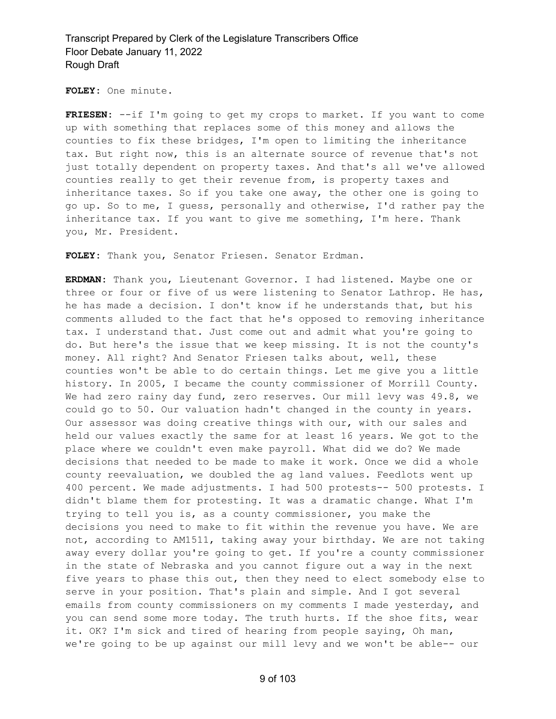**FOLEY:** One minute.

**FRIESEN:** --if I'm going to get my crops to market. If you want to come up with something that replaces some of this money and allows the counties to fix these bridges, I'm open to limiting the inheritance tax. But right now, this is an alternate source of revenue that's not just totally dependent on property taxes. And that's all we've allowed counties really to get their revenue from, is property taxes and inheritance taxes. So if you take one away, the other one is going to go up. So to me, I guess, personally and otherwise, I'd rather pay the inheritance tax. If you want to give me something, I'm here. Thank you, Mr. President.

**FOLEY:** Thank you, Senator Friesen. Senator Erdman.

**ERDMAN:** Thank you, Lieutenant Governor. I had listened. Maybe one or three or four or five of us were listening to Senator Lathrop. He has, he has made a decision. I don't know if he understands that, but his comments alluded to the fact that he's opposed to removing inheritance tax. I understand that. Just come out and admit what you're going to do. But here's the issue that we keep missing. It is not the county's money. All right? And Senator Friesen talks about, well, these counties won't be able to do certain things. Let me give you a little history. In 2005, I became the county commissioner of Morrill County. We had zero rainy day fund, zero reserves. Our mill levy was 49.8, we could go to 50. Our valuation hadn't changed in the county in years. Our assessor was doing creative things with our, with our sales and held our values exactly the same for at least 16 years. We got to the place where we couldn't even make payroll. What did we do? We made decisions that needed to be made to make it work. Once we did a whole county reevaluation, we doubled the ag land values. Feedlots went up 400 percent. We made adjustments. I had 500 protests-- 500 protests. I didn't blame them for protesting. It was a dramatic change. What I'm trying to tell you is, as a county commissioner, you make the decisions you need to make to fit within the revenue you have. We are not, according to AM1511, taking away your birthday. We are not taking away every dollar you're going to get. If you're a county commissioner in the state of Nebraska and you cannot figure out a way in the next five years to phase this out, then they need to elect somebody else to serve in your position. That's plain and simple. And I got several emails from county commissioners on my comments I made yesterday, and you can send some more today. The truth hurts. If the shoe fits, wear it. OK? I'm sick and tired of hearing from people saying, Oh man, we're going to be up against our mill levy and we won't be able-- our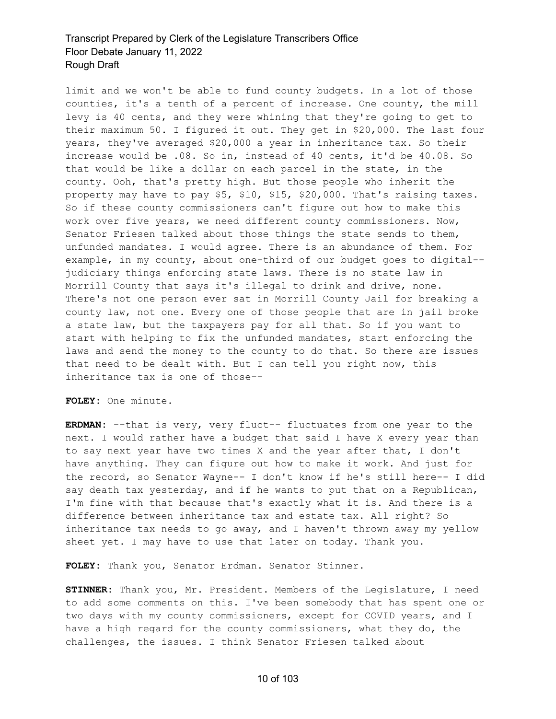limit and we won't be able to fund county budgets. In a lot of those counties, it's a tenth of a percent of increase. One county, the mill levy is 40 cents, and they were whining that they're going to get to their maximum 50. I figured it out. They get in \$20,000. The last four years, they've averaged \$20,000 a year in inheritance tax. So their increase would be .08. So in, instead of 40 cents, it'd be 40.08. So that would be like a dollar on each parcel in the state, in the county. Ooh, that's pretty high. But those people who inherit the property may have to pay \$5, \$10, \$15, \$20,000. That's raising taxes. So if these county commissioners can't figure out how to make this work over five years, we need different county commissioners. Now, Senator Friesen talked about those things the state sends to them, unfunded mandates. I would agree. There is an abundance of them. For example, in my county, about one-third of our budget goes to digital- judiciary things enforcing state laws. There is no state law in Morrill County that says it's illegal to drink and drive, none. There's not one person ever sat in Morrill County Jail for breaking a county law, not one. Every one of those people that are in jail broke a state law, but the taxpayers pay for all that. So if you want to start with helping to fix the unfunded mandates, start enforcing the laws and send the money to the county to do that. So there are issues that need to be dealt with. But I can tell you right now, this inheritance tax is one of those--

**FOLEY:** One minute.

**ERDMAN:** --that is very, very fluct-- fluctuates from one year to the next. I would rather have a budget that said I have X every year than to say next year have two times X and the year after that, I don't have anything. They can figure out how to make it work. And just for the record, so Senator Wayne-- I don't know if he's still here-- I did say death tax yesterday, and if he wants to put that on a Republican, I'm fine with that because that's exactly what it is. And there is a difference between inheritance tax and estate tax. All right? So inheritance tax needs to go away, and I haven't thrown away my yellow sheet yet. I may have to use that later on today. Thank you.

**FOLEY:** Thank you, Senator Erdman. Senator Stinner.

**STINNER:** Thank you, Mr. President. Members of the Legislature, I need to add some comments on this. I've been somebody that has spent one or two days with my county commissioners, except for COVID years, and I have a high regard for the county commissioners, what they do, the challenges, the issues. I think Senator Friesen talked about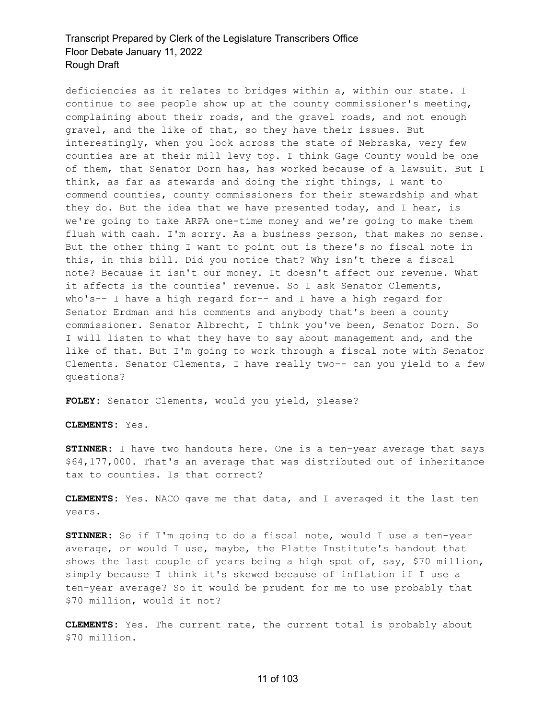deficiencies as it relates to bridges within a, within our state. I continue to see people show up at the county commissioner's meeting, complaining about their roads, and the gravel roads, and not enough gravel, and the like of that, so they have their issues. But interestingly, when you look across the state of Nebraska, very few counties are at their mill levy top. I think Gage County would be one of them, that Senator Dorn has, has worked because of a lawsuit. But I think, as far as stewards and doing the right things, I want to commend counties, county commissioners for their stewardship and what they do. But the idea that we have presented today, and I hear, is we're going to take ARPA one-time money and we're going to make them flush with cash. I'm sorry. As a business person, that makes no sense. But the other thing I want to point out is there's no fiscal note in this, in this bill. Did you notice that? Why isn't there a fiscal note? Because it isn't our money. It doesn't affect our revenue. What it affects is the counties' revenue. So I ask Senator Clements, who's-- I have a high regard for-- and I have a high regard for Senator Erdman and his comments and anybody that's been a county commissioner. Senator Albrecht, I think you've been, Senator Dorn. So I will listen to what they have to say about management and, and the like of that. But I'm going to work through a fiscal note with Senator Clements. Senator Clements, I have really two-- can you yield to a few questions?

FOLEY: Senator Clements, would you yield, please?

**CLEMENTS:** Yes.

**STINNER:** I have two handouts here. One is a ten-year average that says \$64,177,000. That's an average that was distributed out of inheritance tax to counties. Is that correct?

**CLEMENTS:** Yes. NACO gave me that data, and I averaged it the last ten years.

**STINNER:** So if I'm going to do a fiscal note, would I use a ten-year average, or would I use, maybe, the Platte Institute's handout that shows the last couple of years being a high spot of, say, \$70 million, simply because I think it's skewed because of inflation if I use a ten-year average? So it would be prudent for me to use probably that \$70 million, would it not?

**CLEMENTS:** Yes. The current rate, the current total is probably about \$70 million.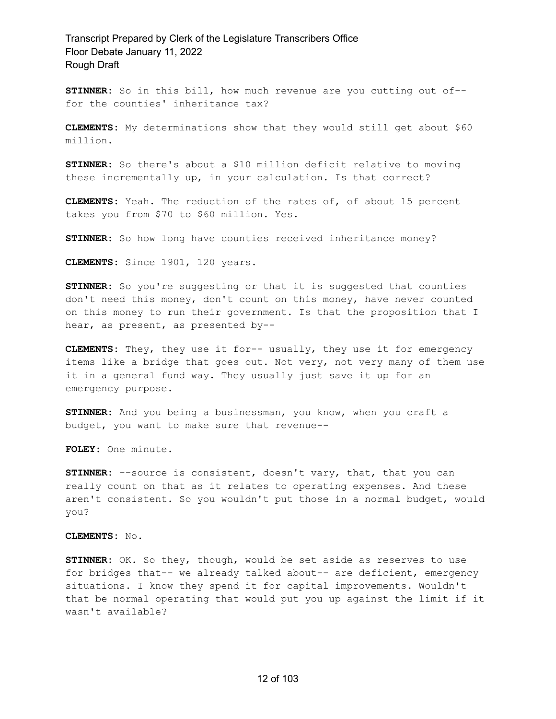**STINNER:** So in this bill, how much revenue are you cutting out of- for the counties' inheritance tax?

**CLEMENTS:** My determinations show that they would still get about \$60 million.

**STINNER:** So there's about a \$10 million deficit relative to moving these incrementally up, in your calculation. Is that correct?

**CLEMENTS:** Yeah. The reduction of the rates of, of about 15 percent takes you from \$70 to \$60 million. Yes.

**STINNER:** So how long have counties received inheritance money?

**CLEMENTS:** Since 1901, 120 years.

**STINNER:** So you're suggesting or that it is suggested that counties don't need this money, don't count on this money, have never counted on this money to run their government. Is that the proposition that I hear, as present, as presented by--

**CLEMENTS:** They, they use it for-- usually, they use it for emergency items like a bridge that goes out. Not very, not very many of them use it in a general fund way. They usually just save it up for an emergency purpose.

**STINNER:** And you being a businessman, you know, when you craft a budget, you want to make sure that revenue--

**FOLEY:** One minute.

**STINNER:** --source is consistent, doesn't vary, that, that you can really count on that as it relates to operating expenses. And these aren't consistent. So you wouldn't put those in a normal budget, would you?

**CLEMENTS:** No.

**STINNER:** OK. So they, though, would be set aside as reserves to use for bridges that-- we already talked about-- are deficient, emergency situations. I know they spend it for capital improvements. Wouldn't that be normal operating that would put you up against the limit if it wasn't available?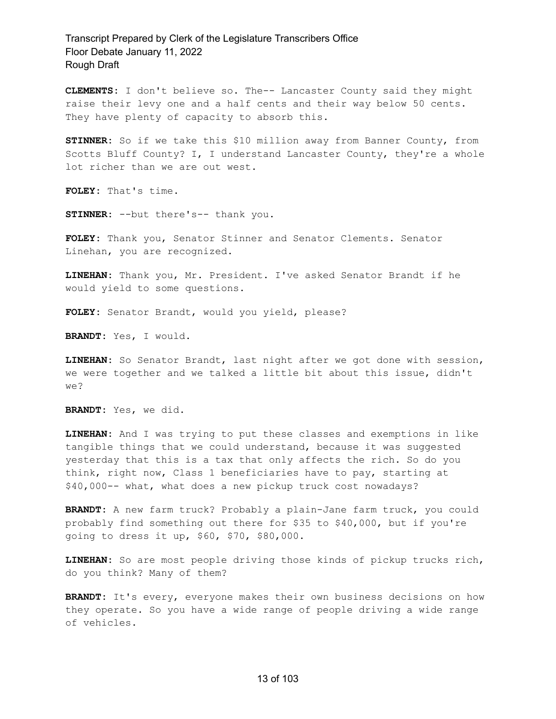**CLEMENTS:** I don't believe so. The-- Lancaster County said they might raise their levy one and a half cents and their way below 50 cents. They have plenty of capacity to absorb this.

**STINNER:** So if we take this \$10 million away from Banner County, from Scotts Bluff County? I, I understand Lancaster County, they're a whole lot richer than we are out west.

**FOLEY:** That's time.

**STINNER:** --but there's-- thank you.

**FOLEY:** Thank you, Senator Stinner and Senator Clements. Senator Linehan, you are recognized.

**LINEHAN:** Thank you, Mr. President. I've asked Senator Brandt if he would yield to some questions.

**FOLEY:** Senator Brandt, would you yield, please?

**BRANDT:** Yes, I would.

**LINEHAN:** So Senator Brandt, last night after we got done with session, we were together and we talked a little bit about this issue, didn't we?

**BRANDT:** Yes, we did.

**LINEHAN:** And I was trying to put these classes and exemptions in like tangible things that we could understand, because it was suggested yesterday that this is a tax that only affects the rich. So do you think, right now, Class 1 beneficiaries have to pay, starting at \$40,000-- what, what does a new pickup truck cost nowadays?

**BRANDT:** A new farm truck? Probably a plain-Jane farm truck, you could probably find something out there for \$35 to \$40,000, but if you're going to dress it up, \$60, \$70, \$80,000.

**LINEHAN:** So are most people driving those kinds of pickup trucks rich, do you think? Many of them?

**BRANDT:** It's every, everyone makes their own business decisions on how they operate. So you have a wide range of people driving a wide range of vehicles.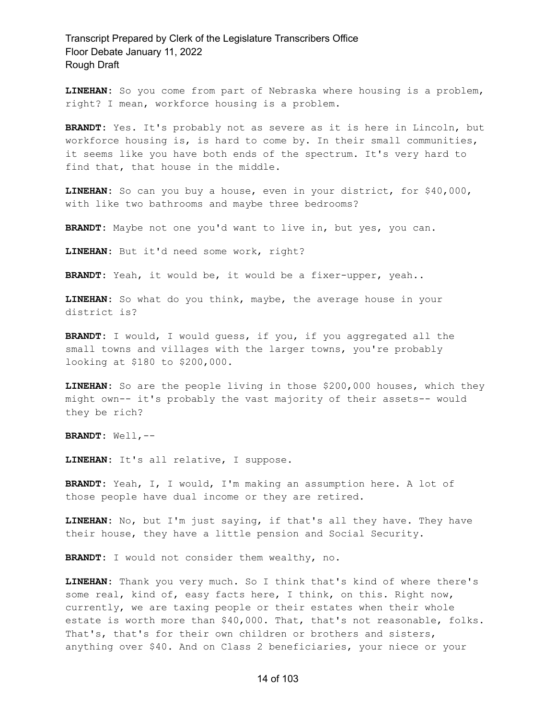**LINEHAN:** So you come from part of Nebraska where housing is a problem, right? I mean, workforce housing is a problem.

**BRANDT:** Yes. It's probably not as severe as it is here in Lincoln, but workforce housing is, is hard to come by. In their small communities, it seems like you have both ends of the spectrum. It's very hard to find that, that house in the middle.

**LINEHAN:** So can you buy a house, even in your district, for \$40,000, with like two bathrooms and maybe three bedrooms?

**BRANDT:** Maybe not one you'd want to live in, but yes, you can.

**LINEHAN:** But it'd need some work, right?

**BRANDT:** Yeah, it would be, it would be a fixer-upper, yeah..

**LINEHAN:** So what do you think, maybe, the average house in your district is?

**BRANDT:** I would, I would guess, if you, if you aggregated all the small towns and villages with the larger towns, you're probably looking at \$180 to \$200,000.

**LINEHAN:** So are the people living in those \$200,000 houses, which they might own-- it's probably the vast majority of their assets-- would they be rich?

**BRANDT:** Well,--

**LINEHAN:** It's all relative, I suppose.

**BRANDT:** Yeah, I, I would, I'm making an assumption here. A lot of those people have dual income or they are retired.

**LINEHAN:** No, but I'm just saying, if that's all they have. They have their house, they have a little pension and Social Security.

**BRANDT:** I would not consider them wealthy, no.

**LINEHAN:** Thank you very much. So I think that's kind of where there's some real, kind of, easy facts here, I think, on this. Right now, currently, we are taxing people or their estates when their whole estate is worth more than \$40,000. That, that's not reasonable, folks. That's, that's for their own children or brothers and sisters, anything over \$40. And on Class 2 beneficiaries, your niece or your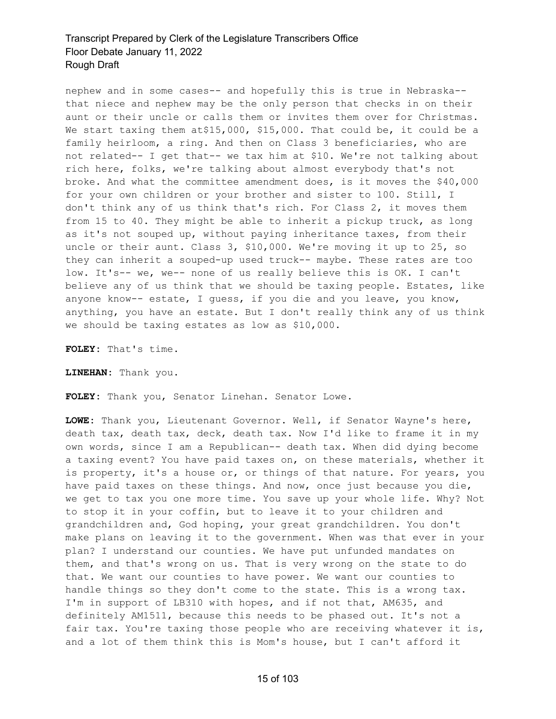nephew and in some cases-- and hopefully this is true in Nebraska- that niece and nephew may be the only person that checks in on their aunt or their uncle or calls them or invites them over for Christmas. We start taxing them at\$15,000, \$15,000. That could be, it could be a family heirloom, a ring. And then on Class 3 beneficiaries, who are not related-- I get that-- we tax him at \$10. We're not talking about rich here, folks, we're talking about almost everybody that's not broke. And what the committee amendment does, is it moves the \$40,000 for your own children or your brother and sister to 100. Still, I don't think any of us think that's rich. For Class 2, it moves them from 15 to 40. They might be able to inherit a pickup truck, as long as it's not souped up, without paying inheritance taxes, from their uncle or their aunt. Class 3, \$10,000. We're moving it up to 25, so they can inherit a souped-up used truck-- maybe. These rates are too low. It's-- we, we-- none of us really believe this is OK. I can't believe any of us think that we should be taxing people. Estates, like anyone know-- estate, I guess, if you die and you leave, you know, anything, you have an estate. But I don't really think any of us think we should be taxing estates as low as \$10,000.

**FOLEY:** That's time.

**LINEHAN:** Thank you.

**FOLEY:** Thank you, Senator Linehan. Senator Lowe.

**LOWE:** Thank you, Lieutenant Governor. Well, if Senator Wayne's here, death tax, death tax, deck, death tax. Now I'd like to frame it in my own words, since I am a Republican-- death tax. When did dying become a taxing event? You have paid taxes on, on these materials, whether it is property, it's a house or, or things of that nature. For years, you have paid taxes on these things. And now, once just because you die, we get to tax you one more time. You save up your whole life. Why? Not to stop it in your coffin, but to leave it to your children and grandchildren and, God hoping, your great grandchildren. You don't make plans on leaving it to the government. When was that ever in your plan? I understand our counties. We have put unfunded mandates on them, and that's wrong on us. That is very wrong on the state to do that. We want our counties to have power. We want our counties to handle things so they don't come to the state. This is a wrong tax. I'm in support of LB310 with hopes, and if not that, AM635, and definitely AM1511, because this needs to be phased out. It's not a fair tax. You're taxing those people who are receiving whatever it is, and a lot of them think this is Mom's house, but I can't afford it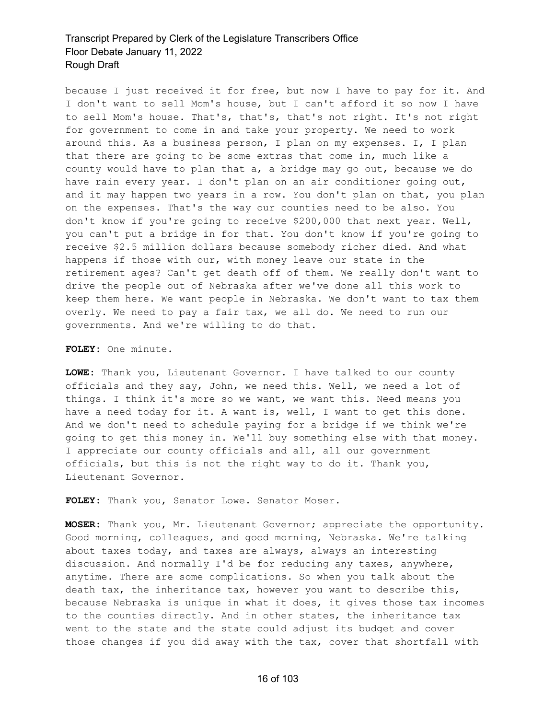because I just received it for free, but now I have to pay for it. And I don't want to sell Mom's house, but I can't afford it so now I have to sell Mom's house. That's, that's, that's not right. It's not right for government to come in and take your property. We need to work around this. As a business person, I plan on my expenses. I, I plan that there are going to be some extras that come in, much like a county would have to plan that a, a bridge may go out, because we do have rain every year. I don't plan on an air conditioner going out, and it may happen two years in a row. You don't plan on that, you plan on the expenses. That's the way our counties need to be also. You don't know if you're going to receive \$200,000 that next year. Well, you can't put a bridge in for that. You don't know if you're going to receive \$2.5 million dollars because somebody richer died. And what happens if those with our, with money leave our state in the retirement ages? Can't get death off of them. We really don't want to drive the people out of Nebraska after we've done all this work to keep them here. We want people in Nebraska. We don't want to tax them overly. We need to pay a fair tax, we all do. We need to run our governments. And we're willing to do that.

#### **FOLEY:** One minute.

**LOWE:** Thank you, Lieutenant Governor. I have talked to our county officials and they say, John, we need this. Well, we need a lot of things. I think it's more so we want, we want this. Need means you have a need today for it. A want is, well, I want to get this done. And we don't need to schedule paying for a bridge if we think we're going to get this money in. We'll buy something else with that money. I appreciate our county officials and all, all our government officials, but this is not the right way to do it. Thank you, Lieutenant Governor.

**FOLEY:** Thank you, Senator Lowe. Senator Moser.

**MOSER:** Thank you, Mr. Lieutenant Governor; appreciate the opportunity. Good morning, colleagues, and good morning, Nebraska. We're talking about taxes today, and taxes are always, always an interesting discussion. And normally I'd be for reducing any taxes, anywhere, anytime. There are some complications. So when you talk about the death tax, the inheritance tax, however you want to describe this, because Nebraska is unique in what it does, it gives those tax incomes to the counties directly. And in other states, the inheritance tax went to the state and the state could adjust its budget and cover those changes if you did away with the tax, cover that shortfall with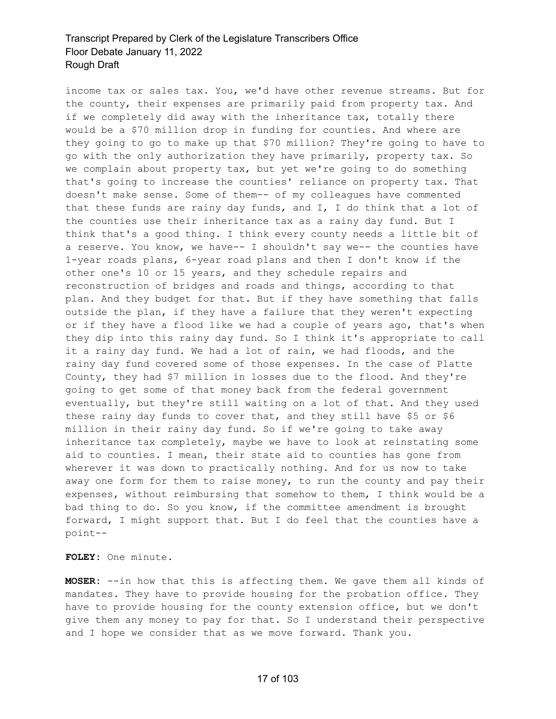income tax or sales tax. You, we'd have other revenue streams. But for the county, their expenses are primarily paid from property tax. And if we completely did away with the inheritance tax, totally there would be a \$70 million drop in funding for counties. And where are they going to go to make up that \$70 million? They're going to have to go with the only authorization they have primarily, property tax. So we complain about property tax, but yet we're going to do something that's going to increase the counties' reliance on property tax. That doesn't make sense. Some of them-- of my colleagues have commented that these funds are rainy day funds, and  $I$ ,  $I$  do think that a lot of the counties use their inheritance tax as a rainy day fund. But I think that's a good thing. I think every county needs a little bit of a reserve. You know, we have-- I shouldn't say we-- the counties have 1-year roads plans, 6-year road plans and then I don't know if the other one's 10 or 15 years, and they schedule repairs and reconstruction of bridges and roads and things, according to that plan. And they budget for that. But if they have something that falls outside the plan, if they have a failure that they weren't expecting or if they have a flood like we had a couple of years ago, that's when they dip into this rainy day fund. So I think it's appropriate to call it a rainy day fund. We had a lot of rain, we had floods, and the rainy day fund covered some of those expenses. In the case of Platte County, they had \$7 million in losses due to the flood. And they're going to get some of that money back from the federal government eventually, but they're still waiting on a lot of that. And they used these rainy day funds to cover that, and they still have \$5 or \$6 million in their rainy day fund. So if we're going to take away inheritance tax completely, maybe we have to look at reinstating some aid to counties. I mean, their state aid to counties has gone from wherever it was down to practically nothing. And for us now to take away one form for them to raise money, to run the county and pay their expenses, without reimbursing that somehow to them, I think would be a bad thing to do. So you know, if the committee amendment is brought forward, I might support that. But I do feel that the counties have a point--

**FOLEY:** One minute.

**MOSER:** --in how that this is affecting them. We gave them all kinds of mandates. They have to provide housing for the probation office. They have to provide housing for the county extension office, but we don't give them any money to pay for that. So I understand their perspective and I hope we consider that as we move forward. Thank you.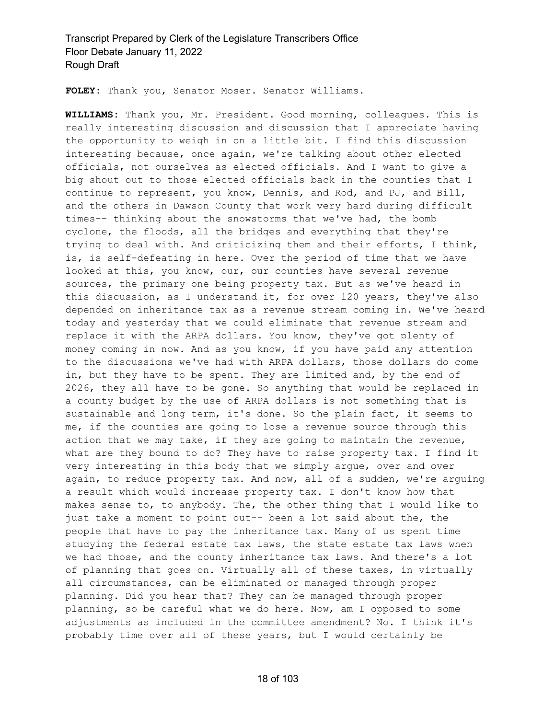**FOLEY:** Thank you, Senator Moser. Senator Williams.

**WILLIAMS:** Thank you, Mr. President. Good morning, colleagues. This is really interesting discussion and discussion that I appreciate having the opportunity to weigh in on a little bit. I find this discussion interesting because, once again, we're talking about other elected officials, not ourselves as elected officials. And I want to give a big shout out to those elected officials back in the counties that I continue to represent, you know, Dennis, and Rod, and PJ, and Bill, and the others in Dawson County that work very hard during difficult times-- thinking about the snowstorms that we've had, the bomb cyclone, the floods, all the bridges and everything that they're trying to deal with. And criticizing them and their efforts, I think, is, is self-defeating in here. Over the period of time that we have looked at this, you know, our, our counties have several revenue sources, the primary one being property tax. But as we've heard in this discussion, as I understand it, for over 120 years, they've also depended on inheritance tax as a revenue stream coming in. We've heard today and yesterday that we could eliminate that revenue stream and replace it with the ARPA dollars. You know, they've got plenty of money coming in now. And as you know, if you have paid any attention to the discussions we've had with ARPA dollars, those dollars do come in, but they have to be spent. They are limited and, by the end of 2026, they all have to be gone. So anything that would be replaced in a county budget by the use of ARPA dollars is not something that is sustainable and long term, it's done. So the plain fact, it seems to me, if the counties are going to lose a revenue source through this action that we may take, if they are going to maintain the revenue, what are they bound to do? They have to raise property tax. I find it very interesting in this body that we simply argue, over and over again, to reduce property tax. And now, all of a sudden, we're arguing a result which would increase property tax. I don't know how that makes sense to, to anybody. The, the other thing that I would like to just take a moment to point out-- been a lot said about the, the people that have to pay the inheritance tax. Many of us spent time studying the federal estate tax laws, the state estate tax laws when we had those, and the county inheritance tax laws. And there's a lot of planning that goes on. Virtually all of these taxes, in virtually all circumstances, can be eliminated or managed through proper planning. Did you hear that? They can be managed through proper planning, so be careful what we do here. Now, am I opposed to some adjustments as included in the committee amendment? No. I think it's probably time over all of these years, but I would certainly be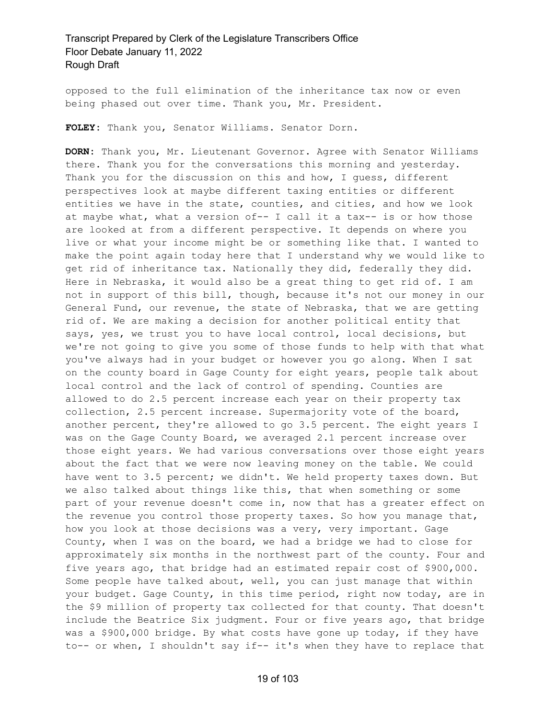opposed to the full elimination of the inheritance tax now or even being phased out over time. Thank you, Mr. President.

**FOLEY:** Thank you, Senator Williams. Senator Dorn.

**DORN:** Thank you, Mr. Lieutenant Governor. Agree with Senator Williams there. Thank you for the conversations this morning and yesterday. Thank you for the discussion on this and how, I guess, different perspectives look at maybe different taxing entities or different entities we have in the state, counties, and cities, and how we look at maybe what, what a version of-- I call it a tax-- is or how those are looked at from a different perspective. It depends on where you live or what your income might be or something like that. I wanted to make the point again today here that I understand why we would like to get rid of inheritance tax. Nationally they did, federally they did. Here in Nebraska, it would also be a great thing to get rid of. I am not in support of this bill, though, because it's not our money in our General Fund, our revenue, the state of Nebraska, that we are getting rid of. We are making a decision for another political entity that says, yes, we trust you to have local control, local decisions, but we're not going to give you some of those funds to help with that what you've always had in your budget or however you go along. When I sat on the county board in Gage County for eight years, people talk about local control and the lack of control of spending. Counties are allowed to do 2.5 percent increase each year on their property tax collection, 2.5 percent increase. Supermajority vote of the board, another percent, they're allowed to go 3.5 percent. The eight years I was on the Gage County Board, we averaged 2.1 percent increase over those eight years. We had various conversations over those eight years about the fact that we were now leaving money on the table. We could have went to 3.5 percent; we didn't. We held property taxes down. But we also talked about things like this, that when something or some part of your revenue doesn't come in, now that has a greater effect on the revenue you control those property taxes. So how you manage that, how you look at those decisions was a very, very important. Gage County, when I was on the board, we had a bridge we had to close for approximately six months in the northwest part of the county. Four and five years ago, that bridge had an estimated repair cost of \$900,000. Some people have talked about, well, you can just manage that within your budget. Gage County, in this time period, right now today, are in the \$9 million of property tax collected for that county. That doesn't include the Beatrice Six judgment. Four or five years ago, that bridge was a \$900,000 bridge. By what costs have gone up today, if they have to-- or when, I shouldn't say if-- it's when they have to replace that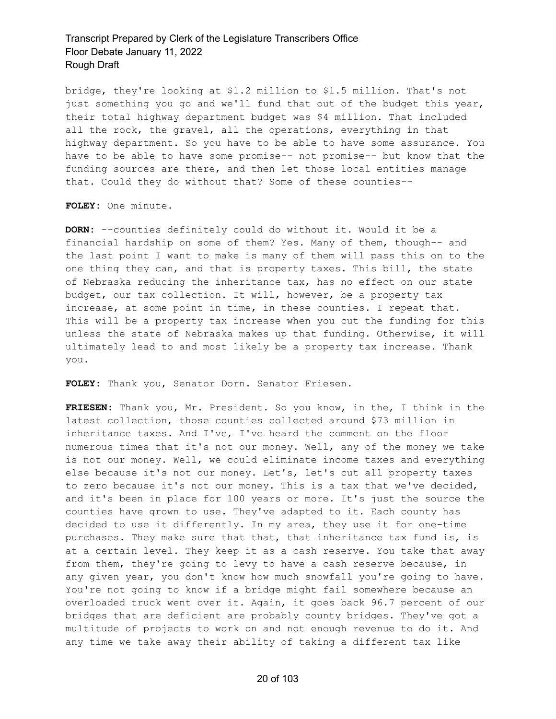bridge, they're looking at \$1.2 million to \$1.5 million. That's not just something you go and we'll fund that out of the budget this year, their total highway department budget was \$4 million. That included all the rock, the gravel, all the operations, everything in that highway department. So you have to be able to have some assurance. You have to be able to have some promise-- not promise-- but know that the funding sources are there, and then let those local entities manage that. Could they do without that? Some of these counties--

**FOLEY:** One minute.

**DORN:** --counties definitely could do without it. Would it be a financial hardship on some of them? Yes. Many of them, though-- and the last point I want to make is many of them will pass this on to the one thing they can, and that is property taxes. This bill, the state of Nebraska reducing the inheritance tax, has no effect on our state budget, our tax collection. It will, however, be a property tax increase, at some point in time, in these counties. I repeat that. This will be a property tax increase when you cut the funding for this unless the state of Nebraska makes up that funding. Otherwise, it will ultimately lead to and most likely be a property tax increase. Thank you.

**FOLEY:** Thank you, Senator Dorn. Senator Friesen.

**FRIESEN:** Thank you, Mr. President. So you know, in the, I think in the latest collection, those counties collected around \$73 million in inheritance taxes. And I've, I've heard the comment on the floor numerous times that it's not our money. Well, any of the money we take is not our money. Well, we could eliminate income taxes and everything else because it's not our money. Let's, let's cut all property taxes to zero because it's not our money. This is a tax that we've decided, and it's been in place for 100 years or more. It's just the source the counties have grown to use. They've adapted to it. Each county has decided to use it differently. In my area, they use it for one-time purchases. They make sure that that, that inheritance tax fund is, is at a certain level. They keep it as a cash reserve. You take that away from them, they're going to levy to have a cash reserve because, in any given year, you don't know how much snowfall you're going to have. You're not going to know if a bridge might fail somewhere because an overloaded truck went over it. Again, it goes back 96.7 percent of our bridges that are deficient are probably county bridges. They've got a multitude of projects to work on and not enough revenue to do it. And any time we take away their ability of taking a different tax like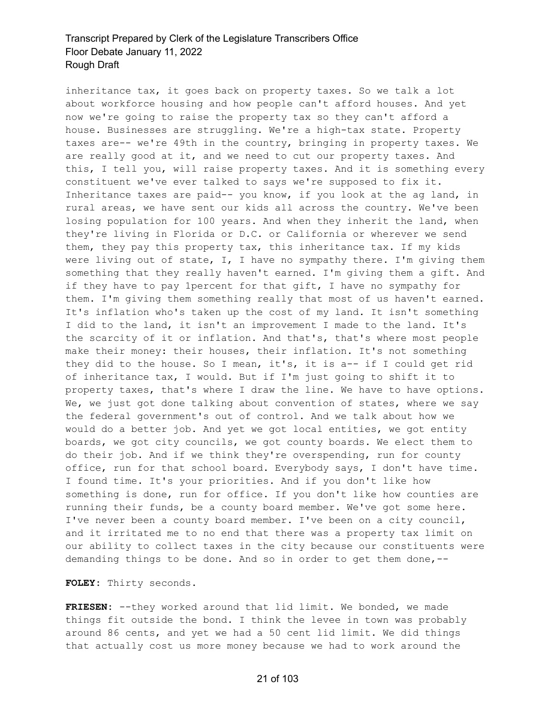inheritance tax, it goes back on property taxes. So we talk a lot about workforce housing and how people can't afford houses. And yet now we're going to raise the property tax so they can't afford a house. Businesses are struggling. We're a high-tax state. Property taxes are-- we're 49th in the country, bringing in property taxes. We are really good at it, and we need to cut our property taxes. And this, I tell you, will raise property taxes. And it is something every constituent we've ever talked to says we're supposed to fix it. Inheritance taxes are paid-- you know, if you look at the ag land, in rural areas, we have sent our kids all across the country. We've been losing population for 100 years. And when they inherit the land, when they're living in Florida or D.C. or California or wherever we send them, they pay this property tax, this inheritance tax. If my kids were living out of state, I, I have no sympathy there. I'm giving them something that they really haven't earned. I'm giving them a gift. And if they have to pay 1percent for that gift, I have no sympathy for them. I'm giving them something really that most of us haven't earned. It's inflation who's taken up the cost of my land. It isn't something I did to the land, it isn't an improvement I made to the land. It's the scarcity of it or inflation. And that's, that's where most people make their money: their houses, their inflation. It's not something they did to the house. So I mean, it's, it is a-- if I could get rid of inheritance tax, I would. But if I'm just going to shift it to property taxes, that's where I draw the line. We have to have options. We, we just got done talking about convention of states, where we say the federal government's out of control. And we talk about how we would do a better job. And yet we got local entities, we got entity boards, we got city councils, we got county boards. We elect them to do their job. And if we think they're overspending, run for county office, run for that school board. Everybody says, I don't have time. I found time. It's your priorities. And if you don't like how something is done, run for office. If you don't like how counties are running their funds, be a county board member. We've got some here. I've never been a county board member. I've been on a city council, and it irritated me to no end that there was a property tax limit on our ability to collect taxes in the city because our constituents were demanding things to be done. And so in order to get them done,--

**FOLEY:** Thirty seconds.

**FRIESEN:** --they worked around that lid limit. We bonded, we made things fit outside the bond. I think the levee in town was probably around 86 cents, and yet we had a 50 cent lid limit. We did things that actually cost us more money because we had to work around the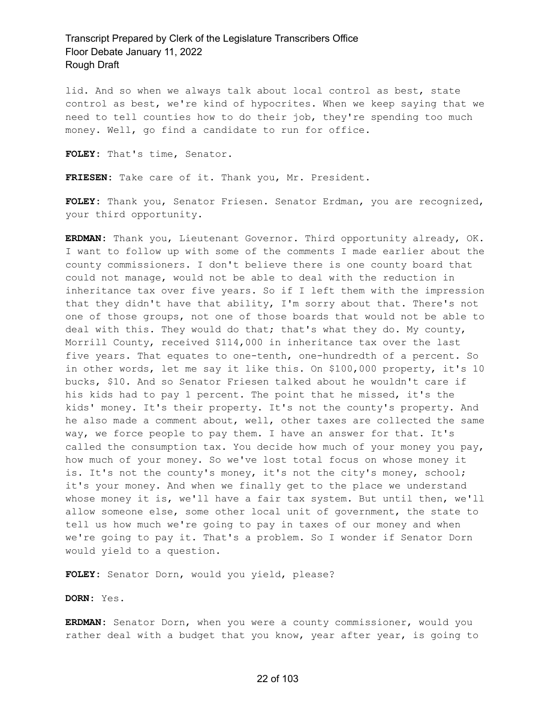lid. And so when we always talk about local control as best, state control as best, we're kind of hypocrites. When we keep saying that we need to tell counties how to do their job, they're spending too much money. Well, go find a candidate to run for office.

**FOLEY:** That's time, Senator.

**FRIESEN:** Take care of it. Thank you, Mr. President.

**FOLEY:** Thank you, Senator Friesen. Senator Erdman, you are recognized, your third opportunity.

**ERDMAN:** Thank you, Lieutenant Governor. Third opportunity already, OK. I want to follow up with some of the comments I made earlier about the county commissioners. I don't believe there is one county board that could not manage, would not be able to deal with the reduction in inheritance tax over five years. So if I left them with the impression that they didn't have that ability, I'm sorry about that. There's not one of those groups, not one of those boards that would not be able to deal with this. They would do that; that's what they do. My county, Morrill County, received \$114,000 in inheritance tax over the last five years. That equates to one-tenth, one-hundredth of a percent. So in other words, let me say it like this. On \$100,000 property, it's 10 bucks, \$10. And so Senator Friesen talked about he wouldn't care if his kids had to pay 1 percent. The point that he missed, it's the kids' money. It's their property. It's not the county's property. And he also made a comment about, well, other taxes are collected the same way, we force people to pay them. I have an answer for that. It's called the consumption tax. You decide how much of your money you pay, how much of your money. So we've lost total focus on whose money it is. It's not the county's money, it's not the city's money, school; it's your money. And when we finally get to the place we understand whose money it is, we'll have a fair tax system. But until then, we'll allow someone else, some other local unit of government, the state to tell us how much we're going to pay in taxes of our money and when we're going to pay it. That's a problem. So I wonder if Senator Dorn would yield to a question.

**FOLEY:** Senator Dorn, would you yield, please?

#### **DORN:** Yes.

**ERDMAN:** Senator Dorn, when you were a county commissioner, would you rather deal with a budget that you know, year after year, is going to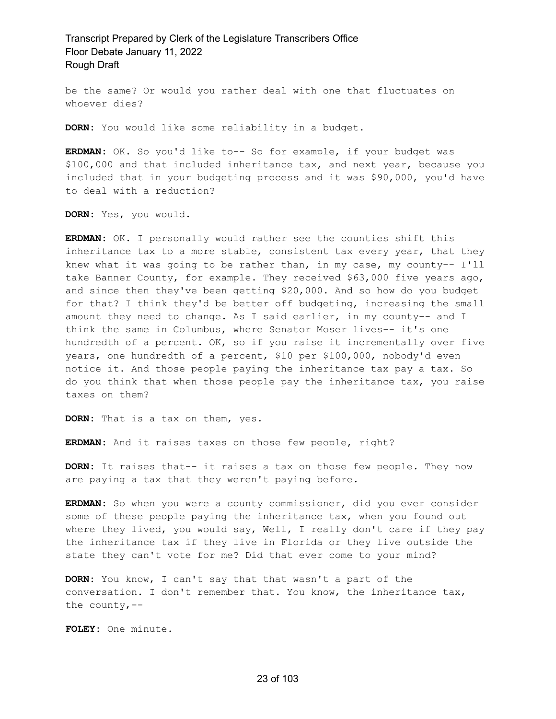be the same? Or would you rather deal with one that fluctuates on whoever dies?

**DORN:** You would like some reliability in a budget.

**ERDMAN:** OK. So you'd like to-- So for example, if your budget was \$100,000 and that included inheritance tax, and next year, because you included that in your budgeting process and it was \$90,000, you'd have to deal with a reduction?

**DORN:** Yes, you would.

**ERDMAN:** OK. I personally would rather see the counties shift this inheritance tax to a more stable, consistent tax every year, that they knew what it was going to be rather than, in my case, my county-- I'll take Banner County, for example. They received \$63,000 five years ago, and since then they've been getting \$20,000. And so how do you budget for that? I think they'd be better off budgeting, increasing the small amount they need to change. As I said earlier, in my county-- and I think the same in Columbus, where Senator Moser lives-- it's one hundredth of a percent. OK, so if you raise it incrementally over five years, one hundredth of a percent, \$10 per \$100,000, nobody'd even notice it. And those people paying the inheritance tax pay a tax. So do you think that when those people pay the inheritance tax, you raise taxes on them?

**DORN:** That is a tax on them, yes.

**ERDMAN:** And it raises taxes on those few people, right?

**DORN:** It raises that-- it raises a tax on those few people. They now are paying a tax that they weren't paying before.

**ERDMAN:** So when you were a county commissioner, did you ever consider some of these people paying the inheritance tax, when you found out where they lived, you would say, Well, I really don't care if they pay the inheritance tax if they live in Florida or they live outside the state they can't vote for me? Did that ever come to your mind?

**DORN:** You know, I can't say that that wasn't a part of the conversation. I don't remember that. You know, the inheritance tax, the county,  $--$ 

**FOLEY:** One minute.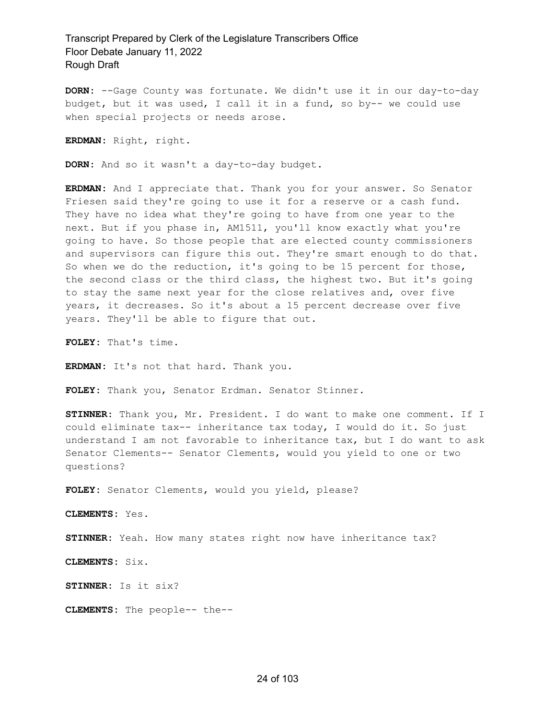**DORN:** --Gage County was fortunate. We didn't use it in our day-to-day budget, but it was used, I call it in a fund, so by-- we could use when special projects or needs arose.

**ERDMAN:** Right, right.

**DORN:** And so it wasn't a day-to-day budget.

**ERDMAN:** And I appreciate that. Thank you for your answer. So Senator Friesen said they're going to use it for a reserve or a cash fund. They have no idea what they're going to have from one year to the next. But if you phase in, AM1511, you'll know exactly what you're going to have. So those people that are elected county commissioners and supervisors can figure this out. They're smart enough to do that. So when we do the reduction, it's going to be 15 percent for those, the second class or the third class, the highest two. But it's going to stay the same next year for the close relatives and, over five years, it decreases. So it's about a 15 percent decrease over five years. They'll be able to figure that out.

**FOLEY:** That's time.

**ERDMAN:** It's not that hard. Thank you.

**FOLEY:** Thank you, Senator Erdman. Senator Stinner.

**STINNER:** Thank you, Mr. President. I do want to make one comment. If I could eliminate tax-- inheritance tax today, I would do it. So just understand I am not favorable to inheritance tax, but I do want to ask Senator Clements-- Senator Clements, would you yield to one or two questions?

**FOLEY:** Senator Clements, would you yield, please?

**CLEMENTS:** Yes.

**STINNER:** Yeah. How many states right now have inheritance tax?

**CLEMENTS:** Six.

**STINNER:** Is it six?

**CLEMENTS:** The people-- the--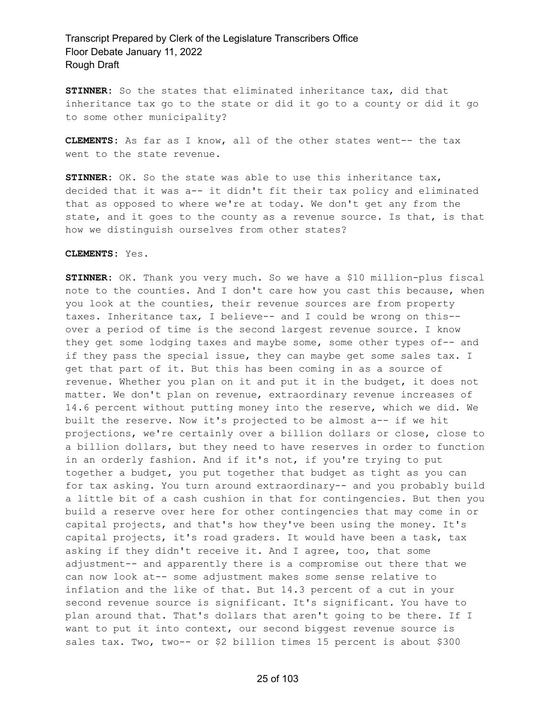**STINNER:** So the states that eliminated inheritance tax, did that inheritance tax go to the state or did it go to a county or did it go to some other municipality?

**CLEMENTS:** As far as I know, all of the other states went-- the tax went to the state revenue.

**STINNER:** OK. So the state was able to use this inheritance tax, decided that it was a-- it didn't fit their tax policy and eliminated that as opposed to where we're at today. We don't get any from the state, and it goes to the county as a revenue source. Is that, is that how we distinguish ourselves from other states?

#### **CLEMENTS:** Yes.

**STINNER:** OK. Thank you very much. So we have a \$10 million-plus fiscal note to the counties. And I don't care how you cast this because, when you look at the counties, their revenue sources are from property taxes. Inheritance tax, I believe-- and I could be wrong on this- over a period of time is the second largest revenue source. I know they get some lodging taxes and maybe some, some other types of-- and if they pass the special issue, they can maybe get some sales tax. I get that part of it. But this has been coming in as a source of revenue. Whether you plan on it and put it in the budget, it does not matter. We don't plan on revenue, extraordinary revenue increases of 14.6 percent without putting money into the reserve, which we did. We built the reserve. Now it's projected to be almost a-- if we hit projections, we're certainly over a billion dollars or close, close to a billion dollars, but they need to have reserves in order to function in an orderly fashion. And if it's not, if you're trying to put together a budget, you put together that budget as tight as you can for tax asking. You turn around extraordinary-- and you probably build a little bit of a cash cushion in that for contingencies. But then you build a reserve over here for other contingencies that may come in or capital projects, and that's how they've been using the money. It's capital projects, it's road graders. It would have been a task, tax asking if they didn't receive it. And I agree, too, that some adjustment-- and apparently there is a compromise out there that we can now look at-- some adjustment makes some sense relative to inflation and the like of that. But 14.3 percent of a cut in your second revenue source is significant. It's significant. You have to plan around that. That's dollars that aren't going to be there. If I want to put it into context, our second biggest revenue source is sales tax. Two, two-- or \$2 billion times 15 percent is about \$300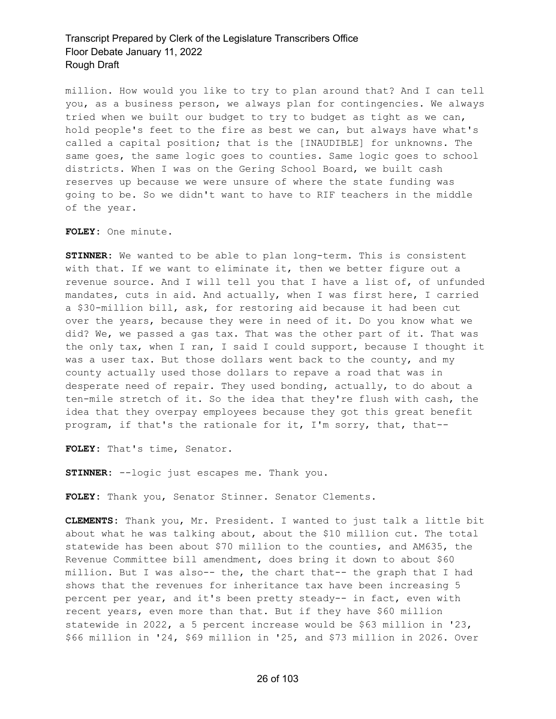million. How would you like to try to plan around that? And I can tell you, as a business person, we always plan for contingencies. We always tried when we built our budget to try to budget as tight as we can, hold people's feet to the fire as best we can, but always have what's called a capital position; that is the [INAUDIBLE] for unknowns. The same goes, the same logic goes to counties. Same logic goes to school districts. When I was on the Gering School Board, we built cash reserves up because we were unsure of where the state funding was going to be. So we didn't want to have to RIF teachers in the middle of the year.

**FOLEY:** One minute.

**STINNER:** We wanted to be able to plan long-term. This is consistent with that. If we want to eliminate it, then we better figure out a revenue source. And I will tell you that I have a list of, of unfunded mandates, cuts in aid. And actually, when I was first here, I carried a \$30-million bill, ask, for restoring aid because it had been cut over the years, because they were in need of it. Do you know what we did? We, we passed a gas tax. That was the other part of it. That was the only tax, when I ran, I said I could support, because I thought it was a user tax. But those dollars went back to the county, and my county actually used those dollars to repave a road that was in desperate need of repair. They used bonding, actually, to do about a ten-mile stretch of it. So the idea that they're flush with cash, the idea that they overpay employees because they got this great benefit program, if that's the rationale for it, I'm sorry, that, that--

**FOLEY:** That's time, Senator.

**STINNER:** --logic just escapes me. Thank you.

**FOLEY:** Thank you, Senator Stinner. Senator Clements.

**CLEMENTS:** Thank you, Mr. President. I wanted to just talk a little bit about what he was talking about, about the \$10 million cut. The total statewide has been about \$70 million to the counties, and AM635, the Revenue Committee bill amendment, does bring it down to about \$60 million. But I was also-- the, the chart that-- the graph that I had shows that the revenues for inheritance tax have been increasing 5 percent per year, and it's been pretty steady-- in fact, even with recent years, even more than that. But if they have \$60 million statewide in 2022, a 5 percent increase would be \$63 million in '23, \$66 million in '24, \$69 million in '25, and \$73 million in 2026. Over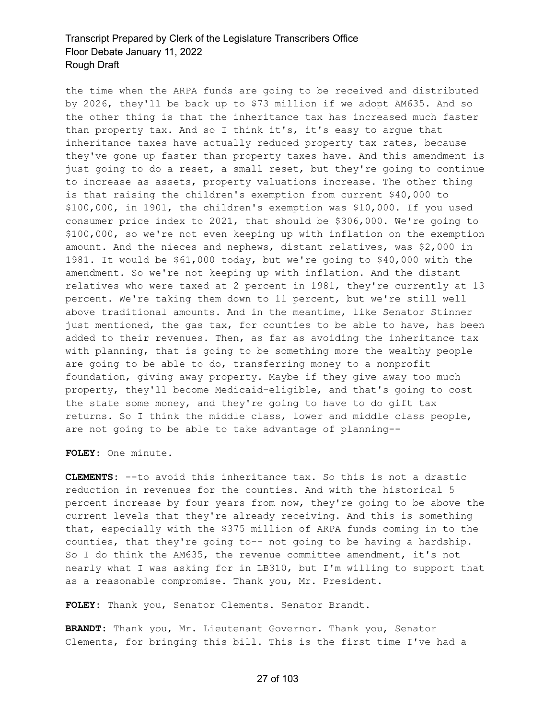the time when the ARPA funds are going to be received and distributed by 2026, they'll be back up to \$73 million if we adopt AM635. And so the other thing is that the inheritance tax has increased much faster than property tax. And so I think it's, it's easy to argue that inheritance taxes have actually reduced property tax rates, because they've gone up faster than property taxes have. And this amendment is just going to do a reset, a small reset, but they're going to continue to increase as assets, property valuations increase. The other thing is that raising the children's exemption from current \$40,000 to \$100,000, in 1901, the children's exemption was \$10,000. If you used consumer price index to 2021, that should be \$306,000. We're going to \$100,000, so we're not even keeping up with inflation on the exemption amount. And the nieces and nephews, distant relatives, was \$2,000 in 1981. It would be \$61,000 today, but we're going to \$40,000 with the amendment. So we're not keeping up with inflation. And the distant relatives who were taxed at 2 percent in 1981, they're currently at 13 percent. We're taking them down to 11 percent, but we're still well above traditional amounts. And in the meantime, like Senator Stinner just mentioned, the gas tax, for counties to be able to have, has been added to their revenues. Then, as far as avoiding the inheritance tax with planning, that is going to be something more the wealthy people are going to be able to do, transferring money to a nonprofit foundation, giving away property. Maybe if they give away too much property, they'll become Medicaid-eligible, and that's going to cost the state some money, and they're going to have to do gift tax returns. So I think the middle class, lower and middle class people, are not going to be able to take advantage of planning--

**FOLEY:** One minute.

**CLEMENTS:** --to avoid this inheritance tax. So this is not a drastic reduction in revenues for the counties. And with the historical 5 percent increase by four years from now, they're going to be above the current levels that they're already receiving. And this is something that, especially with the \$375 million of ARPA funds coming in to the counties, that they're going to-- not going to be having a hardship. So I do think the AM635, the revenue committee amendment, it's not nearly what I was asking for in LB310, but I'm willing to support that as a reasonable compromise. Thank you, Mr. President.

**FOLEY:** Thank you, Senator Clements. Senator Brandt.

**BRANDT:** Thank you, Mr. Lieutenant Governor. Thank you, Senator Clements, for bringing this bill. This is the first time I've had a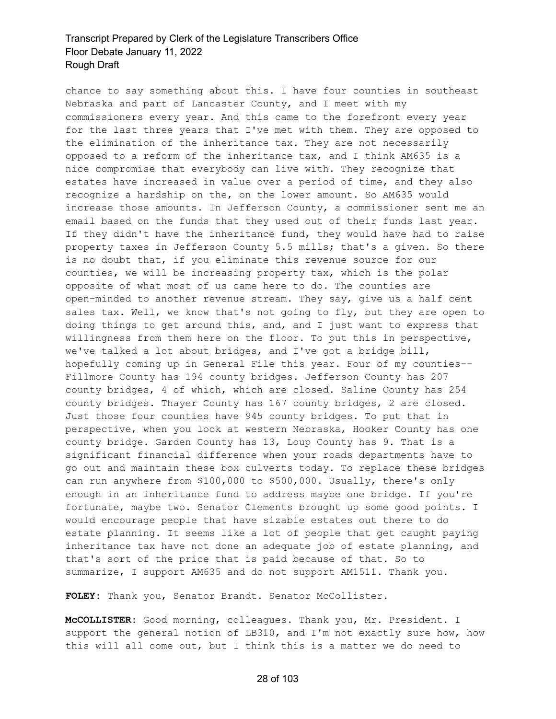chance to say something about this. I have four counties in southeast Nebraska and part of Lancaster County, and I meet with my commissioners every year. And this came to the forefront every year for the last three years that I've met with them. They are opposed to the elimination of the inheritance tax. They are not necessarily opposed to a reform of the inheritance tax, and I think AM635 is a nice compromise that everybody can live with. They recognize that estates have increased in value over a period of time, and they also recognize a hardship on the, on the lower amount. So AM635 would increase those amounts. In Jefferson County, a commissioner sent me an email based on the funds that they used out of their funds last year. If they didn't have the inheritance fund, they would have had to raise property taxes in Jefferson County 5.5 mills; that's a given. So there is no doubt that, if you eliminate this revenue source for our counties, we will be increasing property tax, which is the polar opposite of what most of us came here to do. The counties are open-minded to another revenue stream. They say, give us a half cent sales tax. Well, we know that's not going to fly, but they are open to doing things to get around this, and, and I just want to express that willingness from them here on the floor. To put this in perspective, we've talked a lot about bridges, and I've got a bridge bill, hopefully coming up in General File this year. Four of my counties-- Fillmore County has 194 county bridges. Jefferson County has 207 county bridges, 4 of which, which are closed. Saline County has 254 county bridges. Thayer County has 167 county bridges, 2 are closed. Just those four counties have 945 county bridges. To put that in perspective, when you look at western Nebraska, Hooker County has one county bridge. Garden County has 13, Loup County has 9. That is a significant financial difference when your roads departments have to go out and maintain these box culverts today. To replace these bridges can run anywhere from \$100,000 to \$500,000. Usually, there's only enough in an inheritance fund to address maybe one bridge. If you're fortunate, maybe two. Senator Clements brought up some good points. I would encourage people that have sizable estates out there to do estate planning. It seems like a lot of people that get caught paying inheritance tax have not done an adequate job of estate planning, and that's sort of the price that is paid because of that. So to summarize, I support AM635 and do not support AM1511. Thank you.

**FOLEY:** Thank you, Senator Brandt. Senator McCollister.

**McCOLLISTER:** Good morning, colleagues. Thank you, Mr. President. I support the general notion of LB310, and I'm not exactly sure how, how this will all come out, but I think this is a matter we do need to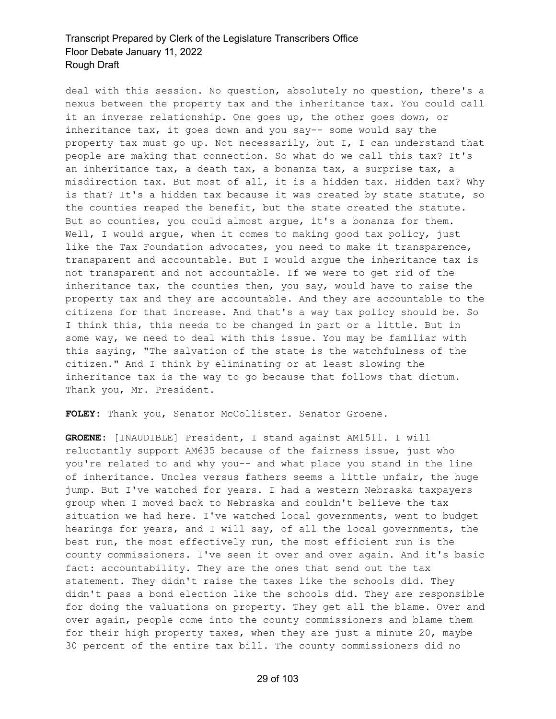deal with this session. No question, absolutely no question, there's a nexus between the property tax and the inheritance tax. You could call it an inverse relationship. One goes up, the other goes down, or inheritance tax, it goes down and you say-- some would say the property tax must go up. Not necessarily, but I, I can understand that people are making that connection. So what do we call this tax? It's an inheritance tax, a death tax, a bonanza tax, a surprise tax, a misdirection tax. But most of all, it is a hidden tax. Hidden tax? Why is that? It's a hidden tax because it was created by state statute, so the counties reaped the benefit, but the state created the statute. But so counties, you could almost argue, it's a bonanza for them. Well, I would argue, when it comes to making good tax policy, just like the Tax Foundation advocates, you need to make it transparence, transparent and accountable. But I would argue the inheritance tax is not transparent and not accountable. If we were to get rid of the inheritance tax, the counties then, you say, would have to raise the property tax and they are accountable. And they are accountable to the citizens for that increase. And that's a way tax policy should be. So I think this, this needs to be changed in part or a little. But in some way, we need to deal with this issue. You may be familiar with this saying, "The salvation of the state is the watchfulness of the citizen." And I think by eliminating or at least slowing the inheritance tax is the way to go because that follows that dictum. Thank you, Mr. President.

**FOLEY:** Thank you, Senator McCollister. Senator Groene.

**GROENE:** [INAUDIBLE] President, I stand against AM1511. I will reluctantly support AM635 because of the fairness issue, just who you're related to and why you-- and what place you stand in the line of inheritance. Uncles versus fathers seems a little unfair, the huge jump. But I've watched for years. I had a western Nebraska taxpayers group when I moved back to Nebraska and couldn't believe the tax situation we had here. I've watched local governments, went to budget hearings for years, and I will say, of all the local governments, the best run, the most effectively run, the most efficient run is the county commissioners. I've seen it over and over again. And it's basic fact: accountability. They are the ones that send out the tax statement. They didn't raise the taxes like the schools did. They didn't pass a bond election like the schools did. They are responsible for doing the valuations on property. They get all the blame. Over and over again, people come into the county commissioners and blame them for their high property taxes, when they are just a minute 20, maybe 30 percent of the entire tax bill. The county commissioners did no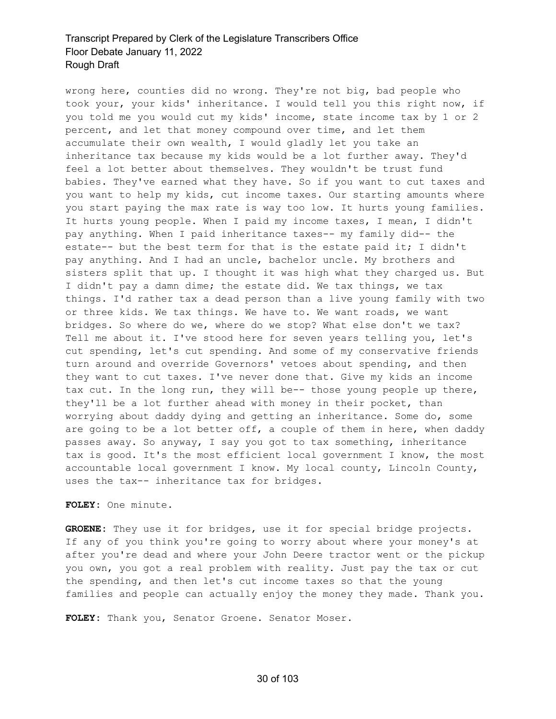wrong here, counties did no wrong. They're not big, bad people who took your, your kids' inheritance. I would tell you this right now, if you told me you would cut my kids' income, state income tax by 1 or 2 percent, and let that money compound over time, and let them accumulate their own wealth, I would gladly let you take an inheritance tax because my kids would be a lot further away. They'd feel a lot better about themselves. They wouldn't be trust fund babies. They've earned what they have. So if you want to cut taxes and you want to help my kids, cut income taxes. Our starting amounts where you start paying the max rate is way too low. It hurts young families. It hurts young people. When I paid my income taxes, I mean, I didn't pay anything. When I paid inheritance taxes-- my family did-- the estate-- but the best term for that is the estate paid it; I didn't pay anything. And I had an uncle, bachelor uncle. My brothers and sisters split that up. I thought it was high what they charged us. But I didn't pay a damn dime; the estate did. We tax things, we tax things. I'd rather tax a dead person than a live young family with two or three kids. We tax things. We have to. We want roads, we want bridges. So where do we, where do we stop? What else don't we tax? Tell me about it. I've stood here for seven years telling you, let's cut spending, let's cut spending. And some of my conservative friends turn around and override Governors' vetoes about spending, and then they want to cut taxes. I've never done that. Give my kids an income tax cut. In the long run, they will be-- those young people up there, they'll be a lot further ahead with money in their pocket, than worrying about daddy dying and getting an inheritance. Some do, some are going to be a lot better off, a couple of them in here, when daddy passes away. So anyway, I say you got to tax something, inheritance tax is good. It's the most efficient local government I know, the most accountable local government I know. My local county, Lincoln County, uses the tax-- inheritance tax for bridges.

#### **FOLEY:** One minute.

**GROENE:** They use it for bridges, use it for special bridge projects. If any of you think you're going to worry about where your money's at after you're dead and where your John Deere tractor went or the pickup you own, you got a real problem with reality. Just pay the tax or cut the spending, and then let's cut income taxes so that the young families and people can actually enjoy the money they made. Thank you.

**FOLEY:** Thank you, Senator Groene. Senator Moser.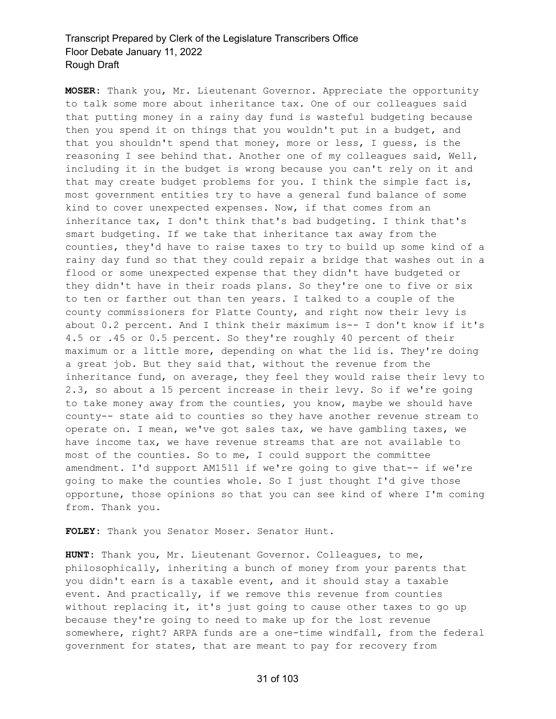**MOSER:** Thank you, Mr. Lieutenant Governor. Appreciate the opportunity to talk some more about inheritance tax. One of our colleagues said that putting money in a rainy day fund is wasteful budgeting because then you spend it on things that you wouldn't put in a budget, and that you shouldn't spend that money, more or less, I guess, is the reasoning I see behind that. Another one of my colleagues said, Well, including it in the budget is wrong because you can't rely on it and that may create budget problems for you. I think the simple fact is, most government entities try to have a general fund balance of some kind to cover unexpected expenses. Now, if that comes from an inheritance tax, I don't think that's bad budgeting. I think that's smart budgeting. If we take that inheritance tax away from the counties, they'd have to raise taxes to try to build up some kind of a rainy day fund so that they could repair a bridge that washes out in a flood or some unexpected expense that they didn't have budgeted or they didn't have in their roads plans. So they're one to five or six to ten or farther out than ten years. I talked to a couple of the county commissioners for Platte County, and right now their levy is about 0.2 percent. And I think their maximum is-- I don't know if it's 4.5 or .45 or 0.5 percent. So they're roughly 40 percent of their maximum or a little more, depending on what the lid is. They're doing a great job. But they said that, without the revenue from the inheritance fund, on average, they feel they would raise their levy to 2.3, so about a 15 percent increase in their levy. So if we're going to take money away from the counties, you know, maybe we should have county-- state aid to counties so they have another revenue stream to operate on. I mean, we've got sales tax, we have gambling taxes, we have income tax, we have revenue streams that are not available to most of the counties. So to me, I could support the committee amendment. I'd support AM1511 if we're going to give that-- if we're going to make the counties whole. So I just thought I'd give those opportune, those opinions so that you can see kind of where I'm coming from. Thank you.

**FOLEY:** Thank you Senator Moser. Senator Hunt.

**HUNT:** Thank you, Mr. Lieutenant Governor. Colleagues, to me, philosophically, inheriting a bunch of money from your parents that you didn't earn is a taxable event, and it should stay a taxable event. And practically, if we remove this revenue from counties without replacing it, it's just going to cause other taxes to go up because they're going to need to make up for the lost revenue somewhere, right? ARPA funds are a one-time windfall, from the federal government for states, that are meant to pay for recovery from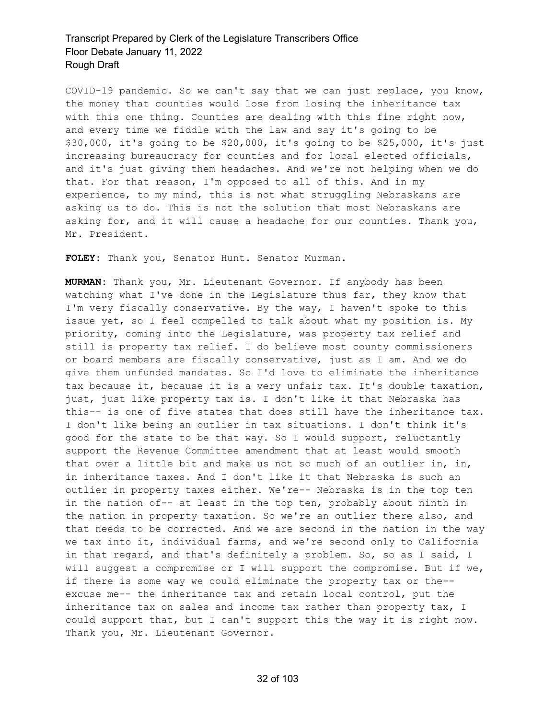COVID-19 pandemic. So we can't say that we can just replace, you know, the money that counties would lose from losing the inheritance tax with this one thing. Counties are dealing with this fine right now, and every time we fiddle with the law and say it's going to be \$30,000, it's going to be \$20,000, it's going to be \$25,000, it's just increasing bureaucracy for counties and for local elected officials, and it's just giving them headaches. And we're not helping when we do that. For that reason, I'm opposed to all of this. And in my experience, to my mind, this is not what struggling Nebraskans are asking us to do. This is not the solution that most Nebraskans are asking for, and it will cause a headache for our counties. Thank you, Mr. President.

**FOLEY:** Thank you, Senator Hunt. Senator Murman.

**MURMAN:** Thank you, Mr. Lieutenant Governor. If anybody has been watching what I've done in the Legislature thus far, they know that I'm very fiscally conservative. By the way, I haven't spoke to this issue yet, so I feel compelled to talk about what my position is. My priority, coming into the Legislature, was property tax relief and still is property tax relief. I do believe most county commissioners or board members are fiscally conservative, just as I am. And we do give them unfunded mandates. So I'd love to eliminate the inheritance tax because it, because it is a very unfair tax. It's double taxation, just, just like property tax is. I don't like it that Nebraska has this-- is one of five states that does still have the inheritance tax. I don't like being an outlier in tax situations. I don't think it's good for the state to be that way. So I would support, reluctantly support the Revenue Committee amendment that at least would smooth that over a little bit and make us not so much of an outlier in, in, in inheritance taxes. And I don't like it that Nebraska is such an outlier in property taxes either. We're-- Nebraska is in the top ten in the nation of-- at least in the top ten, probably about ninth in the nation in property taxation. So we're an outlier there also, and that needs to be corrected. And we are second in the nation in the way we tax into it, individual farms, and we're second only to California in that regard, and that's definitely a problem. So, so as I said, I will suggest a compromise or I will support the compromise. But if we, if there is some way we could eliminate the property tax or the- excuse me-- the inheritance tax and retain local control, put the inheritance tax on sales and income tax rather than property tax, I could support that, but I can't support this the way it is right now. Thank you, Mr. Lieutenant Governor.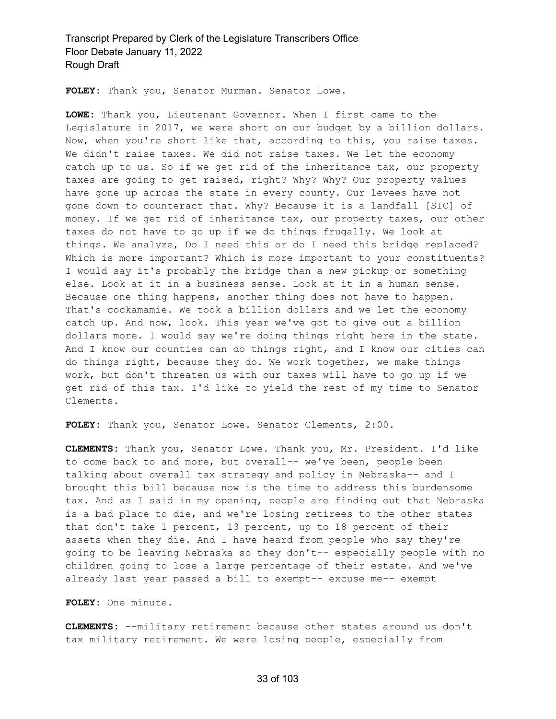**FOLEY:** Thank you, Senator Murman. Senator Lowe.

**LOWE:** Thank you, Lieutenant Governor. When I first came to the Legislature in 2017, we were short on our budget by a billion dollars. Now, when you're short like that, according to this, you raise taxes. We didn't raise taxes. We did not raise taxes. We let the economy catch up to us. So if we get rid of the inheritance tax, our property taxes are going to get raised, right? Why? Why? Our property values have gone up across the state in every county. Our levees have not gone down to counteract that. Why? Because it is a landfall [SIC] of money. If we get rid of inheritance tax, our property taxes, our other taxes do not have to go up if we do things frugally. We look at things. We analyze, Do I need this or do I need this bridge replaced? Which is more important? Which is more important to your constituents? I would say it's probably the bridge than a new pickup or something else. Look at it in a business sense. Look at it in a human sense. Because one thing happens, another thing does not have to happen. That's cockamamie. We took a billion dollars and we let the economy catch up. And now, look. This year we've got to give out a billion dollars more. I would say we're doing things right here in the state. And I know our counties can do things right, and I know our cities can do things right, because they do. We work together, we make things work, but don't threaten us with our taxes will have to go up if we get rid of this tax. I'd like to yield the rest of my time to Senator Clements.

**FOLEY:** Thank you, Senator Lowe. Senator Clements, 2:00.

**CLEMENTS:** Thank you, Senator Lowe. Thank you, Mr. President. I'd like to come back to and more, but overall-- we've been, people been talking about overall tax strategy and policy in Nebraska-- and I brought this bill because now is the time to address this burdensome tax. And as I said in my opening, people are finding out that Nebraska is a bad place to die, and we're losing retirees to the other states that don't take 1 percent, 13 percent, up to 18 percent of their assets when they die. And I have heard from people who say they're going to be leaving Nebraska so they don't-- especially people with no children going to lose a large percentage of their estate. And we've already last year passed a bill to exempt-- excuse me-- exempt

**FOLEY:** One minute.

**CLEMENTS:** --military retirement because other states around us don't tax military retirement. We were losing people, especially from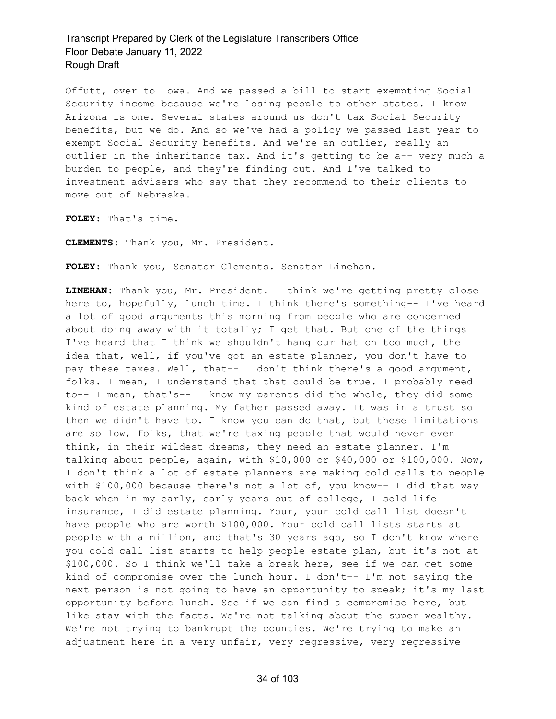Offutt, over to Iowa. And we passed a bill to start exempting Social Security income because we're losing people to other states. I know Arizona is one. Several states around us don't tax Social Security benefits, but we do. And so we've had a policy we passed last year to exempt Social Security benefits. And we're an outlier, really an outlier in the inheritance tax. And it's getting to be a-- very much a burden to people, and they're finding out. And I've talked to investment advisers who say that they recommend to their clients to move out of Nebraska.

**FOLEY:** That's time.

**CLEMENTS:** Thank you, Mr. President.

**FOLEY:** Thank you, Senator Clements. Senator Linehan.

**LINEHAN:** Thank you, Mr. President. I think we're getting pretty close here to, hopefully, lunch time. I think there's something-- I've heard a lot of good arguments this morning from people who are concerned about doing away with it totally; I get that. But one of the things I've heard that I think we shouldn't hang our hat on too much, the idea that, well, if you've got an estate planner, you don't have to pay these taxes. Well, that-- I don't think there's a good argument, folks. I mean, I understand that that could be true. I probably need to-- I mean, that's-- I know my parents did the whole, they did some kind of estate planning. My father passed away. It was in a trust so then we didn't have to. I know you can do that, but these limitations are so low, folks, that we're taxing people that would never even think, in their wildest dreams, they need an estate planner. I'm talking about people, again, with \$10,000 or \$40,000 or \$100,000. Now, I don't think a lot of estate planners are making cold calls to people with  $$100,000$  because there's not a lot of, you know-- I did that way back when in my early, early years out of college, I sold life insurance, I did estate planning. Your, your cold call list doesn't have people who are worth \$100,000. Your cold call lists starts at people with a million, and that's 30 years ago, so I don't know where you cold call list starts to help people estate plan, but it's not at \$100,000. So I think we'll take a break here, see if we can get some kind of compromise over the lunch hour. I don't-- I'm not saying the next person is not going to have an opportunity to speak; it's my last opportunity before lunch. See if we can find a compromise here, but like stay with the facts. We're not talking about the super wealthy. We're not trying to bankrupt the counties. We're trying to make an adjustment here in a very unfair, very regressive, very regressive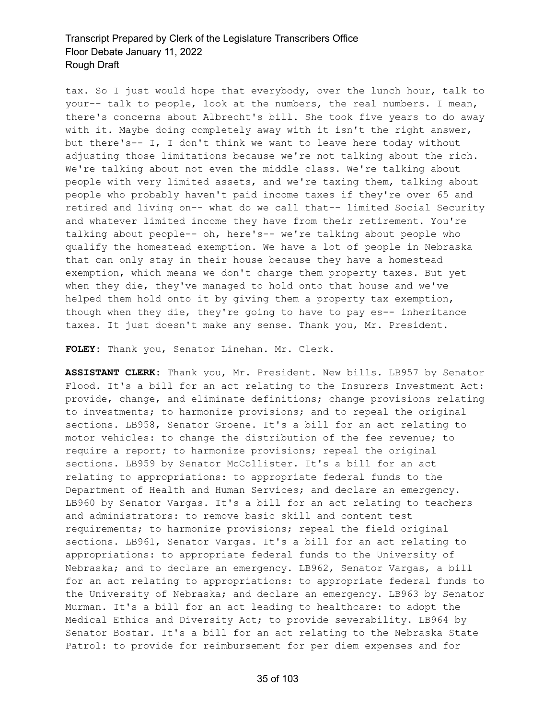tax. So I just would hope that everybody, over the lunch hour, talk to your-- talk to people, look at the numbers, the real numbers. I mean, there's concerns about Albrecht's bill. She took five years to do away with it. Maybe doing completely away with it isn't the right answer, but there's-- I, I don't think we want to leave here today without adjusting those limitations because we're not talking about the rich. We're talking about not even the middle class. We're talking about people with very limited assets, and we're taxing them, talking about people who probably haven't paid income taxes if they're over 65 and retired and living on-- what do we call that-- limited Social Security and whatever limited income they have from their retirement. You're talking about people-- oh, here's-- we're talking about people who qualify the homestead exemption. We have a lot of people in Nebraska that can only stay in their house because they have a homestead exemption, which means we don't charge them property taxes. But yet when they die, they've managed to hold onto that house and we've helped them hold onto it by giving them a property tax exemption, though when they die, they're going to have to pay es-- inheritance taxes. It just doesn't make any sense. Thank you, Mr. President.

**FOLEY:** Thank you, Senator Linehan. Mr. Clerk.

**ASSISTANT CLERK:** Thank you, Mr. President. New bills. LB957 by Senator Flood. It's a bill for an act relating to the Insurers Investment Act: provide, change, and eliminate definitions; change provisions relating to investments; to harmonize provisions; and to repeal the original sections. LB958, Senator Groene. It's a bill for an act relating to motor vehicles: to change the distribution of the fee revenue; to require a report; to harmonize provisions; repeal the original sections. LB959 by Senator McCollister. It's a bill for an act relating to appropriations: to appropriate federal funds to the Department of Health and Human Services; and declare an emergency. LB960 by Senator Vargas. It's a bill for an act relating to teachers and administrators: to remove basic skill and content test requirements; to harmonize provisions; repeal the field original sections. LB961, Senator Vargas. It's a bill for an act relating to appropriations: to appropriate federal funds to the University of Nebraska; and to declare an emergency. LB962, Senator Vargas, a bill for an act relating to appropriations: to appropriate federal funds to the University of Nebraska; and declare an emergency. LB963 by Senator Murman. It's a bill for an act leading to healthcare: to adopt the Medical Ethics and Diversity Act; to provide severability. LB964 by Senator Bostar. It's a bill for an act relating to the Nebraska State Patrol: to provide for reimbursement for per diem expenses and for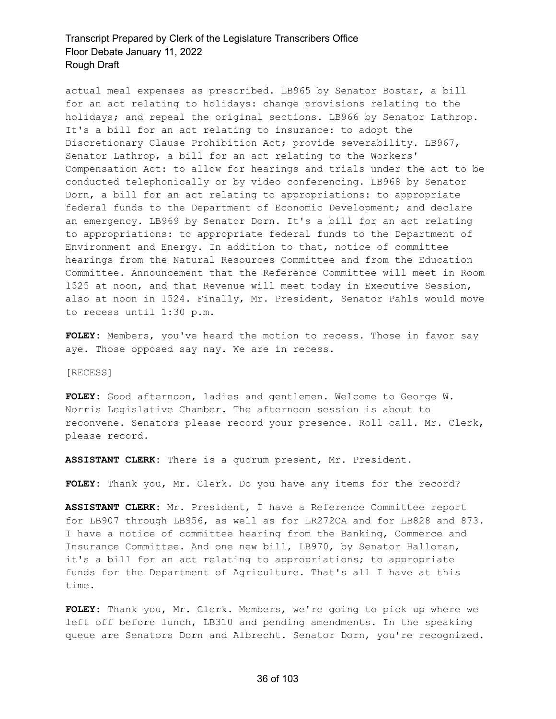actual meal expenses as prescribed. LB965 by Senator Bostar, a bill for an act relating to holidays: change provisions relating to the holidays; and repeal the original sections. LB966 by Senator Lathrop. It's a bill for an act relating to insurance: to adopt the Discretionary Clause Prohibition Act; provide severability. LB967, Senator Lathrop, a bill for an act relating to the Workers' Compensation Act: to allow for hearings and trials under the act to be conducted telephonically or by video conferencing. LB968 by Senator Dorn, a bill for an act relating to appropriations: to appropriate federal funds to the Department of Economic Development; and declare an emergency. LB969 by Senator Dorn. It's a bill for an act relating to appropriations: to appropriate federal funds to the Department of Environment and Energy. In addition to that, notice of committee hearings from the Natural Resources Committee and from the Education Committee. Announcement that the Reference Committee will meet in Room 1525 at noon, and that Revenue will meet today in Executive Session, also at noon in 1524. Finally, Mr. President, Senator Pahls would move to recess until 1:30 p.m.

**FOLEY:** Members, you've heard the motion to recess. Those in favor say aye. Those opposed say nay. We are in recess.

[RECESS]

**FOLEY:** Good afternoon, ladies and gentlemen. Welcome to George W. Norris Legislative Chamber. The afternoon session is about to reconvene. Senators please record your presence. Roll call. Mr. Clerk, please record.

**ASSISTANT CLERK:** There is a quorum present, Mr. President.

**FOLEY:** Thank you, Mr. Clerk. Do you have any items for the record?

**ASSISTANT CLERK:** Mr. President, I have a Reference Committee report for LB907 through LB956, as well as for LR272CA and for LB828 and 873. I have a notice of committee hearing from the Banking, Commerce and Insurance Committee. And one new bill, LB970, by Senator Halloran, it's a bill for an act relating to appropriations; to appropriate funds for the Department of Agriculture. That's all I have at this time.

**FOLEY:** Thank you, Mr. Clerk. Members, we're going to pick up where we left off before lunch, LB310 and pending amendments. In the speaking queue are Senators Dorn and Albrecht. Senator Dorn, you're recognized.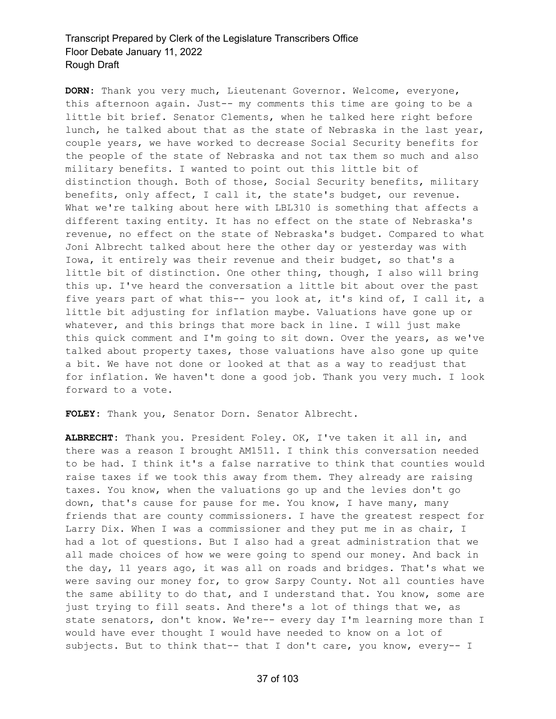**DORN:** Thank you very much, Lieutenant Governor. Welcome, everyone, this afternoon again. Just-- my comments this time are going to be a little bit brief. Senator Clements, when he talked here right before lunch, he talked about that as the state of Nebraska in the last year, couple years, we have worked to decrease Social Security benefits for the people of the state of Nebraska and not tax them so much and also military benefits. I wanted to point out this little bit of distinction though. Both of those, Social Security benefits, military benefits, only affect, I call it, the state's budget, our revenue. What we're talking about here with LBL310 is something that affects a different taxing entity. It has no effect on the state of Nebraska's revenue, no effect on the state of Nebraska's budget. Compared to what Joni Albrecht talked about here the other day or yesterday was with Iowa, it entirely was their revenue and their budget, so that's a little bit of distinction. One other thing, though, I also will bring this up. I've heard the conversation a little bit about over the past five years part of what this-- you look at, it's kind of, I call it, a little bit adjusting for inflation maybe. Valuations have gone up or whatever, and this brings that more back in line. I will just make this quick comment and I'm going to sit down. Over the years, as we've talked about property taxes, those valuations have also gone up quite a bit. We have not done or looked at that as a way to readjust that for inflation. We haven't done a good job. Thank you very much. I look forward to a vote.

**FOLEY:** Thank you, Senator Dorn. Senator Albrecht.

**ALBRECHT:** Thank you. President Foley. OK, I've taken it all in, and there was a reason I brought AM1511. I think this conversation needed to be had. I think it's a false narrative to think that counties would raise taxes if we took this away from them. They already are raising taxes. You know, when the valuations go up and the levies don't go down, that's cause for pause for me. You know, I have many, many friends that are county commissioners. I have the greatest respect for Larry Dix. When I was a commissioner and they put me in as chair, I had a lot of questions. But I also had a great administration that we all made choices of how we were going to spend our money. And back in the day, 11 years ago, it was all on roads and bridges. That's what we were saving our money for, to grow Sarpy County. Not all counties have the same ability to do that, and I understand that. You know, some are just trying to fill seats. And there's a lot of things that we, as state senators, don't know. We're-- every day I'm learning more than I would have ever thought I would have needed to know on a lot of subjects. But to think that-- that I don't care, you know, every-- I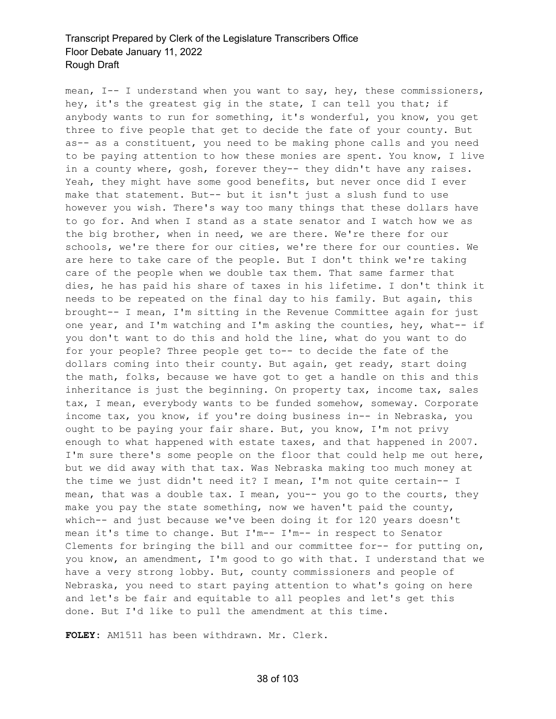mean, I-- I understand when you want to say, hey, these commissioners, hey, it's the greatest gig in the state, I can tell you that; if anybody wants to run for something, it's wonderful, you know, you get three to five people that get to decide the fate of your county. But as-- as a constituent, you need to be making phone calls and you need to be paying attention to how these monies are spent. You know, I live in a county where, gosh, forever they-- they didn't have any raises. Yeah, they might have some good benefits, but never once did I ever make that statement. But-- but it isn't just a slush fund to use however you wish. There's way too many things that these dollars have to go for. And when I stand as a state senator and I watch how we as the big brother, when in need, we are there. We're there for our schools, we're there for our cities, we're there for our counties. We are here to take care of the people. But I don't think we're taking care of the people when we double tax them. That same farmer that dies, he has paid his share of taxes in his lifetime. I don't think it needs to be repeated on the final day to his family. But again, this brought-- I mean, I'm sitting in the Revenue Committee again for just one year, and I'm watching and I'm asking the counties, hey, what-- if you don't want to do this and hold the line, what do you want to do for your people? Three people get to-- to decide the fate of the dollars coming into their county. But again, get ready, start doing the math, folks, because we have got to get a handle on this and this inheritance is just the beginning. On property tax, income tax, sales tax, I mean, everybody wants to be funded somehow, someway. Corporate income tax, you know, if you're doing business in-- in Nebraska, you ought to be paying your fair share. But, you know, I'm not privy enough to what happened with estate taxes, and that happened in 2007. I'm sure there's some people on the floor that could help me out here, but we did away with that tax. Was Nebraska making too much money at the time we just didn't need it? I mean, I'm not quite certain-- I mean, that was a double tax. I mean, you-- you go to the courts, they make you pay the state something, now we haven't paid the county, which-- and just because we've been doing it for 120 years doesn't mean it's time to change. But I'm-- I'm-- in respect to Senator Clements for bringing the bill and our committee for-- for putting on, you know, an amendment, I'm good to go with that. I understand that we have a very strong lobby. But, county commissioners and people of Nebraska, you need to start paying attention to what's going on here and let's be fair and equitable to all peoples and let's get this done. But I'd like to pull the amendment at this time.

**FOLEY:** AM1511 has been withdrawn. Mr. Clerk.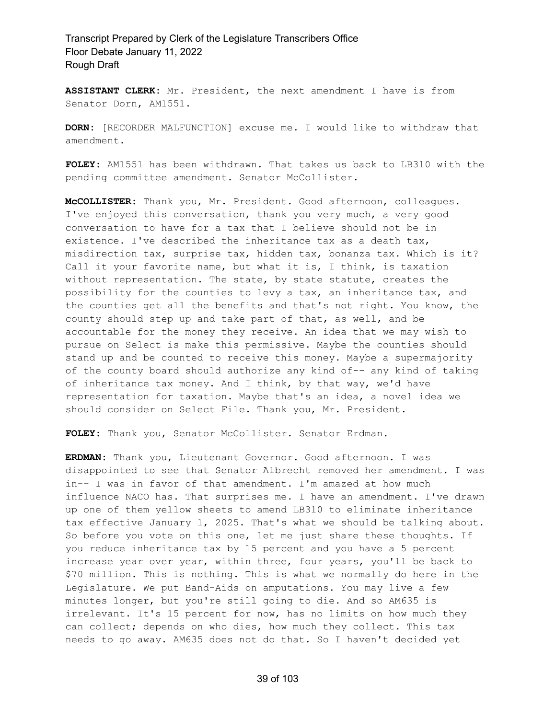**ASSISTANT CLERK:** Mr. President, the next amendment I have is from Senator Dorn, AM1551.

**DORN:** [RECORDER MALFUNCTION] excuse me. I would like to withdraw that amendment.

**FOLEY:** AM1551 has been withdrawn. That takes us back to LB310 with the pending committee amendment. Senator McCollister.

**McCOLLISTER:** Thank you, Mr. President. Good afternoon, colleagues. I've enjoyed this conversation, thank you very much, a very good conversation to have for a tax that I believe should not be in existence. I've described the inheritance tax as a death tax, misdirection tax, surprise tax, hidden tax, bonanza tax. Which is it? Call it your favorite name, but what it is, I think, is taxation without representation. The state, by state statute, creates the possibility for the counties to levy a tax, an inheritance tax, and the counties get all the benefits and that's not right. You know, the county should step up and take part of that, as well, and be accountable for the money they receive. An idea that we may wish to pursue on Select is make this permissive. Maybe the counties should stand up and be counted to receive this money. Maybe a supermajority of the county board should authorize any kind of-- any kind of taking of inheritance tax money. And I think, by that way, we'd have representation for taxation. Maybe that's an idea, a novel idea we should consider on Select File. Thank you, Mr. President.

**FOLEY:** Thank you, Senator McCollister. Senator Erdman.

**ERDMAN:** Thank you, Lieutenant Governor. Good afternoon. I was disappointed to see that Senator Albrecht removed her amendment. I was in-- I was in favor of that amendment. I'm amazed at how much influence NACO has. That surprises me. I have an amendment. I've drawn up one of them yellow sheets to amend LB310 to eliminate inheritance tax effective January 1, 2025. That's what we should be talking about. So before you vote on this one, let me just share these thoughts. If you reduce inheritance tax by 15 percent and you have a 5 percent increase year over year, within three, four years, you'll be back to \$70 million. This is nothing. This is what we normally do here in the Legislature. We put Band-Aids on amputations. You may live a few minutes longer, but you're still going to die. And so AM635 is irrelevant. It's 15 percent for now, has no limits on how much they can collect; depends on who dies, how much they collect. This tax needs to go away. AM635 does not do that. So I haven't decided yet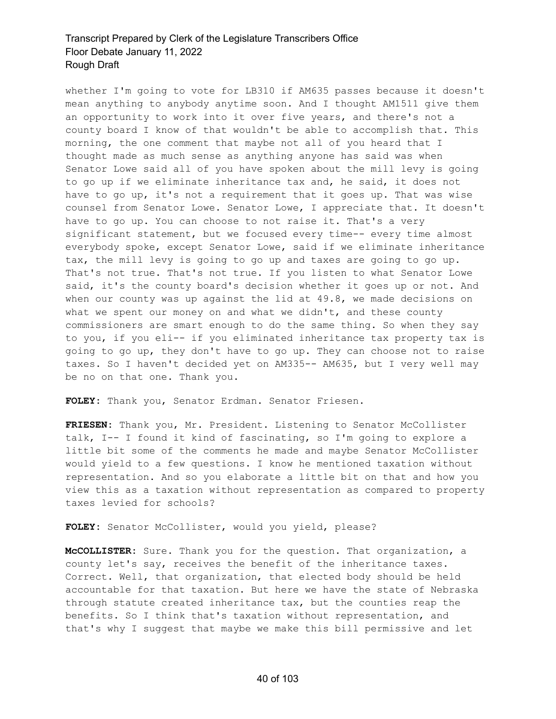whether I'm going to vote for LB310 if AM635 passes because it doesn't mean anything to anybody anytime soon. And I thought AM1511 give them an opportunity to work into it over five years, and there's not a county board I know of that wouldn't be able to accomplish that. This morning, the one comment that maybe not all of you heard that I thought made as much sense as anything anyone has said was when Senator Lowe said all of you have spoken about the mill levy is going to go up if we eliminate inheritance tax and, he said, it does not have to go up, it's not a requirement that it goes up. That was wise counsel from Senator Lowe. Senator Lowe, I appreciate that. It doesn't have to go up. You can choose to not raise it. That's a very significant statement, but we focused every time-- every time almost everybody spoke, except Senator Lowe, said if we eliminate inheritance tax, the mill levy is going to go up and taxes are going to go up. That's not true. That's not true. If you listen to what Senator Lowe said, it's the county board's decision whether it goes up or not. And when our county was up against the lid at 49.8, we made decisions on what we spent our money on and what we didn't, and these county commissioners are smart enough to do the same thing. So when they say to you, if you eli-- if you eliminated inheritance tax property tax is going to go up, they don't have to go up. They can choose not to raise taxes. So I haven't decided yet on AM335-- AM635, but I very well may be no on that one. Thank you.

**FOLEY:** Thank you, Senator Erdman. Senator Friesen.

**FRIESEN:** Thank you, Mr. President. Listening to Senator McCollister talk, I-- I found it kind of fascinating, so I'm going to explore a little bit some of the comments he made and maybe Senator McCollister would yield to a few questions. I know he mentioned taxation without representation. And so you elaborate a little bit on that and how you view this as a taxation without representation as compared to property taxes levied for schools?

FOLEY: Senator McCollister, would you yield, please?

**McCOLLISTER:** Sure. Thank you for the question. That organization, a county let's say, receives the benefit of the inheritance taxes. Correct. Well, that organization, that elected body should be held accountable for that taxation. But here we have the state of Nebraska through statute created inheritance tax, but the counties reap the benefits. So I think that's taxation without representation, and that's why I suggest that maybe we make this bill permissive and let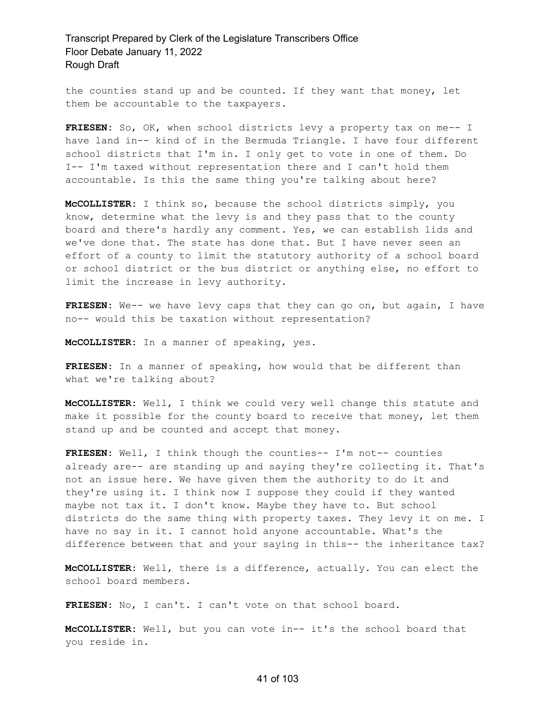the counties stand up and be counted. If they want that money, let them be accountable to the taxpayers.

**FRIESEN:** So, OK, when school districts levy a property tax on me-- I have land in-- kind of in the Bermuda Triangle. I have four different school districts that I'm in. I only get to vote in one of them. Do I-- I'm taxed without representation there and I can't hold them accountable. Is this the same thing you're talking about here?

**McCOLLISTER:** I think so, because the school districts simply, you know, determine what the levy is and they pass that to the county board and there's hardly any comment. Yes, we can establish lids and we've done that. The state has done that. But I have never seen an effort of a county to limit the statutory authority of a school board or school district or the bus district or anything else, no effort to limit the increase in levy authority.

**FRIESEN:** We-- we have levy caps that they can go on, but again, I have no-- would this be taxation without representation?

**McCOLLISTER:** In a manner of speaking, yes.

**FRIESEN:** In a manner of speaking, how would that be different than what we're talking about?

**McCOLLISTER:** Well, I think we could very well change this statute and make it possible for the county board to receive that money, let them stand up and be counted and accept that money.

**FRIESEN:** Well, I think though the counties-- I'm not-- counties already are-- are standing up and saying they're collecting it. That's not an issue here. We have given them the authority to do it and they're using it. I think now I suppose they could if they wanted maybe not tax it. I don't know. Maybe they have to. But school districts do the same thing with property taxes. They levy it on me. I have no say in it. I cannot hold anyone accountable. What's the difference between that and your saying in this-- the inheritance tax?

**McCOLLISTER:** Well, there is a difference, actually. You can elect the school board members.

**FRIESEN:** No, I can't. I can't vote on that school board.

**McCOLLISTER:** Well, but you can vote in-- it's the school board that you reside in.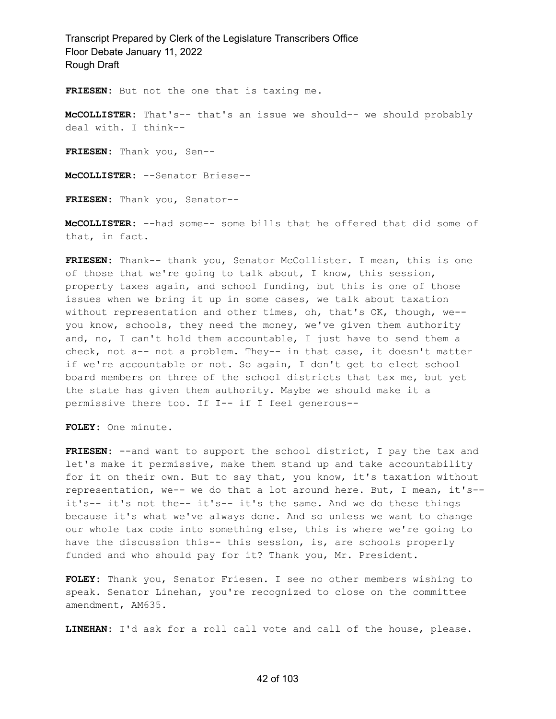**FRIESEN:** But not the one that is taxing me.

**McCOLLISTER:** That's-- that's an issue we should-- we should probably deal with. I think--

**FRIESEN:** Thank you, Sen--

**McCOLLISTER:** --Senator Briese--

**FRIESEN:** Thank you, Senator--

**McCOLLISTER:** --had some-- some bills that he offered that did some of that, in fact.

**FRIESEN:** Thank-- thank you, Senator McCollister. I mean, this is one of those that we're going to talk about, I know, this session, property taxes again, and school funding, but this is one of those issues when we bring it up in some cases, we talk about taxation without representation and other times, oh, that's OK, though, we- you know, schools, they need the money, we've given them authority and, no, I can't hold them accountable, I just have to send them a check, not a-- not a problem. They-- in that case, it doesn't matter if we're accountable or not. So again, I don't get to elect school board members on three of the school districts that tax me, but yet the state has given them authority. Maybe we should make it a permissive there too. If I-- if I feel generous--

**FOLEY:** One minute.

**FRIESEN:** --and want to support the school district, I pay the tax and let's make it permissive, make them stand up and take accountability for it on their own. But to say that, you know, it's taxation without representation, we-- we do that a lot around here. But, I mean, it's- it's-- it's not the-- it's-- it's the same. And we do these things because it's what we've always done. And so unless we want to change our whole tax code into something else, this is where we're going to have the discussion this-- this session, is, are schools properly funded and who should pay for it? Thank you, Mr. President.

**FOLEY:** Thank you, Senator Friesen. I see no other members wishing to speak. Senator Linehan, you're recognized to close on the committee amendment, AM635.

**LINEHAN:** I'd ask for a roll call vote and call of the house, please.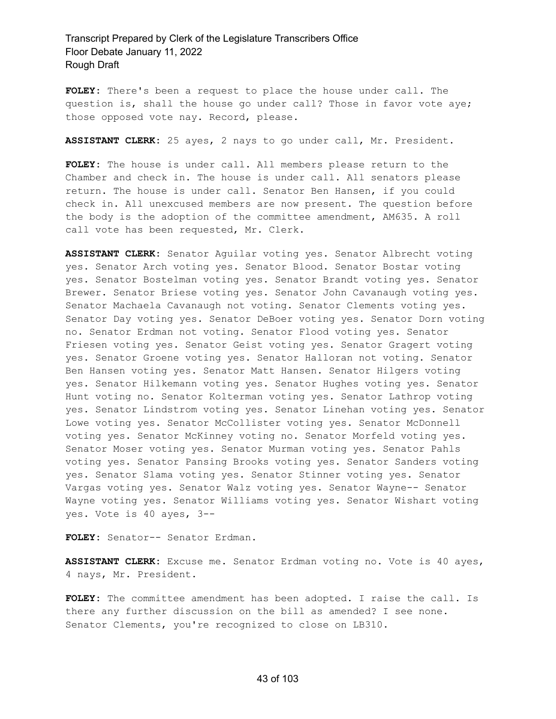**FOLEY:** There's been a request to place the house under call. The question is, shall the house go under call? Those in favor vote aye; those opposed vote nay. Record, please.

**ASSISTANT CLERK:** 25 ayes, 2 nays to go under call, Mr. President.

**FOLEY:** The house is under call. All members please return to the Chamber and check in. The house is under call. All senators please return. The house is under call. Senator Ben Hansen, if you could check in. All unexcused members are now present. The question before the body is the adoption of the committee amendment, AM635. A roll call vote has been requested, Mr. Clerk.

**ASSISTANT CLERK:** Senator Aguilar voting yes. Senator Albrecht voting yes. Senator Arch voting yes. Senator Blood. Senator Bostar voting yes. Senator Bostelman voting yes. Senator Brandt voting yes. Senator Brewer. Senator Briese voting yes. Senator John Cavanaugh voting yes. Senator Machaela Cavanaugh not voting. Senator Clements voting yes. Senator Day voting yes. Senator DeBoer voting yes. Senator Dorn voting no. Senator Erdman not voting. Senator Flood voting yes. Senator Friesen voting yes. Senator Geist voting yes. Senator Gragert voting yes. Senator Groene voting yes. Senator Halloran not voting. Senator Ben Hansen voting yes. Senator Matt Hansen. Senator Hilgers voting yes. Senator Hilkemann voting yes. Senator Hughes voting yes. Senator Hunt voting no. Senator Kolterman voting yes. Senator Lathrop voting yes. Senator Lindstrom voting yes. Senator Linehan voting yes. Senator Lowe voting yes. Senator McCollister voting yes. Senator McDonnell voting yes. Senator McKinney voting no. Senator Morfeld voting yes. Senator Moser voting yes. Senator Murman voting yes. Senator Pahls voting yes. Senator Pansing Brooks voting yes. Senator Sanders voting yes. Senator Slama voting yes. Senator Stinner voting yes. Senator Vargas voting yes. Senator Walz voting yes. Senator Wayne-- Senator Wayne voting yes. Senator Williams voting yes. Senator Wishart voting yes. Vote is 40 ayes, 3--

**FOLEY:** Senator-- Senator Erdman.

**ASSISTANT CLERK:** Excuse me. Senator Erdman voting no. Vote is 40 ayes, 4 nays, Mr. President.

**FOLEY:** The committee amendment has been adopted. I raise the call. Is there any further discussion on the bill as amended? I see none. Senator Clements, you're recognized to close on LB310.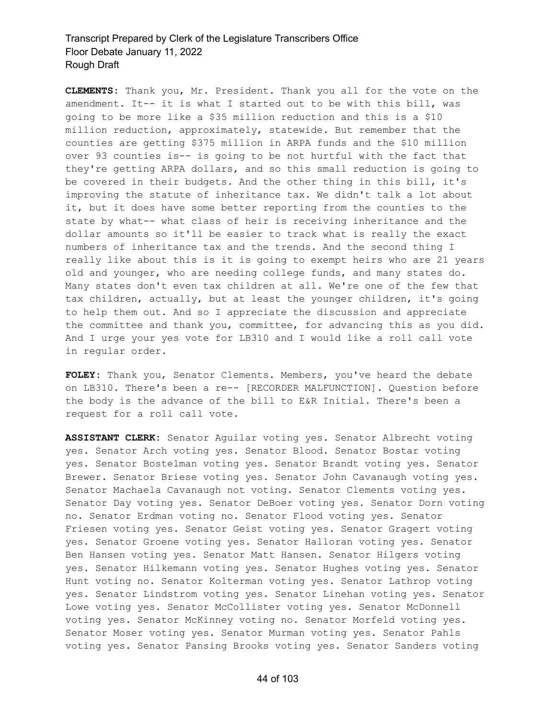**CLEMENTS:** Thank you, Mr. President. Thank you all for the vote on the amendment. It-- it is what I started out to be with this bill, was going to be more like a \$35 million reduction and this is a \$10 million reduction, approximately, statewide. But remember that the counties are getting \$375 million in ARPA funds and the \$10 million over 93 counties is-- is going to be not hurtful with the fact that they're getting ARPA dollars, and so this small reduction is going to be covered in their budgets. And the other thing in this bill, it's improving the statute of inheritance tax. We didn't talk a lot about it, but it does have some better reporting from the counties to the state by what-- what class of heir is receiving inheritance and the dollar amounts so it'll be easier to track what is really the exact numbers of inheritance tax and the trends. And the second thing I really like about this is it is going to exempt heirs who are 21 years old and younger, who are needing college funds, and many states do. Many states don't even tax children at all. We're one of the few that tax children, actually, but at least the younger children, it's going to help them out. And so I appreciate the discussion and appreciate the committee and thank you, committee, for advancing this as you did. And I urge your yes vote for LB310 and I would like a roll call vote in regular order.

**FOLEY:** Thank you, Senator Clements. Members, you've heard the debate on LB310. There's been a re-- [RECORDER MALFUNCTION]. Question before the body is the advance of the bill to E&R Initial. There's been a request for a roll call vote.

**ASSISTANT CLERK:** Senator Aguilar voting yes. Senator Albrecht voting yes. Senator Arch voting yes. Senator Blood. Senator Bostar voting yes. Senator Bostelman voting yes. Senator Brandt voting yes. Senator Brewer. Senator Briese voting yes. Senator John Cavanaugh voting yes. Senator Machaela Cavanaugh not voting. Senator Clements voting yes. Senator Day voting yes. Senator DeBoer voting yes. Senator Dorn voting no. Senator Erdman voting no. Senator Flood voting yes. Senator Friesen voting yes. Senator Geist voting yes. Senator Gragert voting yes. Senator Groene voting yes. Senator Halloran voting yes. Senator Ben Hansen voting yes. Senator Matt Hansen. Senator Hilgers voting yes. Senator Hilkemann voting yes. Senator Hughes voting yes. Senator Hunt voting no. Senator Kolterman voting yes. Senator Lathrop voting yes. Senator Lindstrom voting yes. Senator Linehan voting yes. Senator Lowe voting yes. Senator McCollister voting yes. Senator McDonnell voting yes. Senator McKinney voting no. Senator Morfeld voting yes. Senator Moser voting yes. Senator Murman voting yes. Senator Pahls voting yes. Senator Pansing Brooks voting yes. Senator Sanders voting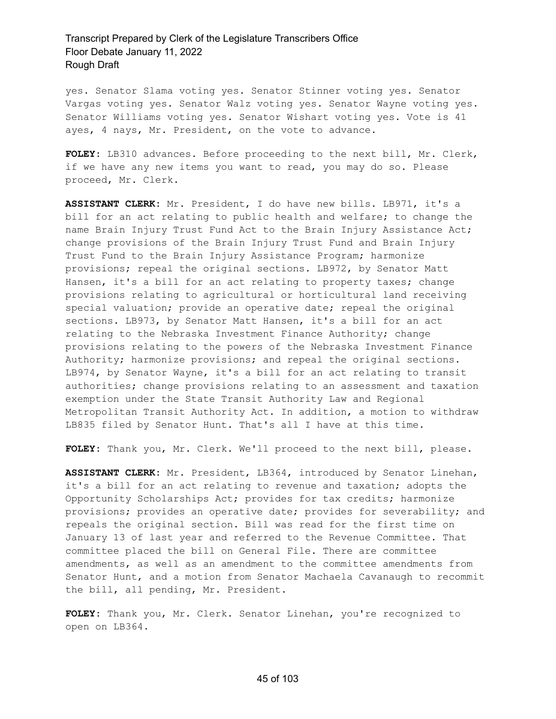yes. Senator Slama voting yes. Senator Stinner voting yes. Senator Vargas voting yes. Senator Walz voting yes. Senator Wayne voting yes. Senator Williams voting yes. Senator Wishart voting yes. Vote is 41 ayes, 4 nays, Mr. President, on the vote to advance.

**FOLEY:** LB310 advances. Before proceeding to the next bill, Mr. Clerk, if we have any new items you want to read, you may do so. Please proceed, Mr. Clerk.

**ASSISTANT CLERK:** Mr. President, I do have new bills. LB971, it's a bill for an act relating to public health and welfare; to change the name Brain Injury Trust Fund Act to the Brain Injury Assistance Act; change provisions of the Brain Injury Trust Fund and Brain Injury Trust Fund to the Brain Injury Assistance Program; harmonize provisions; repeal the original sections. LB972, by Senator Matt Hansen, it's a bill for an act relating to property taxes; change provisions relating to agricultural or horticultural land receiving special valuation; provide an operative date; repeal the original sections. LB973, by Senator Matt Hansen, it's a bill for an act relating to the Nebraska Investment Finance Authority; change provisions relating to the powers of the Nebraska Investment Finance Authority; harmonize provisions; and repeal the original sections. LB974, by Senator Wayne, it's a bill for an act relating to transit authorities; change provisions relating to an assessment and taxation exemption under the State Transit Authority Law and Regional Metropolitan Transit Authority Act. In addition, a motion to withdraw LB835 filed by Senator Hunt. That's all I have at this time.

**FOLEY:** Thank you, Mr. Clerk. We'll proceed to the next bill, please.

**ASSISTANT CLERK:** Mr. President, LB364, introduced by Senator Linehan, it's a bill for an act relating to revenue and taxation; adopts the Opportunity Scholarships Act; provides for tax credits; harmonize provisions; provides an operative date; provides for severability; and repeals the original section. Bill was read for the first time on January 13 of last year and referred to the Revenue Committee. That committee placed the bill on General File. There are committee amendments, as well as an amendment to the committee amendments from Senator Hunt, and a motion from Senator Machaela Cavanaugh to recommit the bill, all pending, Mr. President.

**FOLEY:** Thank you, Mr. Clerk. Senator Linehan, you're recognized to open on LB364.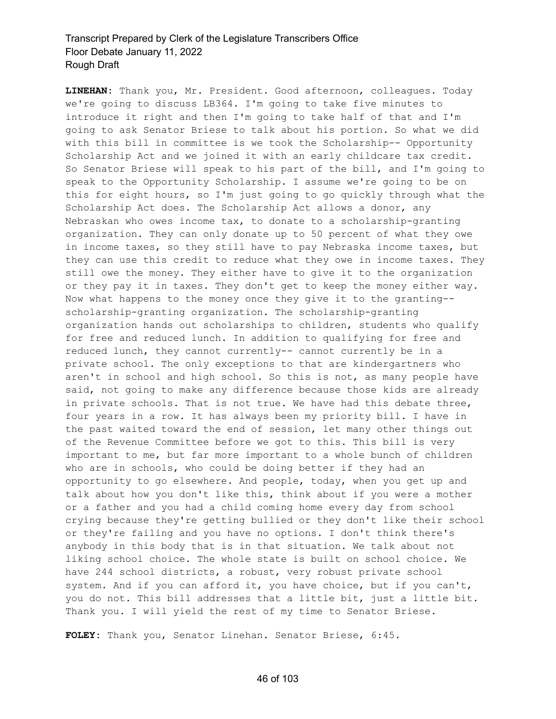**LINEHAN:** Thank you, Mr. President. Good afternoon, colleagues. Today we're going to discuss LB364. I'm going to take five minutes to introduce it right and then I'm going to take half of that and I'm going to ask Senator Briese to talk about his portion. So what we did with this bill in committee is we took the Scholarship-- Opportunity Scholarship Act and we joined it with an early childcare tax credit. So Senator Briese will speak to his part of the bill, and I'm going to speak to the Opportunity Scholarship. I assume we're going to be on this for eight hours, so I'm just going to go quickly through what the Scholarship Act does. The Scholarship Act allows a donor, any Nebraskan who owes income tax, to donate to a scholarship-granting organization. They can only donate up to 50 percent of what they owe in income taxes, so they still have to pay Nebraska income taxes, but they can use this credit to reduce what they owe in income taxes. They still owe the money. They either have to give it to the organization or they pay it in taxes. They don't get to keep the money either way. Now what happens to the money once they give it to the granting- scholarship-granting organization. The scholarship-granting organization hands out scholarships to children, students who qualify for free and reduced lunch. In addition to qualifying for free and reduced lunch, they cannot currently-- cannot currently be in a private school. The only exceptions to that are kindergartners who aren't in school and high school. So this is not, as many people have said, not going to make any difference because those kids are already in private schools. That is not true. We have had this debate three, four years in a row. It has always been my priority bill. I have in the past waited toward the end of session, let many other things out of the Revenue Committee before we got to this. This bill is very important to me, but far more important to a whole bunch of children who are in schools, who could be doing better if they had an opportunity to go elsewhere. And people, today, when you get up and talk about how you don't like this, think about if you were a mother or a father and you had a child coming home every day from school crying because they're getting bullied or they don't like their school or they're failing and you have no options. I don't think there's anybody in this body that is in that situation. We talk about not liking school choice. The whole state is built on school choice. We have 244 school districts, a robust, very robust private school system. And if you can afford it, you have choice, but if you can't, you do not. This bill addresses that a little bit, just a little bit. Thank you. I will yield the rest of my time to Senator Briese.

**FOLEY:** Thank you, Senator Linehan. Senator Briese, 6:45.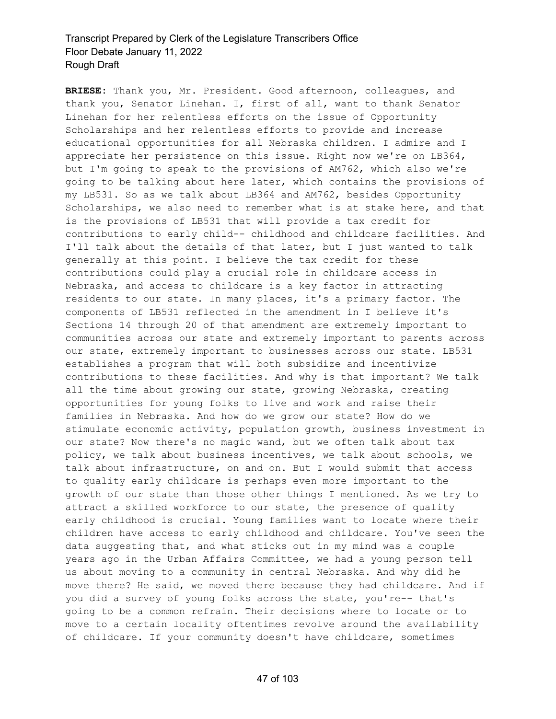**BRIESE:** Thank you, Mr. President. Good afternoon, colleagues, and thank you, Senator Linehan. I, first of all, want to thank Senator Linehan for her relentless efforts on the issue of Opportunity Scholarships and her relentless efforts to provide and increase educational opportunities for all Nebraska children. I admire and I appreciate her persistence on this issue. Right now we're on LB364, but I'm going to speak to the provisions of AM762, which also we're going to be talking about here later, which contains the provisions of my LB531. So as we talk about LB364 and AM762, besides Opportunity Scholarships, we also need to remember what is at stake here, and that is the provisions of LB531 that will provide a tax credit for contributions to early child-- childhood and childcare facilities. And I'll talk about the details of that later, but I just wanted to talk generally at this point. I believe the tax credit for these contributions could play a crucial role in childcare access in Nebraska, and access to childcare is a key factor in attracting residents to our state. In many places, it's a primary factor. The components of LB531 reflected in the amendment in I believe it's Sections 14 through 20 of that amendment are extremely important to communities across our state and extremely important to parents across our state, extremely important to businesses across our state. LB531 establishes a program that will both subsidize and incentivize contributions to these facilities. And why is that important? We talk all the time about growing our state, growing Nebraska, creating opportunities for young folks to live and work and raise their families in Nebraska. And how do we grow our state? How do we stimulate economic activity, population growth, business investment in our state? Now there's no magic wand, but we often talk about tax policy, we talk about business incentives, we talk about schools, we talk about infrastructure, on and on. But I would submit that access to quality early childcare is perhaps even more important to the growth of our state than those other things I mentioned. As we try to attract a skilled workforce to our state, the presence of quality early childhood is crucial. Young families want to locate where their children have access to early childhood and childcare. You've seen the data suggesting that, and what sticks out in my mind was a couple years ago in the Urban Affairs Committee, we had a young person tell us about moving to a community in central Nebraska. And why did he move there? He said, we moved there because they had childcare. And if you did a survey of young folks across the state, you're-- that's going to be a common refrain. Their decisions where to locate or to move to a certain locality oftentimes revolve around the availability of childcare. If your community doesn't have childcare, sometimes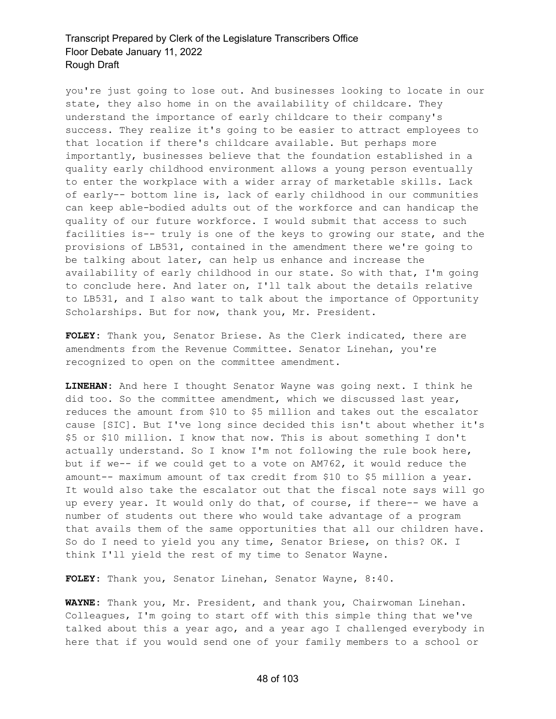you're just going to lose out. And businesses looking to locate in our state, they also home in on the availability of childcare. They understand the importance of early childcare to their company's success. They realize it's going to be easier to attract employees to that location if there's childcare available. But perhaps more importantly, businesses believe that the foundation established in a quality early childhood environment allows a young person eventually to enter the workplace with a wider array of marketable skills. Lack of early-- bottom line is, lack of early childhood in our communities can keep able-bodied adults out of the workforce and can handicap the quality of our future workforce. I would submit that access to such facilities is-- truly is one of the keys to growing our state, and the provisions of LB531, contained in the amendment there we're going to be talking about later, can help us enhance and increase the availability of early childhood in our state. So with that, I'm going to conclude here. And later on, I'll talk about the details relative to LB531, and I also want to talk about the importance of Opportunity Scholarships. But for now, thank you, Mr. President.

**FOLEY:** Thank you, Senator Briese. As the Clerk indicated, there are amendments from the Revenue Committee. Senator Linehan, you're recognized to open on the committee amendment.

**LINEHAN:** And here I thought Senator Wayne was going next. I think he did too. So the committee amendment, which we discussed last year, reduces the amount from \$10 to \$5 million and takes out the escalator cause [SIC]. But I've long since decided this isn't about whether it's \$5 or \$10 million. I know that now. This is about something I don't actually understand. So I know I'm not following the rule book here, but if we-- if we could get to a vote on AM762, it would reduce the amount-- maximum amount of tax credit from \$10 to \$5 million a year. It would also take the escalator out that the fiscal note says will go up every year. It would only do that, of course, if there-- we have a number of students out there who would take advantage of a program that avails them of the same opportunities that all our children have. So do I need to yield you any time, Senator Briese, on this? OK. I think I'll yield the rest of my time to Senator Wayne.

**FOLEY:** Thank you, Senator Linehan, Senator Wayne, 8:40.

**WAYNE:** Thank you, Mr. President, and thank you, Chairwoman Linehan. Colleagues, I'm going to start off with this simple thing that we've talked about this a year ago, and a year ago I challenged everybody in here that if you would send one of your family members to a school or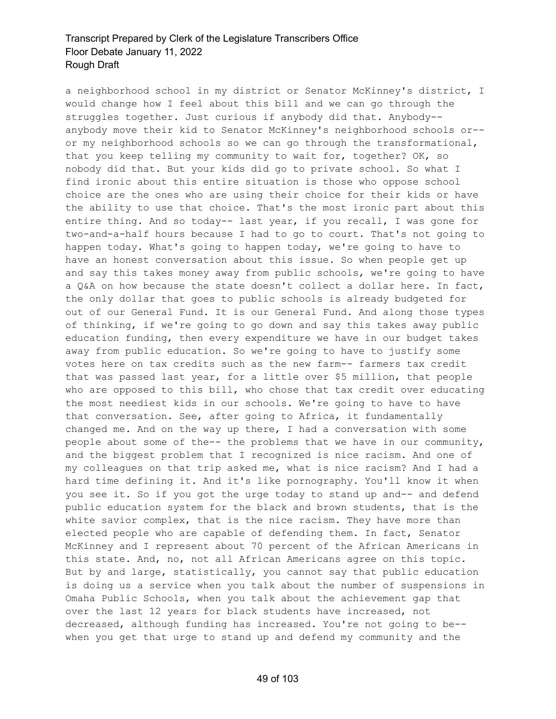a neighborhood school in my district or Senator McKinney's district, I would change how I feel about this bill and we can go through the struggles together. Just curious if anybody did that. Anybody- anybody move their kid to Senator McKinney's neighborhood schools or- or my neighborhood schools so we can go through the transformational, that you keep telling my community to wait for, together? OK, so nobody did that. But your kids did go to private school. So what I find ironic about this entire situation is those who oppose school choice are the ones who are using their choice for their kids or have the ability to use that choice. That's the most ironic part about this entire thing. And so today-- last year, if you recall, I was gone for two-and-a-half hours because I had to go to court. That's not going to happen today. What's going to happen today, we're going to have to have an honest conversation about this issue. So when people get up and say this takes money away from public schools, we're going to have a Q&A on how because the state doesn't collect a dollar here. In fact, the only dollar that goes to public schools is already budgeted for out of our General Fund. It is our General Fund. And along those types of thinking, if we're going to go down and say this takes away public education funding, then every expenditure we have in our budget takes away from public education. So we're going to have to justify some votes here on tax credits such as the new farm-- farmers tax credit that was passed last year, for a little over \$5 million, that people who are opposed to this bill, who chose that tax credit over educating the most neediest kids in our schools. We're going to have to have that conversation. See, after going to Africa, it fundamentally changed me. And on the way up there, I had a conversation with some people about some of the-- the problems that we have in our community, and the biggest problem that I recognized is nice racism. And one of my colleagues on that trip asked me, what is nice racism? And I had a hard time defining it. And it's like pornography. You'll know it when you see it. So if you got the urge today to stand up and-- and defend public education system for the black and brown students, that is the white savior complex, that is the nice racism. They have more than elected people who are capable of defending them. In fact, Senator McKinney and I represent about 70 percent of the African Americans in this state. And, no, not all African Americans agree on this topic. But by and large, statistically, you cannot say that public education is doing us a service when you talk about the number of suspensions in Omaha Public Schools, when you talk about the achievement gap that over the last 12 years for black students have increased, not decreased, although funding has increased. You're not going to be- when you get that urge to stand up and defend my community and the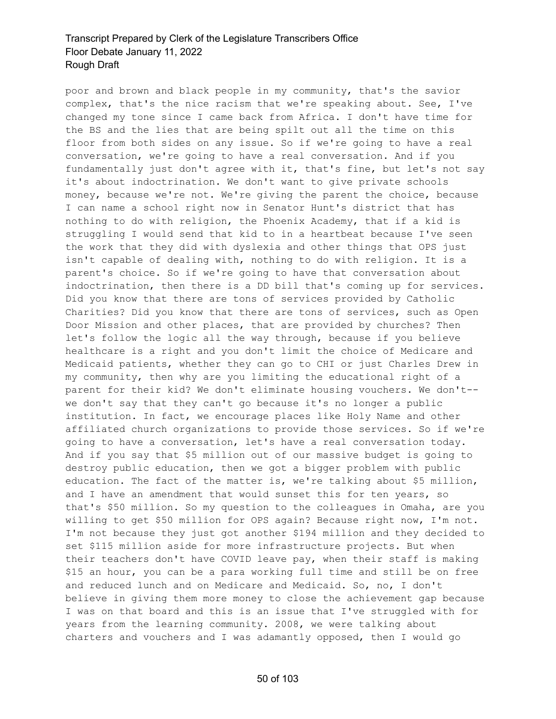poor and brown and black people in my community, that's the savior complex, that's the nice racism that we're speaking about. See, I've changed my tone since I came back from Africa. I don't have time for the BS and the lies that are being spilt out all the time on this floor from both sides on any issue. So if we're going to have a real conversation, we're going to have a real conversation. And if you fundamentally just don't agree with it, that's fine, but let's not say it's about indoctrination. We don't want to give private schools money, because we're not. We're giving the parent the choice, because I can name a school right now in Senator Hunt's district that has nothing to do with religion, the Phoenix Academy, that if a kid is struggling I would send that kid to in a heartbeat because I've seen the work that they did with dyslexia and other things that OPS just isn't capable of dealing with, nothing to do with religion. It is a parent's choice. So if we're going to have that conversation about indoctrination, then there is a DD bill that's coming up for services. Did you know that there are tons of services provided by Catholic Charities? Did you know that there are tons of services, such as Open Door Mission and other places, that are provided by churches? Then let's follow the logic all the way through, because if you believe healthcare is a right and you don't limit the choice of Medicare and Medicaid patients, whether they can go to CHI or just Charles Drew in my community, then why are you limiting the educational right of a parent for their kid? We don't eliminate housing vouchers. We don't- we don't say that they can't go because it's no longer a public institution. In fact, we encourage places like Holy Name and other affiliated church organizations to provide those services. So if we're going to have a conversation, let's have a real conversation today. And if you say that \$5 million out of our massive budget is going to destroy public education, then we got a bigger problem with public education. The fact of the matter is, we're talking about \$5 million, and I have an amendment that would sunset this for ten years, so that's \$50 million. So my question to the colleagues in Omaha, are you willing to get \$50 million for OPS again? Because right now, I'm not. I'm not because they just got another \$194 million and they decided to set \$115 million aside for more infrastructure projects. But when their teachers don't have COVID leave pay, when their staff is making \$15 an hour, you can be a para working full time and still be on free and reduced lunch and on Medicare and Medicaid. So, no, I don't believe in giving them more money to close the achievement gap because I was on that board and this is an issue that I've struggled with for years from the learning community. 2008, we were talking about charters and vouchers and I was adamantly opposed, then I would go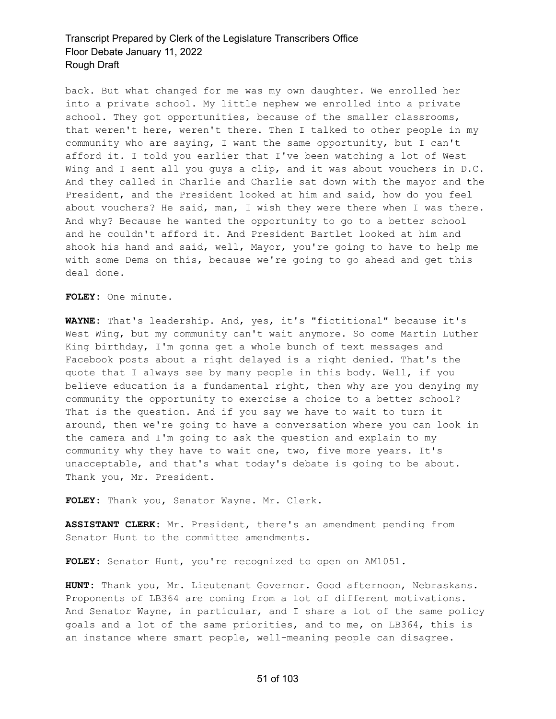back. But what changed for me was my own daughter. We enrolled her into a private school. My little nephew we enrolled into a private school. They got opportunities, because of the smaller classrooms, that weren't here, weren't there. Then I talked to other people in my community who are saying, I want the same opportunity, but I can't afford it. I told you earlier that I've been watching a lot of West Wing and I sent all you guys a clip, and it was about vouchers in D.C. And they called in Charlie and Charlie sat down with the mayor and the President, and the President looked at him and said, how do you feel about vouchers? He said, man, I wish they were there when I was there. And why? Because he wanted the opportunity to go to a better school and he couldn't afford it. And President Bartlet looked at him and shook his hand and said, well, Mayor, you're going to have to help me with some Dems on this, because we're going to go ahead and get this deal done.

**FOLEY:** One minute.

**WAYNE:** That's leadership. And, yes, it's "fictitional" because it's West Wing, but my community can't wait anymore. So come Martin Luther King birthday, I'm gonna get a whole bunch of text messages and Facebook posts about a right delayed is a right denied. That's the quote that I always see by many people in this body. Well, if you believe education is a fundamental right, then why are you denying my community the opportunity to exercise a choice to a better school? That is the question. And if you say we have to wait to turn it around, then we're going to have a conversation where you can look in the camera and I'm going to ask the question and explain to my community why they have to wait one, two, five more years. It's unacceptable, and that's what today's debate is going to be about. Thank you, Mr. President.

**FOLEY:** Thank you, Senator Wayne. Mr. Clerk.

**ASSISTANT CLERK:** Mr. President, there's an amendment pending from Senator Hunt to the committee amendments.

**FOLEY:** Senator Hunt, you're recognized to open on AM1051.

**HUNT:** Thank you, Mr. Lieutenant Governor. Good afternoon, Nebraskans. Proponents of LB364 are coming from a lot of different motivations. And Senator Wayne, in particular, and I share a lot of the same policy goals and a lot of the same priorities, and to me, on LB364, this is an instance where smart people, well-meaning people can disagree.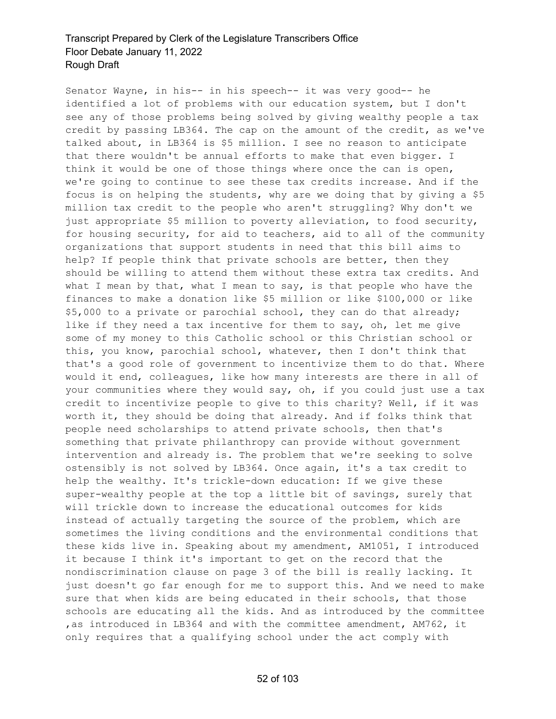Senator Wayne, in his-- in his speech-- it was very good-- he identified a lot of problems with our education system, but I don't see any of those problems being solved by giving wealthy people a tax credit by passing LB364. The cap on the amount of the credit, as we've talked about, in LB364 is \$5 million. I see no reason to anticipate that there wouldn't be annual efforts to make that even bigger. I think it would be one of those things where once the can is open, we're going to continue to see these tax credits increase. And if the focus is on helping the students, why are we doing that by giving a \$5 million tax credit to the people who aren't struggling? Why don't we just appropriate \$5 million to poverty alleviation, to food security, for housing security, for aid to teachers, aid to all of the community organizations that support students in need that this bill aims to help? If people think that private schools are better, then they should be willing to attend them without these extra tax credits. And what I mean by that, what I mean to say, is that people who have the finances to make a donation like \$5 million or like \$100,000 or like \$5,000 to a private or parochial school, they can do that already; like if they need a tax incentive for them to say, oh, let me give some of my money to this Catholic school or this Christian school or this, you know, parochial school, whatever, then I don't think that that's a good role of government to incentivize them to do that. Where would it end, colleagues, like how many interests are there in all of your communities where they would say, oh, if you could just use a tax credit to incentivize people to give to this charity? Well, if it was worth it, they should be doing that already. And if folks think that people need scholarships to attend private schools, then that's something that private philanthropy can provide without government intervention and already is. The problem that we're seeking to solve ostensibly is not solved by LB364. Once again, it's a tax credit to help the wealthy. It's trickle-down education: If we give these super-wealthy people at the top a little bit of savings, surely that will trickle down to increase the educational outcomes for kids instead of actually targeting the source of the problem, which are sometimes the living conditions and the environmental conditions that these kids live in. Speaking about my amendment, AM1051, I introduced it because I think it's important to get on the record that the nondiscrimination clause on page 3 of the bill is really lacking. It just doesn't go far enough for me to support this. And we need to make sure that when kids are being educated in their schools, that those schools are educating all the kids. And as introduced by the committee ,as introduced in LB364 and with the committee amendment, AM762, it only requires that a qualifying school under the act comply with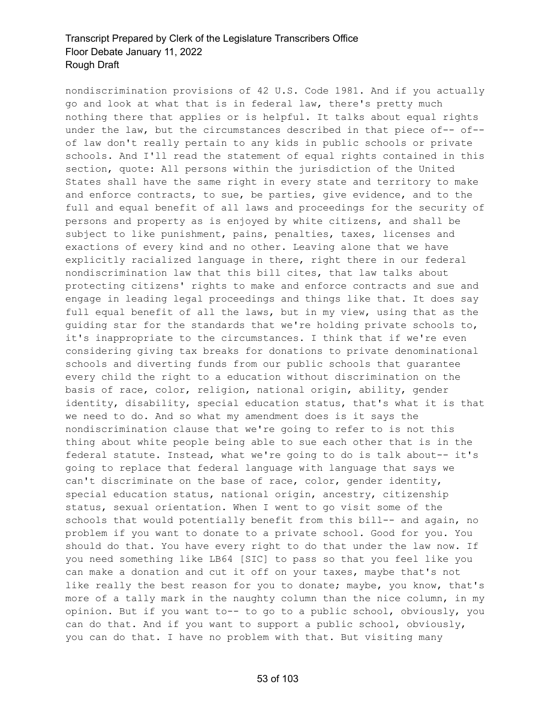nondiscrimination provisions of 42 U.S. Code 1981. And if you actually go and look at what that is in federal law, there's pretty much nothing there that applies or is helpful. It talks about equal rights under the law, but the circumstances described in that piece of-- of- of law don't really pertain to any kids in public schools or private schools. And I'll read the statement of equal rights contained in this section, quote: All persons within the jurisdiction of the United States shall have the same right in every state and territory to make and enforce contracts, to sue, be parties, give evidence, and to the full and equal benefit of all laws and proceedings for the security of persons and property as is enjoyed by white citizens, and shall be subject to like punishment, pains, penalties, taxes, licenses and exactions of every kind and no other. Leaving alone that we have explicitly racialized language in there, right there in our federal nondiscrimination law that this bill cites, that law talks about protecting citizens' rights to make and enforce contracts and sue and engage in leading legal proceedings and things like that. It does say full equal benefit of all the laws, but in my view, using that as the guiding star for the standards that we're holding private schools to, it's inappropriate to the circumstances. I think that if we're even considering giving tax breaks for donations to private denominational schools and diverting funds from our public schools that guarantee every child the right to a education without discrimination on the basis of race, color, religion, national origin, ability, gender identity, disability, special education status, that's what it is that we need to do. And so what my amendment does is it says the nondiscrimination clause that we're going to refer to is not this thing about white people being able to sue each other that is in the federal statute. Instead, what we're going to do is talk about-- it's going to replace that federal language with language that says we can't discriminate on the base of race, color, gender identity, special education status, national origin, ancestry, citizenship status, sexual orientation. When I went to go visit some of the schools that would potentially benefit from this bill-- and again, no problem if you want to donate to a private school. Good for you. You should do that. You have every right to do that under the law now. If you need something like LB64 [SIC] to pass so that you feel like you can make a donation and cut it off on your taxes, maybe that's not like really the best reason for you to donate; maybe, you know, that's more of a tally mark in the naughty column than the nice column, in my opinion. But if you want to-- to go to a public school, obviously, you can do that. And if you want to support a public school, obviously, you can do that. I have no problem with that. But visiting many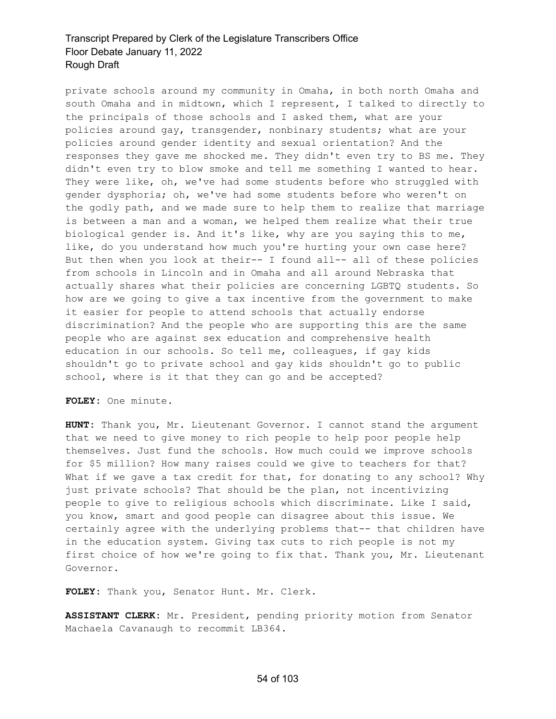private schools around my community in Omaha, in both north Omaha and south Omaha and in midtown, which I represent, I talked to directly to the principals of those schools and I asked them, what are your policies around gay, transgender, nonbinary students; what are your policies around gender identity and sexual orientation? And the responses they gave me shocked me. They didn't even try to BS me. They didn't even try to blow smoke and tell me something I wanted to hear. They were like, oh, we've had some students before who struggled with gender dysphoria; oh, we've had some students before who weren't on the godly path, and we made sure to help them to realize that marriage is between a man and a woman, we helped them realize what their true biological gender is. And it's like, why are you saying this to me, like, do you understand how much you're hurting your own case here? But then when you look at their-- I found all-- all of these policies from schools in Lincoln and in Omaha and all around Nebraska that actually shares what their policies are concerning LGBTQ students. So how are we going to give a tax incentive from the government to make it easier for people to attend schools that actually endorse discrimination? And the people who are supporting this are the same people who are against sex education and comprehensive health education in our schools. So tell me, colleagues, if gay kids shouldn't go to private school and gay kids shouldn't go to public school, where is it that they can go and be accepted?

**FOLEY:** One minute.

**HUNT:** Thank you, Mr. Lieutenant Governor. I cannot stand the argument that we need to give money to rich people to help poor people help themselves. Just fund the schools. How much could we improve schools for \$5 million? How many raises could we give to teachers for that? What if we gave a tax credit for that, for donating to any school? Why just private schools? That should be the plan, not incentivizing people to give to religious schools which discriminate. Like I said, you know, smart and good people can disagree about this issue. We certainly agree with the underlying problems that-- that children have in the education system. Giving tax cuts to rich people is not my first choice of how we're going to fix that. Thank you, Mr. Lieutenant Governor.

**FOLEY:** Thank you, Senator Hunt. Mr. Clerk.

**ASSISTANT CLERK:** Mr. President, pending priority motion from Senator Machaela Cavanaugh to recommit LB364.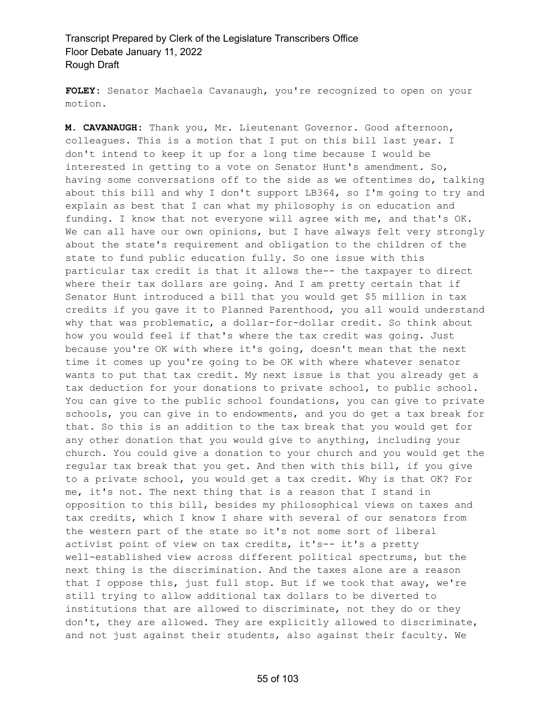**FOLEY:** Senator Machaela Cavanaugh, you're recognized to open on your motion.

**M. CAVANAUGH:** Thank you, Mr. Lieutenant Governor. Good afternoon, colleagues. This is a motion that I put on this bill last year. I don't intend to keep it up for a long time because I would be interested in getting to a vote on Senator Hunt's amendment. So, having some conversations off to the side as we oftentimes do, talking about this bill and why I don't support LB364, so I'm going to try and explain as best that I can what my philosophy is on education and funding. I know that not everyone will agree with me, and that's OK. We can all have our own opinions, but I have always felt very strongly about the state's requirement and obligation to the children of the state to fund public education fully. So one issue with this particular tax credit is that it allows the-- the taxpayer to direct where their tax dollars are going. And I am pretty certain that if Senator Hunt introduced a bill that you would get \$5 million in tax credits if you gave it to Planned Parenthood, you all would understand why that was problematic, a dollar-for-dollar credit. So think about how you would feel if that's where the tax credit was going. Just because you're OK with where it's going, doesn't mean that the next time it comes up you're going to be OK with where whatever senator wants to put that tax credit. My next issue is that you already get a tax deduction for your donations to private school, to public school. You can give to the public school foundations, you can give to private schools, you can give in to endowments, and you do get a tax break for that. So this is an addition to the tax break that you would get for any other donation that you would give to anything, including your church. You could give a donation to your church and you would get the regular tax break that you get. And then with this bill, if you give to a private school, you would get a tax credit. Why is that OK? For me, it's not. The next thing that is a reason that I stand in opposition to this bill, besides my philosophical views on taxes and tax credits, which I know I share with several of our senators from the western part of the state so it's not some sort of liberal activist point of view on tax credits, it's-- it's a pretty well-established view across different political spectrums, but the next thing is the discrimination. And the taxes alone are a reason that I oppose this, just full stop. But if we took that away, we're still trying to allow additional tax dollars to be diverted to institutions that are allowed to discriminate, not they do or they don't, they are allowed. They are explicitly allowed to discriminate, and not just against their students, also against their faculty. We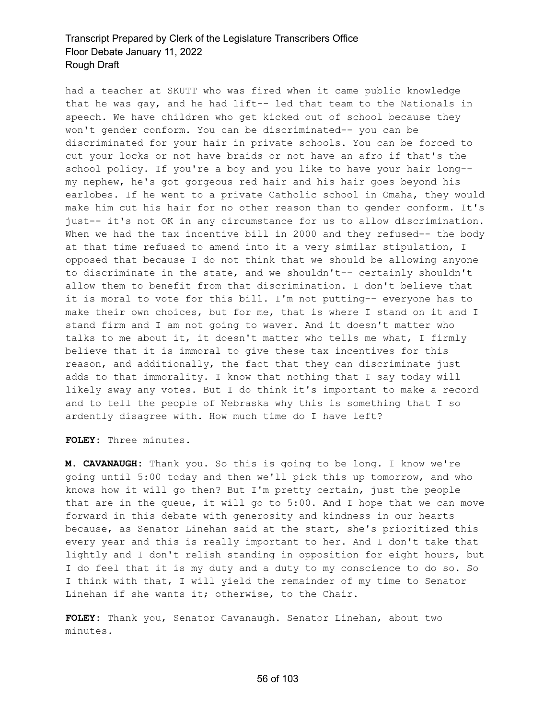had a teacher at SKUTT who was fired when it came public knowledge that he was gay, and he had lift-- led that team to the Nationals in speech. We have children who get kicked out of school because they won't gender conform. You can be discriminated-- you can be discriminated for your hair in private schools. You can be forced to cut your locks or not have braids or not have an afro if that's the school policy. If you're a boy and you like to have your hair long- my nephew, he's got gorgeous red hair and his hair goes beyond his earlobes. If he went to a private Catholic school in Omaha, they would make him cut his hair for no other reason than to gender conform. It's just-- it's not OK in any circumstance for us to allow discrimination. When we had the tax incentive bill in 2000 and they refused-- the body at that time refused to amend into it a very similar stipulation, I opposed that because I do not think that we should be allowing anyone to discriminate in the state, and we shouldn't-- certainly shouldn't allow them to benefit from that discrimination. I don't believe that it is moral to vote for this bill. I'm not putting-- everyone has to make their own choices, but for me, that is where I stand on it and I stand firm and I am not going to waver. And it doesn't matter who talks to me about it, it doesn't matter who tells me what, I firmly believe that it is immoral to give these tax incentives for this reason, and additionally, the fact that they can discriminate just adds to that immorality. I know that nothing that I say today will likely sway any votes. But I do think it's important to make a record and to tell the people of Nebraska why this is something that I so ardently disagree with. How much time do I have left?

**FOLEY:** Three minutes.

**M. CAVANAUGH:** Thank you. So this is going to be long. I know we're going until 5:00 today and then we'll pick this up tomorrow, and who knows how it will go then? But I'm pretty certain, just the people that are in the queue, it will go to 5:00. And I hope that we can move forward in this debate with generosity and kindness in our hearts because, as Senator Linehan said at the start, she's prioritized this every year and this is really important to her. And I don't take that lightly and I don't relish standing in opposition for eight hours, but I do feel that it is my duty and a duty to my conscience to do so. So I think with that, I will yield the remainder of my time to Senator Linehan if she wants it; otherwise, to the Chair.

**FOLEY:** Thank you, Senator Cavanaugh. Senator Linehan, about two minutes.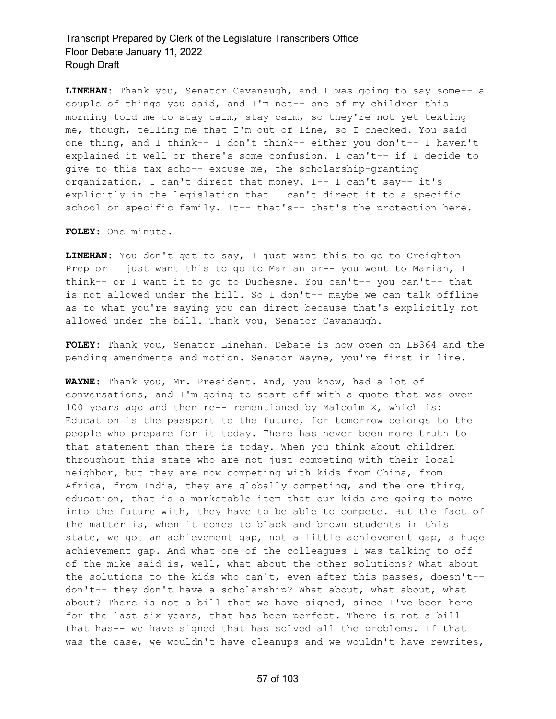**LINEHAN:** Thank you, Senator Cavanaugh, and I was going to say some-- a couple of things you said, and I'm not-- one of my children this morning told me to stay calm, stay calm, so they're not yet texting me, though, telling me that I'm out of line, so I checked. You said one thing, and I think-- I don't think-- either you don't-- I haven't explained it well or there's some confusion. I can't-- if I decide to give to this tax scho-- excuse me, the scholarship-granting organization, I can't direct that money. I-- I can't say-- it's explicitly in the legislation that I can't direct it to a specific school or specific family. It-- that's-- that's the protection here.

**FOLEY:** One minute.

**LINEHAN:** You don't get to say, I just want this to go to Creighton Prep or I just want this to go to Marian or-- you went to Marian, I think-- or I want it to go to Duchesne. You can't-- you can't-- that is not allowed under the bill. So I don't-- maybe we can talk offline as to what you're saying you can direct because that's explicitly not allowed under the bill. Thank you, Senator Cavanaugh.

**FOLEY:** Thank you, Senator Linehan. Debate is now open on LB364 and the pending amendments and motion. Senator Wayne, you're first in line.

**WAYNE:** Thank you, Mr. President. And, you know, had a lot of conversations, and I'm going to start off with a quote that was over 100 years ago and then re-- rementioned by Malcolm X, which is: Education is the passport to the future, for tomorrow belongs to the people who prepare for it today. There has never been more truth to that statement than there is today. When you think about children throughout this state who are not just competing with their local neighbor, but they are now competing with kids from China, from Africa, from India, they are globally competing, and the one thing, education, that is a marketable item that our kids are going to move into the future with, they have to be able to compete. But the fact of the matter is, when it comes to black and brown students in this state, we got an achievement gap, not a little achievement gap, a huge achievement gap. And what one of the colleagues I was talking to off of the mike said is, well, what about the other solutions? What about the solutions to the kids who can't, even after this passes, doesn't- don't-- they don't have a scholarship? What about, what about, what about? There is not a bill that we have signed, since I've been here for the last six years, that has been perfect. There is not a bill that has-- we have signed that has solved all the problems. If that was the case, we wouldn't have cleanups and we wouldn't have rewrites,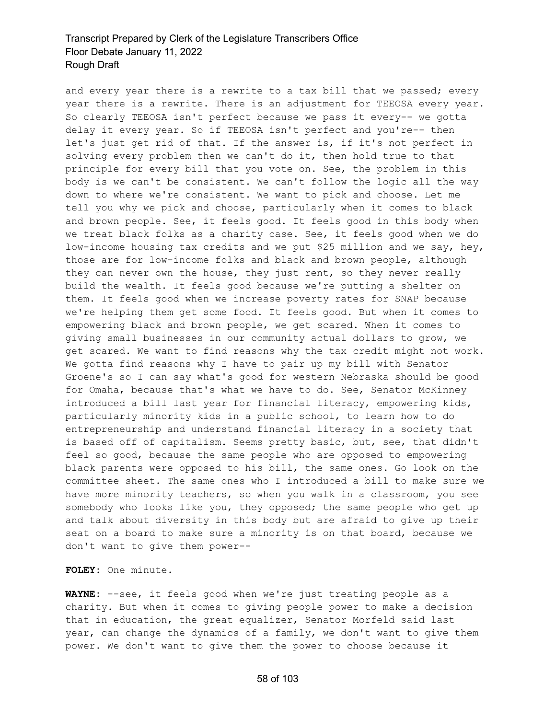and every year there is a rewrite to a tax bill that we passed; every year there is a rewrite. There is an adjustment for TEEOSA every year. So clearly TEEOSA isn't perfect because we pass it every-- we gotta delay it every year. So if TEEOSA isn't perfect and you're-- then let's just get rid of that. If the answer is, if it's not perfect in solving every problem then we can't do it, then hold true to that principle for every bill that you vote on. See, the problem in this body is we can't be consistent. We can't follow the logic all the way down to where we're consistent. We want to pick and choose. Let me tell you why we pick and choose, particularly when it comes to black and brown people. See, it feels good. It feels good in this body when we treat black folks as a charity case. See, it feels good when we do low-income housing tax credits and we put \$25 million and we say, hey, those are for low-income folks and black and brown people, although they can never own the house, they just rent, so they never really build the wealth. It feels good because we're putting a shelter on them. It feels good when we increase poverty rates for SNAP because we're helping them get some food. It feels good. But when it comes to empowering black and brown people, we get scared. When it comes to giving small businesses in our community actual dollars to grow, we get scared. We want to find reasons why the tax credit might not work. We gotta find reasons why I have to pair up my bill with Senator Groene's so I can say what's good for western Nebraska should be good for Omaha, because that's what we have to do. See, Senator McKinney introduced a bill last year for financial literacy, empowering kids, particularly minority kids in a public school, to learn how to do entrepreneurship and understand financial literacy in a society that is based off of capitalism. Seems pretty basic, but, see, that didn't feel so good, because the same people who are opposed to empowering black parents were opposed to his bill, the same ones. Go look on the committee sheet. The same ones who I introduced a bill to make sure we have more minority teachers, so when you walk in a classroom, you see somebody who looks like you, they opposed; the same people who get up and talk about diversity in this body but are afraid to give up their seat on a board to make sure a minority is on that board, because we don't want to give them power--

**FOLEY:** One minute.

**WAYNE:** --see, it feels good when we're just treating people as a charity. But when it comes to giving people power to make a decision that in education, the great equalizer, Senator Morfeld said last year, can change the dynamics of a family, we don't want to give them power. We don't want to give them the power to choose because it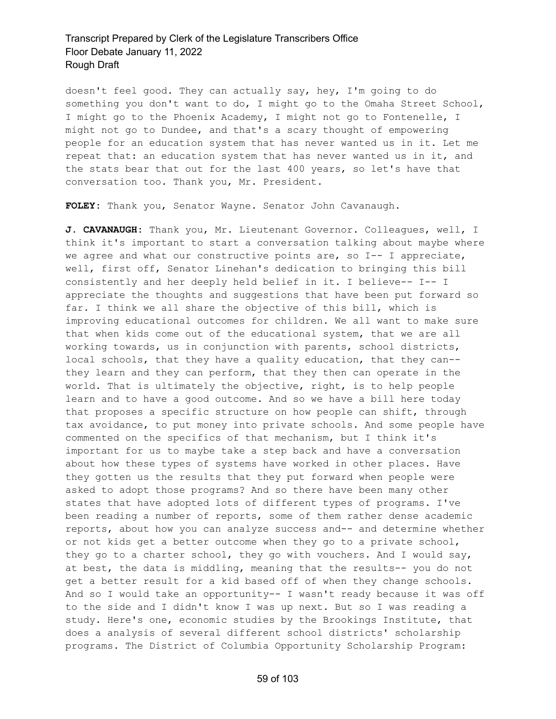doesn't feel good. They can actually say, hey, I'm going to do something you don't want to do, I might go to the Omaha Street School, I might go to the Phoenix Academy, I might not go to Fontenelle, I might not go to Dundee, and that's a scary thought of empowering people for an education system that has never wanted us in it. Let me repeat that: an education system that has never wanted us in it, and the stats bear that out for the last 400 years, so let's have that conversation too. Thank you, Mr. President.

**FOLEY:** Thank you, Senator Wayne. Senator John Cavanaugh.

**J. CAVANAUGH:** Thank you, Mr. Lieutenant Governor. Colleagues, well, I think it's important to start a conversation talking about maybe where we agree and what our constructive points are, so I-- I appreciate, well, first off, Senator Linehan's dedication to bringing this bill consistently and her deeply held belief in it. I believe-- I-- I appreciate the thoughts and suggestions that have been put forward so far. I think we all share the objective of this bill, which is improving educational outcomes for children. We all want to make sure that when kids come out of the educational system, that we are all working towards, us in conjunction with parents, school districts, local schools, that they have a quality education, that they can- they learn and they can perform, that they then can operate in the world. That is ultimately the objective, right, is to help people learn and to have a good outcome. And so we have a bill here today that proposes a specific structure on how people can shift, through tax avoidance, to put money into private schools. And some people have commented on the specifics of that mechanism, but I think it's important for us to maybe take a step back and have a conversation about how these types of systems have worked in other places. Have they gotten us the results that they put forward when people were asked to adopt those programs? And so there have been many other states that have adopted lots of different types of programs. I've been reading a number of reports, some of them rather dense academic reports, about how you can analyze success and-- and determine whether or not kids get a better outcome when they go to a private school, they go to a charter school, they go with vouchers. And I would say, at best, the data is middling, meaning that the results-- you do not get a better result for a kid based off of when they change schools. And so I would take an opportunity-- I wasn't ready because it was off to the side and I didn't know I was up next. But so I was reading a study. Here's one, economic studies by the Brookings Institute, that does a analysis of several different school districts' scholarship programs. The District of Columbia Opportunity Scholarship Program: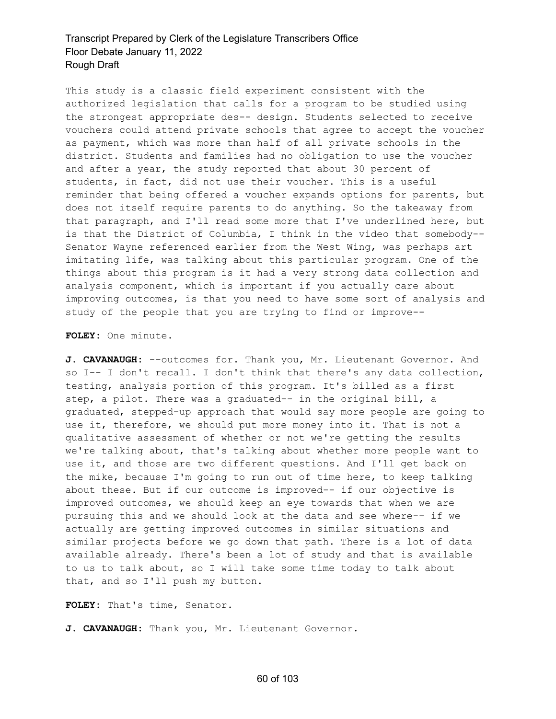This study is a classic field experiment consistent with the authorized legislation that calls for a program to be studied using the strongest appropriate des-- design. Students selected to receive vouchers could attend private schools that agree to accept the voucher as payment, which was more than half of all private schools in the district. Students and families had no obligation to use the voucher and after a year, the study reported that about 30 percent of students, in fact, did not use their voucher. This is a useful reminder that being offered a voucher expands options for parents, but does not itself require parents to do anything. So the takeaway from that paragraph, and I'll read some more that I've underlined here, but is that the District of Columbia, I think in the video that somebody-- Senator Wayne referenced earlier from the West Wing, was perhaps art imitating life, was talking about this particular program. One of the things about this program is it had a very strong data collection and analysis component, which is important if you actually care about improving outcomes, is that you need to have some sort of analysis and study of the people that you are trying to find or improve--

**FOLEY:** One minute.

J. CAVANAUGH: --outcomes for. Thank you, Mr. Lieutenant Governor. And so I-- I don't recall. I don't think that there's any data collection, testing, analysis portion of this program. It's billed as a first step, a pilot. There was a graduated-- in the original bill, a graduated, stepped-up approach that would say more people are going to use it, therefore, we should put more money into it. That is not a qualitative assessment of whether or not we're getting the results we're talking about, that's talking about whether more people want to use it, and those are two different questions. And I'll get back on the mike, because I'm going to run out of time here, to keep talking about these. But if our outcome is improved-- if our objective is improved outcomes, we should keep an eye towards that when we are pursuing this and we should look at the data and see where-- if we actually are getting improved outcomes in similar situations and similar projects before we go down that path. There is a lot of data available already. There's been a lot of study and that is available to us to talk about, so I will take some time today to talk about that, and so I'll push my button.

**FOLEY:** That's time, Senator.

**J. CAVANAUGH:** Thank you, Mr. Lieutenant Governor.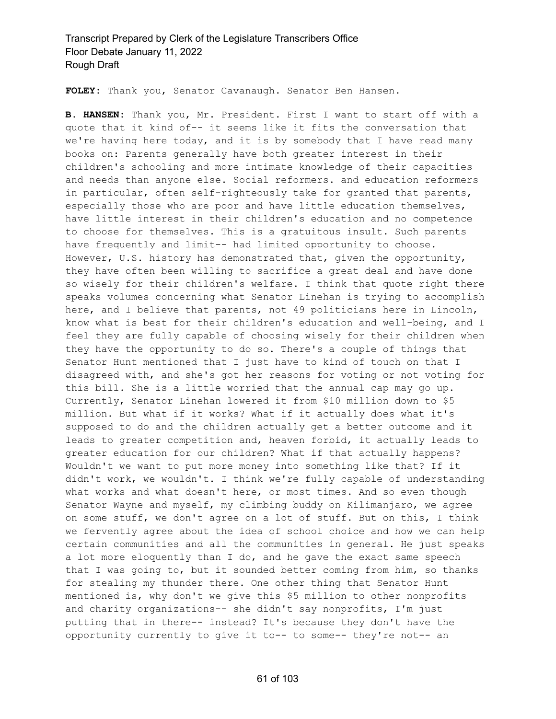**FOLEY:** Thank you, Senator Cavanaugh. Senator Ben Hansen.

**B. HANSEN:** Thank you, Mr. President. First I want to start off with a quote that it kind of-- it seems like it fits the conversation that we're having here today, and it is by somebody that I have read many books on: Parents generally have both greater interest in their children's schooling and more intimate knowledge of their capacities and needs than anyone else. Social reformers. and education reformers in particular, often self-righteously take for granted that parents, especially those who are poor and have little education themselves, have little interest in their children's education and no competence to choose for themselves. This is a gratuitous insult. Such parents have frequently and limit-- had limited opportunity to choose. However, U.S. history has demonstrated that, given the opportunity, they have often been willing to sacrifice a great deal and have done so wisely for their children's welfare. I think that quote right there speaks volumes concerning what Senator Linehan is trying to accomplish here, and I believe that parents, not 49 politicians here in Lincoln, know what is best for their children's education and well-being, and I feel they are fully capable of choosing wisely for their children when they have the opportunity to do so. There's a couple of things that Senator Hunt mentioned that I just have to kind of touch on that I disagreed with, and she's got her reasons for voting or not voting for this bill. She is a little worried that the annual cap may go up. Currently, Senator Linehan lowered it from \$10 million down to \$5 million. But what if it works? What if it actually does what it's supposed to do and the children actually get a better outcome and it leads to greater competition and, heaven forbid, it actually leads to greater education for our children? What if that actually happens? Wouldn't we want to put more money into something like that? If it didn't work, we wouldn't. I think we're fully capable of understanding what works and what doesn't here, or most times. And so even though Senator Wayne and myself, my climbing buddy on Kilimanjaro, we agree on some stuff, we don't agree on a lot of stuff. But on this, I think we fervently agree about the idea of school choice and how we can help certain communities and all the communities in general. He just speaks a lot more eloquently than I do, and he gave the exact same speech that I was going to, but it sounded better coming from him, so thanks for stealing my thunder there. One other thing that Senator Hunt mentioned is, why don't we give this \$5 million to other nonprofits and charity organizations-- she didn't say nonprofits, I'm just putting that in there-- instead? It's because they don't have the opportunity currently to give it to-- to some-- they're not-- an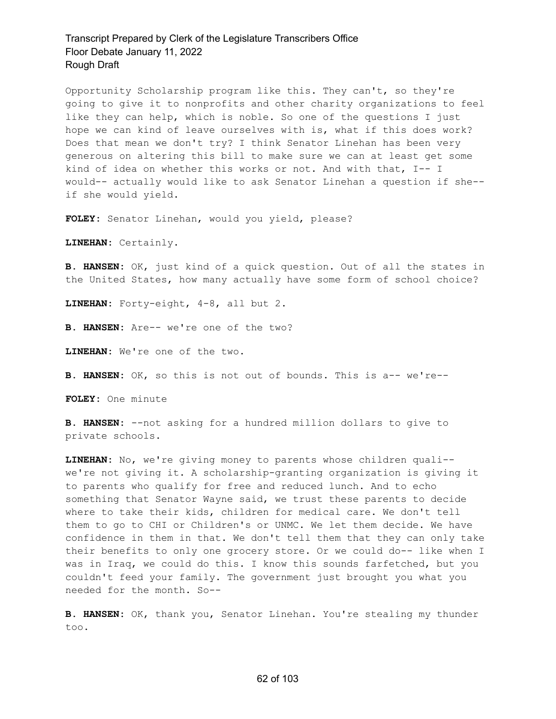Opportunity Scholarship program like this. They can't, so they're going to give it to nonprofits and other charity organizations to feel like they can help, which is noble. So one of the questions I just hope we can kind of leave ourselves with is, what if this does work? Does that mean we don't try? I think Senator Linehan has been very generous on altering this bill to make sure we can at least get some kind of idea on whether this works or not. And with that, I-- I would-- actually would like to ask Senator Linehan a question if she- if she would yield.

**FOLEY:** Senator Linehan, would you yield, please?

**LINEHAN:** Certainly.

**B. HANSEN:** OK, just kind of a quick question. Out of all the states in the United States, how many actually have some form of school choice?

**LINEHAN:** Forty-eight, 4-8, all but 2.

**B. HANSEN:** Are-- we're one of the two?

**LINEHAN:** We're one of the two.

**B. HANSEN:** OK, so this is not out of bounds. This is a-- we're--

**FOLEY:** One minute

**B. HANSEN:** --not asking for a hundred million dollars to give to private schools.

**LINEHAN:** No, we're giving money to parents whose children quali- we're not giving it. A scholarship-granting organization is giving it to parents who qualify for free and reduced lunch. And to echo something that Senator Wayne said, we trust these parents to decide where to take their kids, children for medical care. We don't tell them to go to CHI or Children's or UNMC. We let them decide. We have confidence in them in that. We don't tell them that they can only take their benefits to only one grocery store. Or we could do-- like when I was in Iraq, we could do this. I know this sounds farfetched, but you couldn't feed your family. The government just brought you what you needed for the month. So--

**B. HANSEN:** OK, thank you, Senator Linehan. You're stealing my thunder too.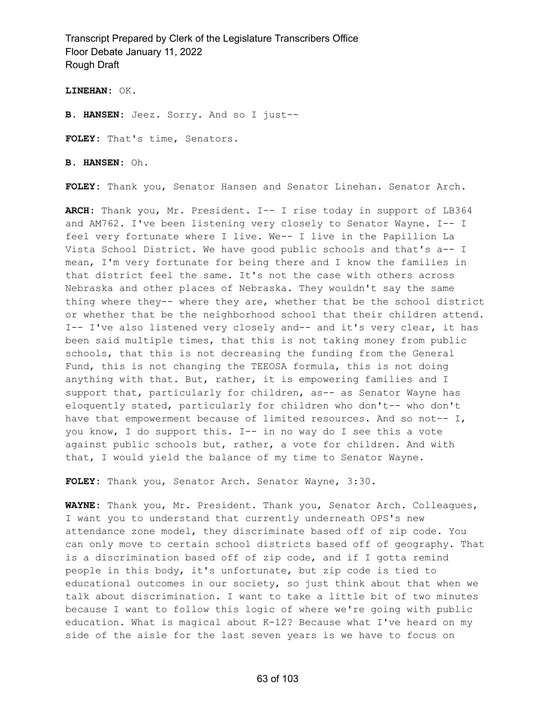**LINEHAN:** OK.

**B. HANSEN:** Jeez. Sorry. And so I just--

**FOLEY:** That's time, Senators.

**B. HANSEN:** Oh.

**FOLEY:** Thank you, Senator Hansen and Senator Linehan. Senator Arch.

**ARCH:** Thank you, Mr. President. I-- I rise today in support of LB364 and AM762. I've been listening very closely to Senator Wayne. I-- I feel very fortunate where I live. We-- I live in the Papillion La Vista School District. We have good public schools and that's a-- I mean, I'm very fortunate for being there and I know the families in that district feel the same. It's not the case with others across Nebraska and other places of Nebraska. They wouldn't say the same thing where they-- where they are, whether that be the school district or whether that be the neighborhood school that their children attend. I-- I've also listened very closely and-- and it's very clear, it has been said multiple times, that this is not taking money from public schools, that this is not decreasing the funding from the General Fund, this is not changing the TEEOSA formula, this is not doing anything with that. But, rather, it is empowering families and I support that, particularly for children, as-- as Senator Wayne has eloquently stated, particularly for children who don't-- who don't have that empowerment because of limited resources. And so not-- I, you know, I do support this. I-- in no way do I see this a vote against public schools but, rather, a vote for children. And with that, I would yield the balance of my time to Senator Wayne.

**FOLEY:** Thank you, Senator Arch. Senator Wayne, 3:30.

**WAYNE:** Thank you, Mr. President. Thank you, Senator Arch. Colleagues, I want you to understand that currently underneath OPS's new attendance zone model, they discriminate based off of zip code. You can only move to certain school districts based off of geography. That is a discrimination based off of zip code, and if I gotta remind people in this body, it's unfortunate, but zip code is tied to educational outcomes in our society, so just think about that when we talk about discrimination. I want to take a little bit of two minutes because I want to follow this logic of where we're going with public education. What is magical about K-12? Because what I've heard on my side of the aisle for the last seven years is we have to focus on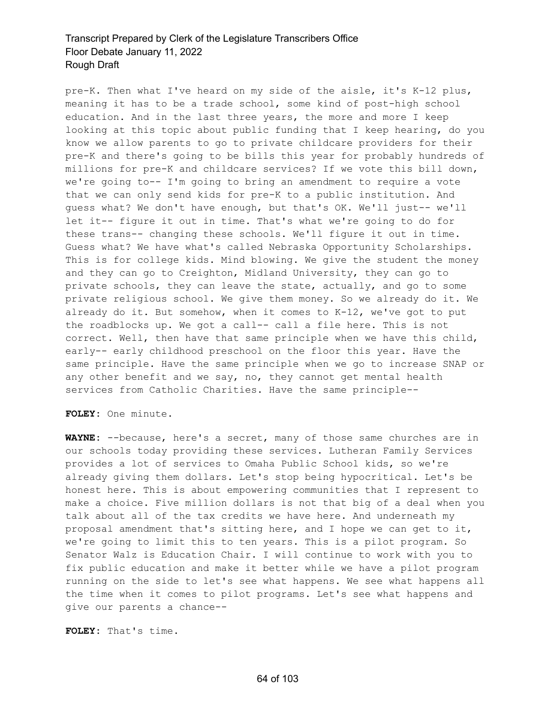pre-K. Then what I've heard on my side of the aisle, it's K-12 plus, meaning it has to be a trade school, some kind of post-high school education. And in the last three years, the more and more I keep looking at this topic about public funding that I keep hearing, do you know we allow parents to go to private childcare providers for their pre-K and there's going to be bills this year for probably hundreds of millions for pre-K and childcare services? If we vote this bill down, we're going to-- I'm going to bring an amendment to require a vote that we can only send kids for pre-K to a public institution. And guess what? We don't have enough, but that's OK. We'll just-- we'll let it-- figure it out in time. That's what we're going to do for these trans-- changing these schools. We'll figure it out in time. Guess what? We have what's called Nebraska Opportunity Scholarships. This is for college kids. Mind blowing. We give the student the money and they can go to Creighton, Midland University, they can go to private schools, they can leave the state, actually, and go to some private religious school. We give them money. So we already do it. We already do it. But somehow, when it comes to K-12, we've got to put the roadblocks up. We got a call-- call a file here. This is not correct. Well, then have that same principle when we have this child, early-- early childhood preschool on the floor this year. Have the same principle. Have the same principle when we go to increase SNAP or any other benefit and we say, no, they cannot get mental health services from Catholic Charities. Have the same principle--

**FOLEY:** One minute.

**WAYNE:** --because, here's a secret, many of those same churches are in our schools today providing these services. Lutheran Family Services provides a lot of services to Omaha Public School kids, so we're already giving them dollars. Let's stop being hypocritical. Let's be honest here. This is about empowering communities that I represent to make a choice. Five million dollars is not that big of a deal when you talk about all of the tax credits we have here. And underneath my proposal amendment that's sitting here, and I hope we can get to it, we're going to limit this to ten years. This is a pilot program. So Senator Walz is Education Chair. I will continue to work with you to fix public education and make it better while we have a pilot program running on the side to let's see what happens. We see what happens all the time when it comes to pilot programs. Let's see what happens and give our parents a chance--

**FOLEY:** That's time.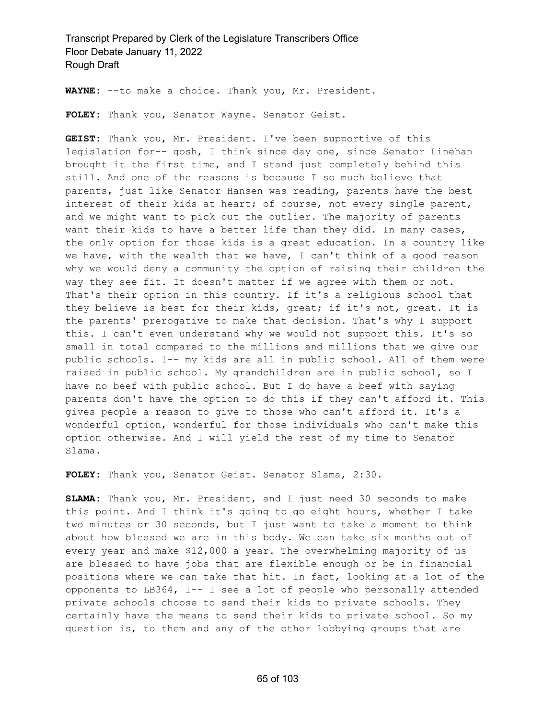**WAYNE:** --to make a choice. Thank you, Mr. President.

**FOLEY:** Thank you, Senator Wayne. Senator Geist.

**GEIST:** Thank you, Mr. President. I've been supportive of this legislation for-- gosh, I think since day one, since Senator Linehan brought it the first time, and I stand just completely behind this still. And one of the reasons is because I so much believe that parents, just like Senator Hansen was reading, parents have the best interest of their kids at heart; of course, not every single parent, and we might want to pick out the outlier. The majority of parents want their kids to have a better life than they did. In many cases, the only option for those kids is a great education. In a country like we have, with the wealth that we have, I can't think of a good reason why we would deny a community the option of raising their children the way they see fit. It doesn't matter if we agree with them or not. That's their option in this country. If it's a religious school that they believe is best for their kids, great; if it's not, great. It is the parents' prerogative to make that decision. That's why I support this. I can't even understand why we would not support this. It's so small in total compared to the millions and millions that we give our public schools. I-- my kids are all in public school. All of them were raised in public school. My grandchildren are in public school, so I have no beef with public school. But I do have a beef with saying parents don't have the option to do this if they can't afford it. This gives people a reason to give to those who can't afford it. It's a wonderful option, wonderful for those individuals who can't make this option otherwise. And I will yield the rest of my time to Senator Slama.

**FOLEY:** Thank you, Senator Geist. Senator Slama, 2:30.

**SLAMA:** Thank you, Mr. President, and I just need 30 seconds to make this point. And I think it's going to go eight hours, whether I take two minutes or 30 seconds, but I just want to take a moment to think about how blessed we are in this body. We can take six months out of every year and make \$12,000 a year. The overwhelming majority of us are blessed to have jobs that are flexible enough or be in financial positions where we can take that hit. In fact, looking at a lot of the opponents to LB364, I-- I see a lot of people who personally attended private schools choose to send their kids to private schools. They certainly have the means to send their kids to private school. So my question is, to them and any of the other lobbying groups that are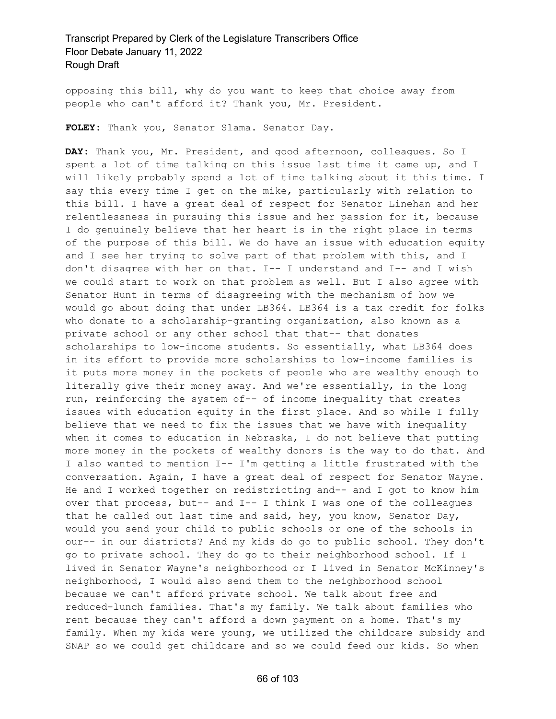opposing this bill, why do you want to keep that choice away from people who can't afford it? Thank you, Mr. President.

**FOLEY:** Thank you, Senator Slama. Senator Day.

**DAY:** Thank you, Mr. President, and good afternoon, colleagues. So I spent a lot of time talking on this issue last time it came up, and I will likely probably spend a lot of time talking about it this time. I say this every time I get on the mike, particularly with relation to this bill. I have a great deal of respect for Senator Linehan and her relentlessness in pursuing this issue and her passion for it, because I do genuinely believe that her heart is in the right place in terms of the purpose of this bill. We do have an issue with education equity and I see her trying to solve part of that problem with this, and I don't disagree with her on that. I-- I understand and I-- and I wish we could start to work on that problem as well. But I also agree with Senator Hunt in terms of disagreeing with the mechanism of how we would go about doing that under LB364. LB364 is a tax credit for folks who donate to a scholarship-granting organization, also known as a private school or any other school that that-- that donates scholarships to low-income students. So essentially, what LB364 does in its effort to provide more scholarships to low-income families is it puts more money in the pockets of people who are wealthy enough to literally give their money away. And we're essentially, in the long run, reinforcing the system of-- of income inequality that creates issues with education equity in the first place. And so while I fully believe that we need to fix the issues that we have with inequality when it comes to education in Nebraska, I do not believe that putting more money in the pockets of wealthy donors is the way to do that. And I also wanted to mention I-- I'm getting a little frustrated with the conversation. Again, I have a great deal of respect for Senator Wayne. He and I worked together on redistricting and-- and I got to know him over that process, but-- and I-- I think I was one of the colleagues that he called out last time and said, hey, you know, Senator Day, would you send your child to public schools or one of the schools in our-- in our districts? And my kids do go to public school. They don't go to private school. They do go to their neighborhood school. If I lived in Senator Wayne's neighborhood or I lived in Senator McKinney's neighborhood, I would also send them to the neighborhood school because we can't afford private school. We talk about free and reduced-lunch families. That's my family. We talk about families who rent because they can't afford a down payment on a home. That's my family. When my kids were young, we utilized the childcare subsidy and SNAP so we could get childcare and so we could feed our kids. So when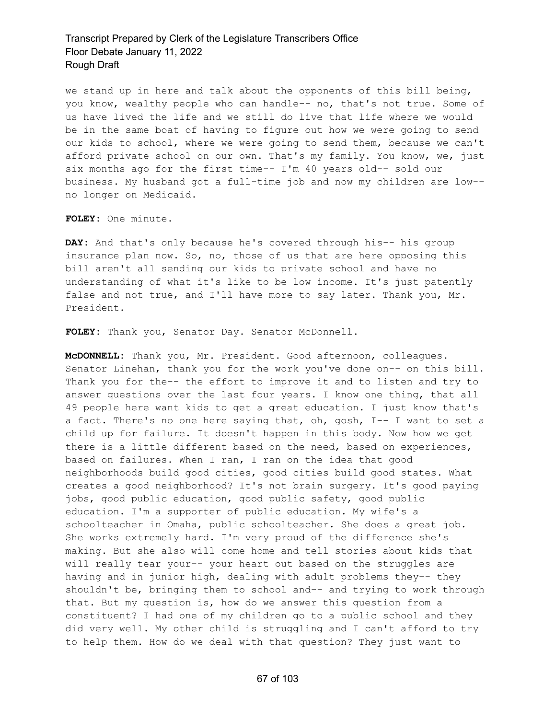we stand up in here and talk about the opponents of this bill being, you know, wealthy people who can handle-- no, that's not true. Some of us have lived the life and we still do live that life where we would be in the same boat of having to figure out how we were going to send our kids to school, where we were going to send them, because we can't afford private school on our own. That's my family. You know, we, just six months ago for the first time-- I'm 40 years old-- sold our business. My husband got a full-time job and now my children are low- no longer on Medicaid.

**FOLEY:** One minute.

**DAY:** And that's only because he's covered through his-- his group insurance plan now. So, no, those of us that are here opposing this bill aren't all sending our kids to private school and have no understanding of what it's like to be low income. It's just patently false and not true, and I'll have more to say later. Thank you, Mr. President.

**FOLEY:** Thank you, Senator Day. Senator McDonnell.

**McDONNELL:** Thank you, Mr. President. Good afternoon, colleagues. Senator Linehan, thank you for the work you've done on-- on this bill. Thank you for the-- the effort to improve it and to listen and try to answer questions over the last four years. I know one thing, that all 49 people here want kids to get a great education. I just know that's a fact. There's no one here saying that, oh, gosh, I-- I want to set a child up for failure. It doesn't happen in this body. Now how we get there is a little different based on the need, based on experiences, based on failures. When I ran, I ran on the idea that good neighborhoods build good cities, good cities build good states. What creates a good neighborhood? It's not brain surgery. It's good paying jobs, good public education, good public safety, good public education. I'm a supporter of public education. My wife's a schoolteacher in Omaha, public schoolteacher. She does a great job. She works extremely hard. I'm very proud of the difference she's making. But she also will come home and tell stories about kids that will really tear your-- your heart out based on the struggles are having and in junior high, dealing with adult problems they-- they shouldn't be, bringing them to school and-- and trying to work through that. But my question is, how do we answer this question from a constituent? I had one of my children go to a public school and they did very well. My other child is struggling and I can't afford to try to help them. How do we deal with that question? They just want to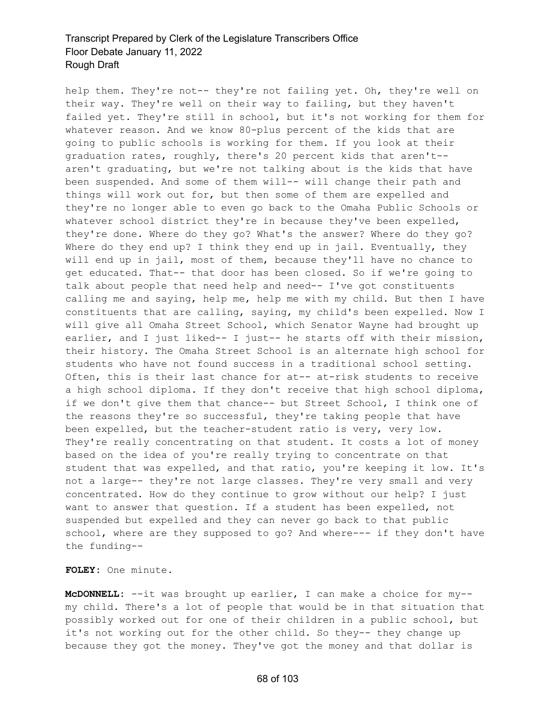help them. They're not-- they're not failing yet. Oh, they're well on their way. They're well on their way to failing, but they haven't failed yet. They're still in school, but it's not working for them for whatever reason. And we know 80-plus percent of the kids that are going to public schools is working for them. If you look at their graduation rates, roughly, there's 20 percent kids that aren't- aren't graduating, but we're not talking about is the kids that have been suspended. And some of them will-- will change their path and things will work out for, but then some of them are expelled and they're no longer able to even go back to the Omaha Public Schools or whatever school district they're in because they've been expelled, they're done. Where do they go? What's the answer? Where do they go? Where do they end up? I think they end up in jail. Eventually, they will end up in jail, most of them, because they'll have no chance to get educated. That-- that door has been closed. So if we're going to talk about people that need help and need-- I've got constituents calling me and saying, help me, help me with my child. But then I have constituents that are calling, saying, my child's been expelled. Now I will give all Omaha Street School, which Senator Wayne had brought up earlier, and I just liked-- I just-- he starts off with their mission, their history. The Omaha Street School is an alternate high school for students who have not found success in a traditional school setting. Often, this is their last chance for at-- at-risk students to receive a high school diploma. If they don't receive that high school diploma, if we don't give them that chance-- but Street School, I think one of the reasons they're so successful, they're taking people that have been expelled, but the teacher-student ratio is very, very low. They're really concentrating on that student. It costs a lot of money based on the idea of you're really trying to concentrate on that student that was expelled, and that ratio, you're keeping it low. It's not a large-- they're not large classes. They're very small and very concentrated. How do they continue to grow without our help? I just want to answer that question. If a student has been expelled, not suspended but expelled and they can never go back to that public school, where are they supposed to go? And where--- if they don't have the funding--

**FOLEY:** One minute.

**McDONNELL:** --it was brought up earlier, I can make a choice for my- my child. There's a lot of people that would be in that situation that possibly worked out for one of their children in a public school, but it's not working out for the other child. So they-- they change up because they got the money. They've got the money and that dollar is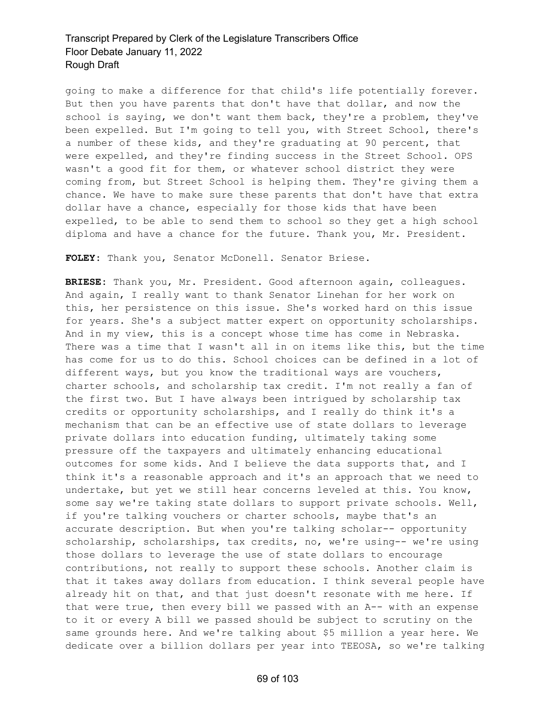going to make a difference for that child's life potentially forever. But then you have parents that don't have that dollar, and now the school is saying, we don't want them back, they're a problem, they've been expelled. But I'm going to tell you, with Street School, there's a number of these kids, and they're graduating at 90 percent, that were expelled, and they're finding success in the Street School. OPS wasn't a good fit for them, or whatever school district they were coming from, but Street School is helping them. They're giving them a chance. We have to make sure these parents that don't have that extra dollar have a chance, especially for those kids that have been expelled, to be able to send them to school so they get a high school diploma and have a chance for the future. Thank you, Mr. President.

**FOLEY:** Thank you, Senator McDonell. Senator Briese.

**BRIESE:** Thank you, Mr. President. Good afternoon again, colleagues. And again, I really want to thank Senator Linehan for her work on this, her persistence on this issue. She's worked hard on this issue for years. She's a subject matter expert on opportunity scholarships. And in my view, this is a concept whose time has come in Nebraska. There was a time that I wasn't all in on items like this, but the time has come for us to do this. School choices can be defined in a lot of different ways, but you know the traditional ways are vouchers, charter schools, and scholarship tax credit. I'm not really a fan of the first two. But I have always been intrigued by scholarship tax credits or opportunity scholarships, and I really do think it's a mechanism that can be an effective use of state dollars to leverage private dollars into education funding, ultimately taking some pressure off the taxpayers and ultimately enhancing educational outcomes for some kids. And I believe the data supports that, and I think it's a reasonable approach and it's an approach that we need to undertake, but yet we still hear concerns leveled at this. You know, some say we're taking state dollars to support private schools. Well, if you're talking vouchers or charter schools, maybe that's an accurate description. But when you're talking scholar-- opportunity scholarship, scholarships, tax credits, no, we're using-- we're using those dollars to leverage the use of state dollars to encourage contributions, not really to support these schools. Another claim is that it takes away dollars from education. I think several people have already hit on that, and that just doesn't resonate with me here. If that were true, then every bill we passed with an A-- with an expense to it or every A bill we passed should be subject to scrutiny on the same grounds here. And we're talking about \$5 million a year here. We dedicate over a billion dollars per year into TEEOSA, so we're talking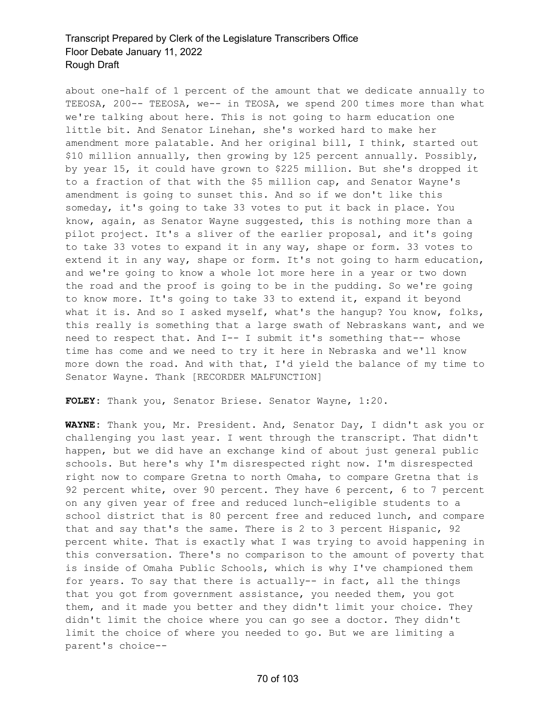about one-half of 1 percent of the amount that we dedicate annually to TEEOSA, 200-- TEEOSA, we-- in TEOSA, we spend 200 times more than what we're talking about here. This is not going to harm education one little bit. And Senator Linehan, she's worked hard to make her amendment more palatable. And her original bill, I think, started out \$10 million annually, then growing by 125 percent annually. Possibly, by year 15, it could have grown to \$225 million. But she's dropped it to a fraction of that with the \$5 million cap, and Senator Wayne's amendment is going to sunset this. And so if we don't like this someday, it's going to take 33 votes to put it back in place. You know, again, as Senator Wayne suggested, this is nothing more than a pilot project. It's a sliver of the earlier proposal, and it's going to take 33 votes to expand it in any way, shape or form. 33 votes to extend it in any way, shape or form. It's not going to harm education, and we're going to know a whole lot more here in a year or two down the road and the proof is going to be in the pudding. So we're going to know more. It's going to take 33 to extend it, expand it beyond what it is. And so I asked myself, what's the hangup? You know, folks, this really is something that a large swath of Nebraskans want, and we need to respect that. And I-- I submit it's something that-- whose time has come and we need to try it here in Nebraska and we'll know more down the road. And with that, I'd yield the balance of my time to Senator Wayne. Thank [RECORDER MALFUNCTION]

**FOLEY:** Thank you, Senator Briese. Senator Wayne, 1:20.

**WAYNE:** Thank you, Mr. President. And, Senator Day, I didn't ask you or challenging you last year. I went through the transcript. That didn't happen, but we did have an exchange kind of about just general public schools. But here's why I'm disrespected right now. I'm disrespected right now to compare Gretna to north Omaha, to compare Gretna that is 92 percent white, over 90 percent. They have 6 percent, 6 to 7 percent on any given year of free and reduced lunch-eligible students to a school district that is 80 percent free and reduced lunch, and compare that and say that's the same. There is 2 to 3 percent Hispanic, 92 percent white. That is exactly what I was trying to avoid happening in this conversation. There's no comparison to the amount of poverty that is inside of Omaha Public Schools, which is why I've championed them for years. To say that there is actually-- in fact, all the things that you got from government assistance, you needed them, you got them, and it made you better and they didn't limit your choice. They didn't limit the choice where you can go see a doctor. They didn't limit the choice of where you needed to go. But we are limiting a parent's choice--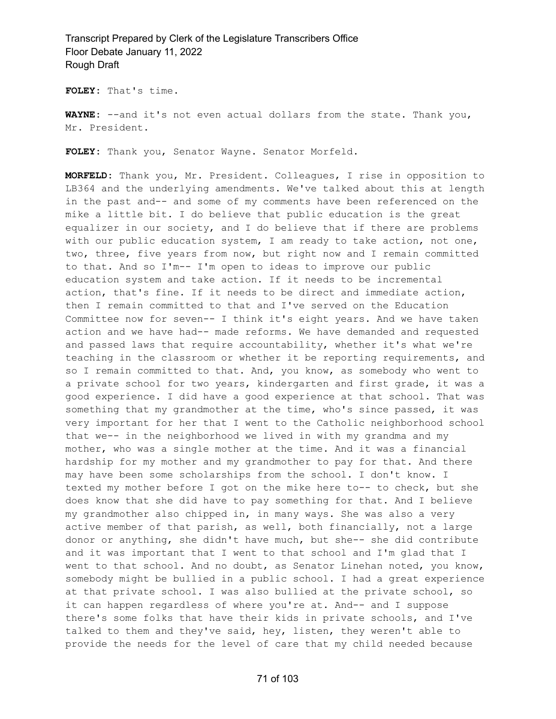**FOLEY:** That's time.

**WAYNE:** --and it's not even actual dollars from the state. Thank you, Mr. President.

**FOLEY:** Thank you, Senator Wayne. Senator Morfeld.

**MORFELD:** Thank you, Mr. President. Colleagues, I rise in opposition to LB364 and the underlying amendments. We've talked about this at length in the past and-- and some of my comments have been referenced on the mike a little bit. I do believe that public education is the great equalizer in our society, and I do believe that if there are problems with our public education system, I am ready to take action, not one, two, three, five years from now, but right now and I remain committed to that. And so I'm-- I'm open to ideas to improve our public education system and take action. If it needs to be incremental action, that's fine. If it needs to be direct and immediate action, then I remain committed to that and I've served on the Education Committee now for seven-- I think it's eight years. And we have taken action and we have had-- made reforms. We have demanded and requested and passed laws that require accountability, whether it's what we're teaching in the classroom or whether it be reporting requirements, and so I remain committed to that. And, you know, as somebody who went to a private school for two years, kindergarten and first grade, it was a good experience. I did have a good experience at that school. That was something that my grandmother at the time, who's since passed, it was very important for her that I went to the Catholic neighborhood school that we-- in the neighborhood we lived in with my grandma and my mother, who was a single mother at the time. And it was a financial hardship for my mother and my grandmother to pay for that. And there may have been some scholarships from the school. I don't know. I texted my mother before I got on the mike here to-- to check, but she does know that she did have to pay something for that. And I believe my grandmother also chipped in, in many ways. She was also a very active member of that parish, as well, both financially, not a large donor or anything, she didn't have much, but she-- she did contribute and it was important that I went to that school and I'm glad that I went to that school. And no doubt, as Senator Linehan noted, you know, somebody might be bullied in a public school. I had a great experience at that private school. I was also bullied at the private school, so it can happen regardless of where you're at. And-- and I suppose there's some folks that have their kids in private schools, and I've talked to them and they've said, hey, listen, they weren't able to provide the needs for the level of care that my child needed because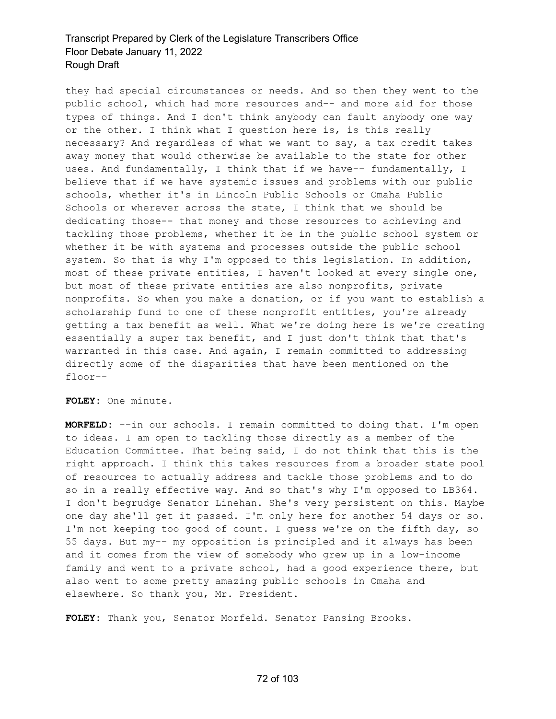they had special circumstances or needs. And so then they went to the public school, which had more resources and-- and more aid for those types of things. And I don't think anybody can fault anybody one way or the other. I think what I question here is, is this really necessary? And regardless of what we want to say, a tax credit takes away money that would otherwise be available to the state for other uses. And fundamentally, I think that if we have-- fundamentally, I believe that if we have systemic issues and problems with our public schools, whether it's in Lincoln Public Schools or Omaha Public Schools or wherever across the state, I think that we should be dedicating those-- that money and those resources to achieving and tackling those problems, whether it be in the public school system or whether it be with systems and processes outside the public school system. So that is why I'm opposed to this legislation. In addition, most of these private entities, I haven't looked at every single one, but most of these private entities are also nonprofits, private nonprofits. So when you make a donation, or if you want to establish a scholarship fund to one of these nonprofit entities, you're already getting a tax benefit as well. What we're doing here is we're creating essentially a super tax benefit, and I just don't think that that's warranted in this case. And again, I remain committed to addressing directly some of the disparities that have been mentioned on the floor--

**FOLEY:** One minute.

**MORFELD:** --in our schools. I remain committed to doing that. I'm open to ideas. I am open to tackling those directly as a member of the Education Committee. That being said, I do not think that this is the right approach. I think this takes resources from a broader state pool of resources to actually address and tackle those problems and to do so in a really effective way. And so that's why I'm opposed to LB364. I don't begrudge Senator Linehan. She's very persistent on this. Maybe one day she'll get it passed. I'm only here for another 54 days or so. I'm not keeping too good of count. I guess we're on the fifth day, so 55 days. But my-- my opposition is principled and it always has been and it comes from the view of somebody who grew up in a low-income family and went to a private school, had a good experience there, but also went to some pretty amazing public schools in Omaha and elsewhere. So thank you, Mr. President.

**FOLEY:** Thank you, Senator Morfeld. Senator Pansing Brooks.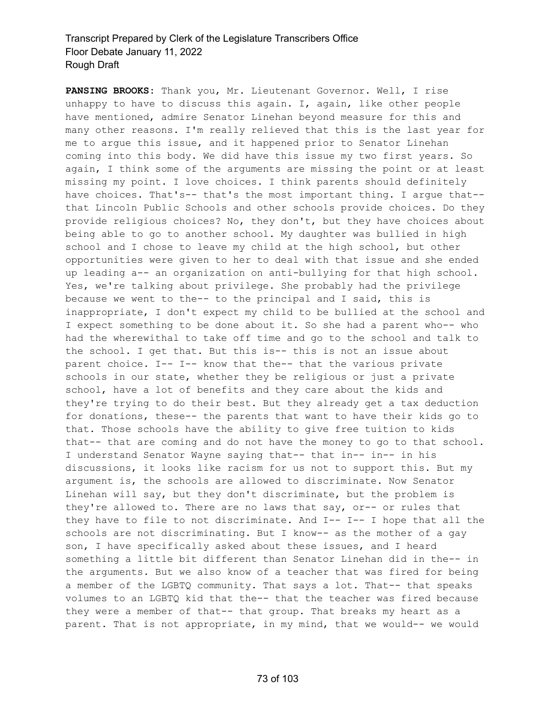**PANSING BROOKS:** Thank you, Mr. Lieutenant Governor. Well, I rise unhappy to have to discuss this again. I, again, like other people have mentioned, admire Senator Linehan beyond measure for this and many other reasons. I'm really relieved that this is the last year for me to argue this issue, and it happened prior to Senator Linehan coming into this body. We did have this issue my two first years. So again, I think some of the arguments are missing the point or at least missing my point. I love choices. I think parents should definitely have choices. That's-- that's the most important thing. I argue that- that Lincoln Public Schools and other schools provide choices. Do they provide religious choices? No, they don't, but they have choices about being able to go to another school. My daughter was bullied in high school and I chose to leave my child at the high school, but other opportunities were given to her to deal with that issue and she ended up leading a-- an organization on anti-bullying for that high school. Yes, we're talking about privilege. She probably had the privilege because we went to the-- to the principal and I said, this is inappropriate, I don't expect my child to be bullied at the school and I expect something to be done about it. So she had a parent who-- who had the wherewithal to take off time and go to the school and talk to the school. I get that. But this is-- this is not an issue about parent choice. I-- I-- know that the-- that the various private schools in our state, whether they be religious or just a private school, have a lot of benefits and they care about the kids and they're trying to do their best. But they already get a tax deduction for donations, these-- the parents that want to have their kids go to that. Those schools have the ability to give free tuition to kids that-- that are coming and do not have the money to go to that school. I understand Senator Wayne saying that-- that in-- in-- in his discussions, it looks like racism for us not to support this. But my argument is, the schools are allowed to discriminate. Now Senator Linehan will say, but they don't discriminate, but the problem is they're allowed to. There are no laws that say, or-- or rules that they have to file to not discriminate. And I-- I-- I hope that all the schools are not discriminating. But I know-- as the mother of a gay son, I have specifically asked about these issues, and I heard something a little bit different than Senator Linehan did in the-- in the arguments. But we also know of a teacher that was fired for being a member of the LGBTQ community. That says a lot. That-- that speaks volumes to an LGBTQ kid that the-- that the teacher was fired because they were a member of that-- that group. That breaks my heart as a parent. That is not appropriate, in my mind, that we would-- we would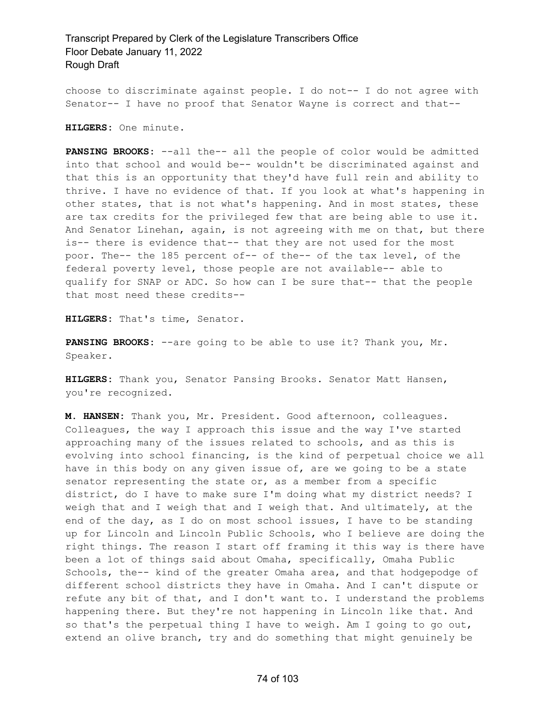choose to discriminate against people. I do not-- I do not agree with Senator-- I have no proof that Senator Wayne is correct and that--

**HILGERS:** One minute.

**PANSING BROOKS:** --all the-- all the people of color would be admitted into that school and would be-- wouldn't be discriminated against and that this is an opportunity that they'd have full rein and ability to thrive. I have no evidence of that. If you look at what's happening in other states, that is not what's happening. And in most states, these are tax credits for the privileged few that are being able to use it. And Senator Linehan, again, is not agreeing with me on that, but there is-- there is evidence that-- that they are not used for the most poor. The-- the 185 percent of-- of the-- of the tax level, of the federal poverty level, those people are not available-- able to qualify for SNAP or ADC. So how can I be sure that-- that the people that most need these credits--

**HILGERS:** That's time, Senator.

**PANSING BROOKS:** --are going to be able to use it? Thank you, Mr. Speaker.

**HILGERS:** Thank you, Senator Pansing Brooks. Senator Matt Hansen, you're recognized.

**M. HANSEN:** Thank you, Mr. President. Good afternoon, colleagues. Colleagues, the way I approach this issue and the way I've started approaching many of the issues related to schools, and as this is evolving into school financing, is the kind of perpetual choice we all have in this body on any given issue of, are we going to be a state senator representing the state or, as a member from a specific district, do I have to make sure I'm doing what my district needs? I weigh that and I weigh that and I weigh that. And ultimately, at the end of the day, as I do on most school issues, I have to be standing up for Lincoln and Lincoln Public Schools, who I believe are doing the right things. The reason I start off framing it this way is there have been a lot of things said about Omaha, specifically, Omaha Public Schools, the-- kind of the greater Omaha area, and that hodgepodge of different school districts they have in Omaha. And I can't dispute or refute any bit of that, and I don't want to. I understand the problems happening there. But they're not happening in Lincoln like that. And so that's the perpetual thing I have to weigh. Am I going to go out, extend an olive branch, try and do something that might genuinely be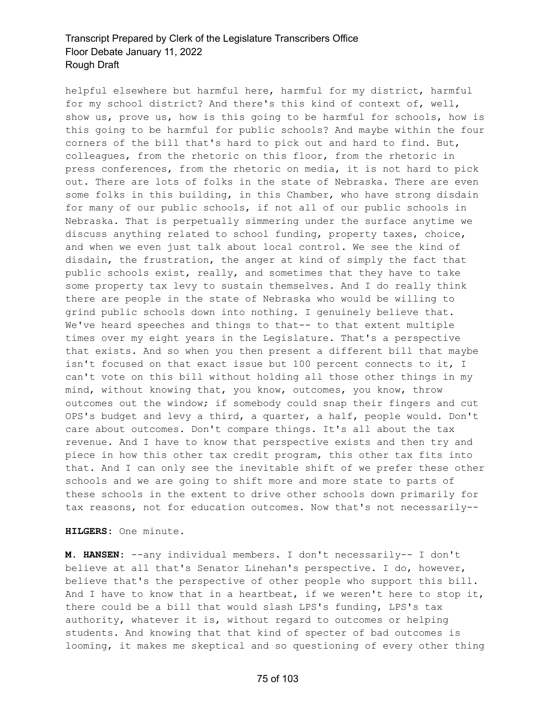helpful elsewhere but harmful here, harmful for my district, harmful for my school district? And there's this kind of context of, well, show us, prove us, how is this going to be harmful for schools, how is this going to be harmful for public schools? And maybe within the four corners of the bill that's hard to pick out and hard to find. But, colleagues, from the rhetoric on this floor, from the rhetoric in press conferences, from the rhetoric on media, it is not hard to pick out. There are lots of folks in the state of Nebraska. There are even some folks in this building, in this Chamber, who have strong disdain for many of our public schools, if not all of our public schools in Nebraska. That is perpetually simmering under the surface anytime we discuss anything related to school funding, property taxes, choice, and when we even just talk about local control. We see the kind of disdain, the frustration, the anger at kind of simply the fact that public schools exist, really, and sometimes that they have to take some property tax levy to sustain themselves. And I do really think there are people in the state of Nebraska who would be willing to grind public schools down into nothing. I genuinely believe that. We've heard speeches and things to that-- to that extent multiple times over my eight years in the Legislature. That's a perspective that exists. And so when you then present a different bill that maybe isn't focused on that exact issue but 100 percent connects to it, I can't vote on this bill without holding all those other things in my mind, without knowing that, you know, outcomes, you know, throw outcomes out the window; if somebody could snap their fingers and cut OPS's budget and levy a third, a quarter, a half, people would. Don't care about outcomes. Don't compare things. It's all about the tax revenue. And I have to know that perspective exists and then try and piece in how this other tax credit program, this other tax fits into that. And I can only see the inevitable shift of we prefer these other schools and we are going to shift more and more state to parts of these schools in the extent to drive other schools down primarily for tax reasons, not for education outcomes. Now that's not necessarily--

**HILGERS:** One minute.

**M. HANSEN:** --any individual members. I don't necessarily-- I don't believe at all that's Senator Linehan's perspective. I do, however, believe that's the perspective of other people who support this bill. And I have to know that in a heartbeat, if we weren't here to stop it, there could be a bill that would slash LPS's funding, LPS's tax authority, whatever it is, without regard to outcomes or helping students. And knowing that that kind of specter of bad outcomes is looming, it makes me skeptical and so questioning of every other thing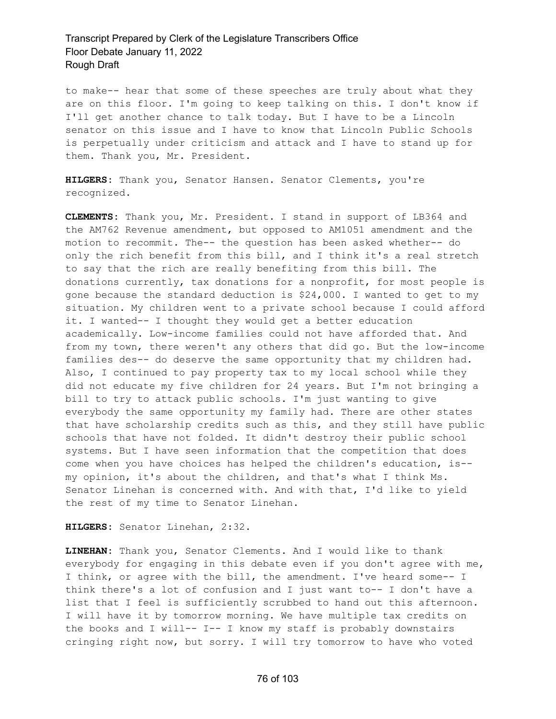to make-- hear that some of these speeches are truly about what they are on this floor. I'm going to keep talking on this. I don't know if I'll get another chance to talk today. But I have to be a Lincoln senator on this issue and I have to know that Lincoln Public Schools is perpetually under criticism and attack and I have to stand up for them. Thank you, Mr. President.

**HILGERS:** Thank you, Senator Hansen. Senator Clements, you're recognized.

**CLEMENTS:** Thank you, Mr. President. I stand in support of LB364 and the AM762 Revenue amendment, but opposed to AM1051 amendment and the motion to recommit. The-- the question has been asked whether-- do only the rich benefit from this bill, and I think it's a real stretch to say that the rich are really benefiting from this bill. The donations currently, tax donations for a nonprofit, for most people is gone because the standard deduction is \$24,000. I wanted to get to my situation. My children went to a private school because I could afford it. I wanted-- I thought they would get a better education academically. Low-income families could not have afforded that. And from my town, there weren't any others that did go. But the low-income families des-- do deserve the same opportunity that my children had. Also, I continued to pay property tax to my local school while they did not educate my five children for 24 years. But I'm not bringing a bill to try to attack public schools. I'm just wanting to give everybody the same opportunity my family had. There are other states that have scholarship credits such as this, and they still have public schools that have not folded. It didn't destroy their public school systems. But I have seen information that the competition that does come when you have choices has helped the children's education, is- my opinion, it's about the children, and that's what I think Ms. Senator Linehan is concerned with. And with that, I'd like to yield the rest of my time to Senator Linehan.

**HILGERS:** Senator Linehan, 2:32.

**LINEHAN:** Thank you, Senator Clements. And I would like to thank everybody for engaging in this debate even if you don't agree with me, I think, or agree with the bill, the amendment. I've heard some-- I think there's a lot of confusion and I just want to-- I don't have a list that I feel is sufficiently scrubbed to hand out this afternoon. I will have it by tomorrow morning. We have multiple tax credits on the books and I will-- I-- I know my staff is probably downstairs cringing right now, but sorry. I will try tomorrow to have who voted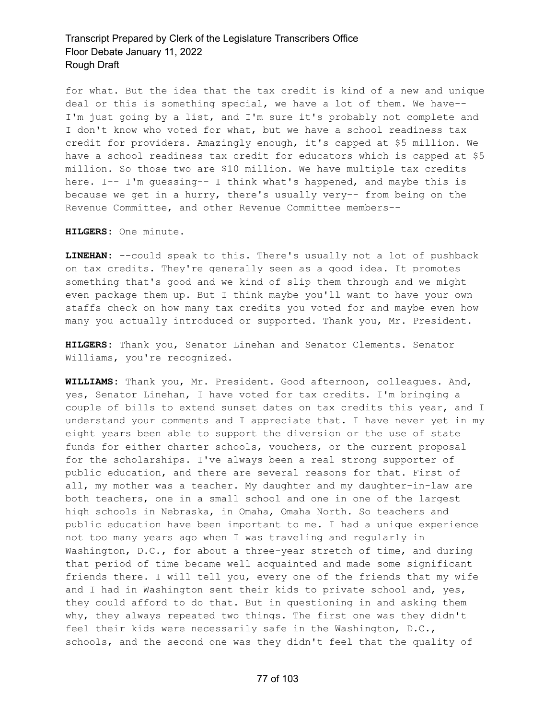for what. But the idea that the tax credit is kind of a new and unique deal or this is something special, we have a lot of them. We have-- I'm just going by a list, and I'm sure it's probably not complete and I don't know who voted for what, but we have a school readiness tax credit for providers. Amazingly enough, it's capped at \$5 million. We have a school readiness tax credit for educators which is capped at \$5 million. So those two are \$10 million. We have multiple tax credits here. I-- I'm guessing-- I think what's happened, and maybe this is because we get in a hurry, there's usually very-- from being on the Revenue Committee, and other Revenue Committee members--

**HILGERS:** One minute.

**LINEHAN:** --could speak to this. There's usually not a lot of pushback on tax credits. They're generally seen as a good idea. It promotes something that's good and we kind of slip them through and we might even package them up. But I think maybe you'll want to have your own staffs check on how many tax credits you voted for and maybe even how many you actually introduced or supported. Thank you, Mr. President.

**HILGERS:** Thank you, Senator Linehan and Senator Clements. Senator Williams, you're recognized.

**WILLIAMS:** Thank you, Mr. President. Good afternoon, colleagues. And, yes, Senator Linehan, I have voted for tax credits. I'm bringing a couple of bills to extend sunset dates on tax credits this year, and I understand your comments and I appreciate that. I have never yet in my eight years been able to support the diversion or the use of state funds for either charter schools, vouchers, or the current proposal for the scholarships. I've always been a real strong supporter of public education, and there are several reasons for that. First of all, my mother was a teacher. My daughter and my daughter-in-law are both teachers, one in a small school and one in one of the largest high schools in Nebraska, in Omaha, Omaha North. So teachers and public education have been important to me. I had a unique experience not too many years ago when I was traveling and regularly in Washington, D.C., for about a three-year stretch of time, and during that period of time became well acquainted and made some significant friends there. I will tell you, every one of the friends that my wife and I had in Washington sent their kids to private school and, yes, they could afford to do that. But in questioning in and asking them why, they always repeated two things. The first one was they didn't feel their kids were necessarily safe in the Washington, D.C., schools, and the second one was they didn't feel that the quality of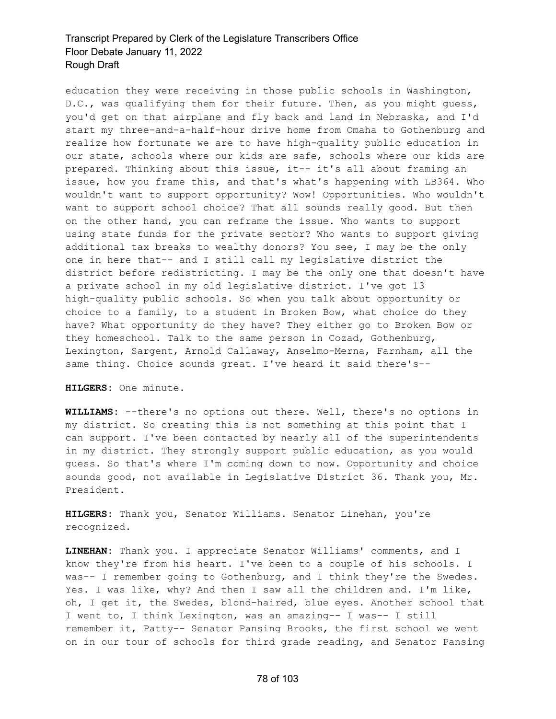education they were receiving in those public schools in Washington, D.C., was qualifying them for their future. Then, as you might guess, you'd get on that airplane and fly back and land in Nebraska, and I'd start my three-and-a-half-hour drive home from Omaha to Gothenburg and realize how fortunate we are to have high-quality public education in our state, schools where our kids are safe, schools where our kids are prepared. Thinking about this issue, it-- it's all about framing an issue, how you frame this, and that's what's happening with LB364. Who wouldn't want to support opportunity? Wow! Opportunities. Who wouldn't want to support school choice? That all sounds really good. But then on the other hand, you can reframe the issue. Who wants to support using state funds for the private sector? Who wants to support giving additional tax breaks to wealthy donors? You see, I may be the only one in here that-- and I still call my legislative district the district before redistricting. I may be the only one that doesn't have a private school in my old legislative district. I've got 13 high-quality public schools. So when you talk about opportunity or choice to a family, to a student in Broken Bow, what choice do they have? What opportunity do they have? They either go to Broken Bow or they homeschool. Talk to the same person in Cozad, Gothenburg, Lexington, Sargent, Arnold Callaway, Anselmo-Merna, Farnham, all the same thing. Choice sounds great. I've heard it said there's--

### **HILGERS:** One minute.

**WILLIAMS:** --there's no options out there. Well, there's no options in my district. So creating this is not something at this point that I can support. I've been contacted by nearly all of the superintendents in my district. They strongly support public education, as you would guess. So that's where I'm coming down to now. Opportunity and choice sounds good, not available in Legislative District 36. Thank you, Mr. President.

**HILGERS:** Thank you, Senator Williams. Senator Linehan, you're recognized.

**LINEHAN:** Thank you. I appreciate Senator Williams' comments, and I know they're from his heart. I've been to a couple of his schools. I was-- I remember going to Gothenburg, and I think they're the Swedes. Yes. I was like, why? And then I saw all the children and. I'm like, oh, I get it, the Swedes, blond-haired, blue eyes. Another school that I went to, I think Lexington, was an amazing-- I was-- I still remember it, Patty-- Senator Pansing Brooks, the first school we went on in our tour of schools for third grade reading, and Senator Pansing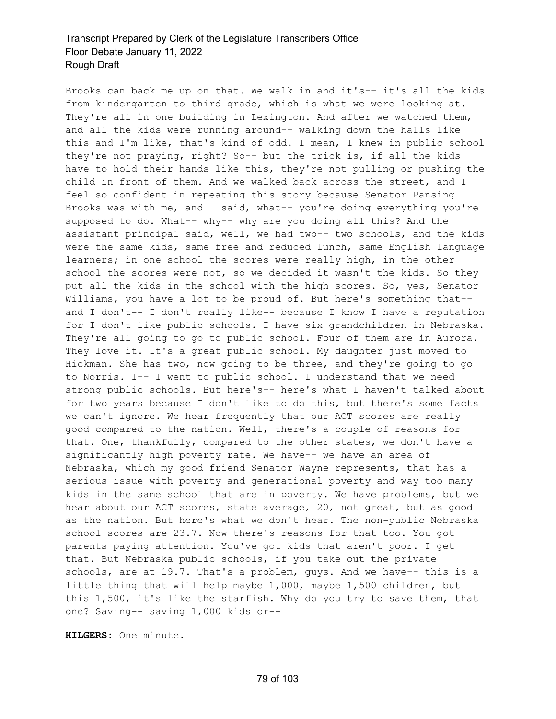Brooks can back me up on that. We walk in and it's-- it's all the kids from kindergarten to third grade, which is what we were looking at. They're all in one building in Lexington. And after we watched them, and all the kids were running around-- walking down the halls like this and I'm like, that's kind of odd. I mean, I knew in public school they're not praying, right? So-- but the trick is, if all the kids have to hold their hands like this, they're not pulling or pushing the child in front of them. And we walked back across the street, and I feel so confident in repeating this story because Senator Pansing Brooks was with me, and I said, what-- you're doing everything you're supposed to do. What-- why-- why are you doing all this? And the assistant principal said, well, we had two-- two schools, and the kids were the same kids, same free and reduced lunch, same English language learners; in one school the scores were really high, in the other school the scores were not, so we decided it wasn't the kids. So they put all the kids in the school with the high scores. So, yes, Senator Williams, you have a lot to be proud of. But here's something that- and I don't-- I don't really like-- because I know I have a reputation for I don't like public schools. I have six grandchildren in Nebraska. They're all going to go to public school. Four of them are in Aurora. They love it. It's a great public school. My daughter just moved to Hickman. She has two, now going to be three, and they're going to go to Norris. I-- I went to public school. I understand that we need strong public schools. But here's-- here's what I haven't talked about for two years because I don't like to do this, but there's some facts we can't ignore. We hear frequently that our ACT scores are really good compared to the nation. Well, there's a couple of reasons for that. One, thankfully, compared to the other states, we don't have a significantly high poverty rate. We have-- we have an area of Nebraska, which my good friend Senator Wayne represents, that has a serious issue with poverty and generational poverty and way too many kids in the same school that are in poverty. We have problems, but we hear about our ACT scores, state average, 20, not great, but as good as the nation. But here's what we don't hear. The non-public Nebraska school scores are 23.7. Now there's reasons for that too. You got parents paying attention. You've got kids that aren't poor. I get that. But Nebraska public schools, if you take out the private schools, are at 19.7. That's a problem, guys. And we have-- this is a little thing that will help maybe 1,000, maybe 1,500 children, but this 1,500, it's like the starfish. Why do you try to save them, that one? Saving-- saving 1,000 kids or--

**HILGERS:** One minute.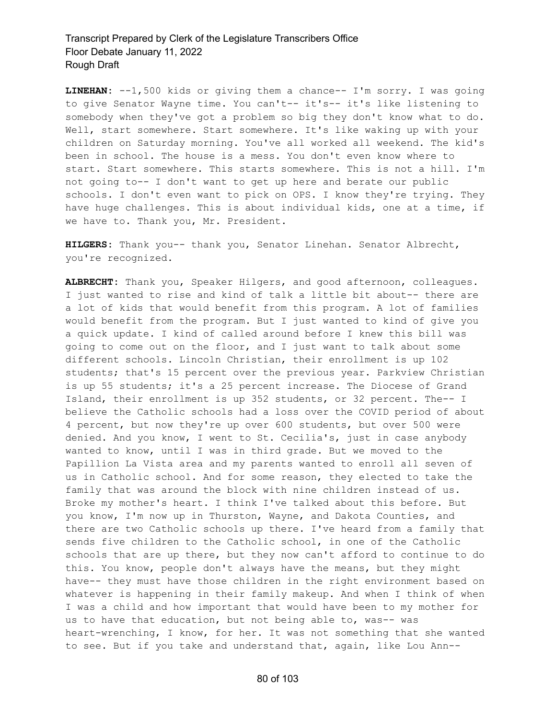**LINEHAN:** --1,500 kids or giving them a chance-- I'm sorry. I was going to give Senator Wayne time. You can't-- it's-- it's like listening to somebody when they've got a problem so big they don't know what to do. Well, start somewhere. Start somewhere. It's like waking up with your children on Saturday morning. You've all worked all weekend. The kid's been in school. The house is a mess. You don't even know where to start. Start somewhere. This starts somewhere. This is not a hill. I'm not going to-- I don't want to get up here and berate our public schools. I don't even want to pick on OPS. I know they're trying. They have huge challenges. This is about individual kids, one at a time, if we have to. Thank you, Mr. President.

**HILGERS:** Thank you-- thank you, Senator Linehan. Senator Albrecht, you're recognized.

**ALBRECHT:** Thank you, Speaker Hilgers, and good afternoon, colleagues. I just wanted to rise and kind of talk a little bit about-- there are a lot of kids that would benefit from this program. A lot of families would benefit from the program. But I just wanted to kind of give you a quick update. I kind of called around before I knew this bill was going to come out on the floor, and I just want to talk about some different schools. Lincoln Christian, their enrollment is up 102 students; that's 15 percent over the previous year. Parkview Christian is up 55 students; it's a 25 percent increase. The Diocese of Grand Island, their enrollment is up 352 students, or 32 percent. The-- I believe the Catholic schools had a loss over the COVID period of about 4 percent, but now they're up over 600 students, but over 500 were denied. And you know, I went to St. Cecilia's, just in case anybody wanted to know, until I was in third grade. But we moved to the Papillion La Vista area and my parents wanted to enroll all seven of us in Catholic school. And for some reason, they elected to take the family that was around the block with nine children instead of us. Broke my mother's heart. I think I've talked about this before. But you know, I'm now up in Thurston, Wayne, and Dakota Counties, and there are two Catholic schools up there. I've heard from a family that sends five children to the Catholic school, in one of the Catholic schools that are up there, but they now can't afford to continue to do this. You know, people don't always have the means, but they might have-- they must have those children in the right environment based on whatever is happening in their family makeup. And when I think of when I was a child and how important that would have been to my mother for us to have that education, but not being able to, was-- was heart-wrenching, I know, for her. It was not something that she wanted to see. But if you take and understand that, again, like Lou Ann--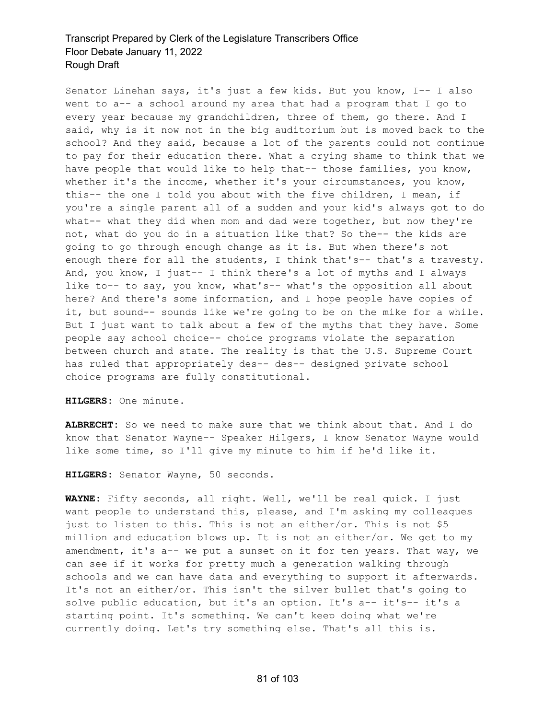Senator Linehan says, it's just a few kids. But you know, I-- I also went to a-- a school around my area that had a program that I go to every year because my grandchildren, three of them, go there. And I said, why is it now not in the big auditorium but is moved back to the school? And they said, because a lot of the parents could not continue to pay for their education there. What a crying shame to think that we have people that would like to help that-- those families, you know, whether it's the income, whether it's your circumstances, you know, this-- the one I told you about with the five children, I mean, if you're a single parent all of a sudden and your kid's always got to do what-- what they did when mom and dad were together, but now they're not, what do you do in a situation like that? So the-- the kids are going to go through enough change as it is. But when there's not enough there for all the students, I think that's-- that's a travesty. And, you know, I just-- I think there's a lot of myths and I always like to-- to say, you know, what's-- what's the opposition all about here? And there's some information, and I hope people have copies of it, but sound-- sounds like we're going to be on the mike for a while. But I just want to talk about a few of the myths that they have. Some people say school choice-- choice programs violate the separation between church and state. The reality is that the U.S. Supreme Court has ruled that appropriately des-- des-- designed private school choice programs are fully constitutional.

**HILGERS:** One minute.

**ALBRECHT:** So we need to make sure that we think about that. And I do know that Senator Wayne-- Speaker Hilgers, I know Senator Wayne would like some time, so I'll give my minute to him if he'd like it.

**HILGERS:** Senator Wayne, 50 seconds.

**WAYNE:** Fifty seconds, all right. Well, we'll be real quick. I just want people to understand this, please, and I'm asking my colleagues just to listen to this. This is not an either/or. This is not \$5 million and education blows up. It is not an either/or. We get to my amendment, it's a-- we put a sunset on it for ten years. That way, we can see if it works for pretty much a generation walking through schools and we can have data and everything to support it afterwards. It's not an either/or. This isn't the silver bullet that's going to solve public education, but it's an option. It's a-- it's-- it's a starting point. It's something. We can't keep doing what we're currently doing. Let's try something else. That's all this is.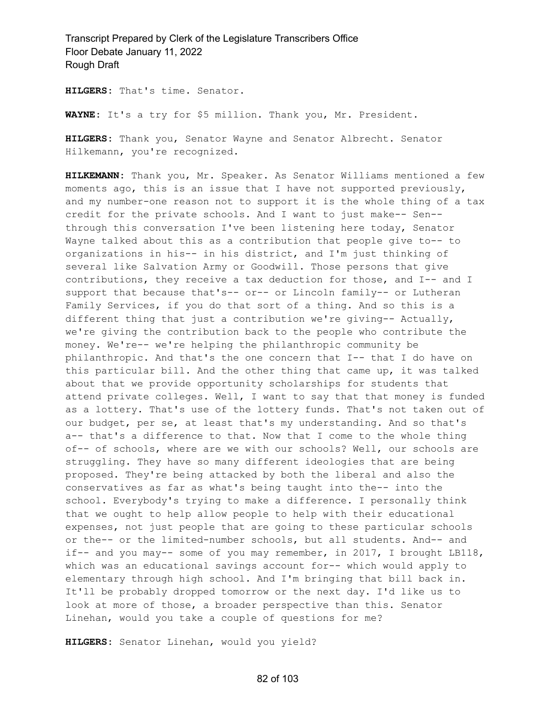**HILGERS:** That's time. Senator.

**WAYNE:** It's a try for \$5 million. Thank you, Mr. President.

**HILGERS:** Thank you, Senator Wayne and Senator Albrecht. Senator Hilkemann, you're recognized.

**HILKEMANN:** Thank you, Mr. Speaker. As Senator Williams mentioned a few moments ago, this is an issue that I have not supported previously, and my number-one reason not to support it is the whole thing of a tax credit for the private schools. And I want to just make-- Sen- through this conversation I've been listening here today, Senator Wayne talked about this as a contribution that people give to-- to organizations in his-- in his district, and I'm just thinking of several like Salvation Army or Goodwill. Those persons that give contributions, they receive a tax deduction for those, and I-- and I support that because that's-- or-- or Lincoln family-- or Lutheran Family Services, if you do that sort of a thing. And so this is a different thing that just a contribution we're giving-- Actually, we're giving the contribution back to the people who contribute the money. We're-- we're helping the philanthropic community be philanthropic. And that's the one concern that I-- that I do have on this particular bill. And the other thing that came up, it was talked about that we provide opportunity scholarships for students that attend private colleges. Well, I want to say that that money is funded as a lottery. That's use of the lottery funds. That's not taken out of our budget, per se, at least that's my understanding. And so that's a-- that's a difference to that. Now that I come to the whole thing of-- of schools, where are we with our schools? Well, our schools are struggling. They have so many different ideologies that are being proposed. They're being attacked by both the liberal and also the conservatives as far as what's being taught into the-- into the school. Everybody's trying to make a difference. I personally think that we ought to help allow people to help with their educational expenses, not just people that are going to these particular schools or the-- or the limited-number schools, but all students. And-- and if-- and you may-- some of you may remember, in 2017, I brought  $LBI18$ , which was an educational savings account for-- which would apply to elementary through high school. And I'm bringing that bill back in. It'll be probably dropped tomorrow or the next day. I'd like us to look at more of those, a broader perspective than this. Senator Linehan, would you take a couple of questions for me?

**HILGERS:** Senator Linehan, would you yield?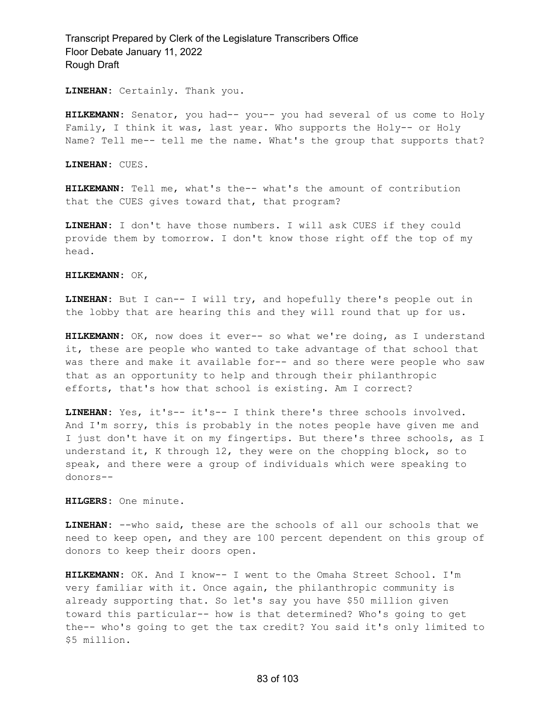**LINEHAN:** Certainly. Thank you.

**HILKEMANN:** Senator, you had-- you-- you had several of us come to Holy Family, I think it was, last year. Who supports the Holy-- or Holy Name? Tell me-- tell me the name. What's the group that supports that?

**LINEHAN:** CUES.

**HILKEMANN:** Tell me, what's the-- what's the amount of contribution that the CUES gives toward that, that program?

**LINEHAN:** I don't have those numbers. I will ask CUES if they could provide them by tomorrow. I don't know those right off the top of my head.

**HILKEMANN:** OK,

**LINEHAN:** But I can-- I will try, and hopefully there's people out in the lobby that are hearing this and they will round that up for us.

**HILKEMANN:** OK, now does it ever-- so what we're doing, as I understand it, these are people who wanted to take advantage of that school that was there and make it available for-- and so there were people who saw that as an opportunity to help and through their philanthropic efforts, that's how that school is existing. Am I correct?

**LINEHAN:** Yes, it's-- it's-- I think there's three schools involved. And I'm sorry, this is probably in the notes people have given me and I just don't have it on my fingertips. But there's three schools, as I understand it, K through 12, they were on the chopping block, so to speak, and there were a group of individuals which were speaking to donors--

**HILGERS:** One minute.

**LINEHAN:** --who said, these are the schools of all our schools that we need to keep open, and they are 100 percent dependent on this group of donors to keep their doors open.

**HILKEMANN:** OK. And I know-- I went to the Omaha Street School. I'm very familiar with it. Once again, the philanthropic community is already supporting that. So let's say you have \$50 million given toward this particular-- how is that determined? Who's going to get the-- who's going to get the tax credit? You said it's only limited to \$5 million.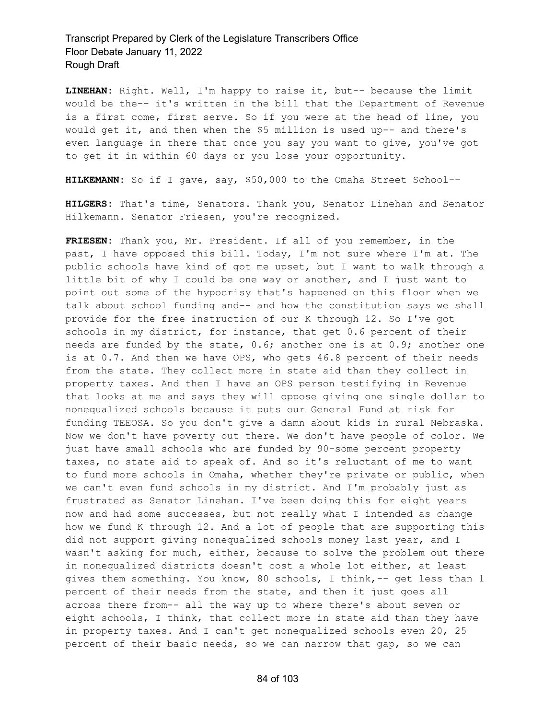**LINEHAN:** Right. Well, I'm happy to raise it, but-- because the limit would be the-- it's written in the bill that the Department of Revenue is a first come, first serve. So if you were at the head of line, you would get it, and then when the \$5 million is used up-- and there's even language in there that once you say you want to give, you've got to get it in within 60 days or you lose your opportunity.

**HILKEMANN:** So if I gave, say, \$50,000 to the Omaha Street School--

**HILGERS:** That's time, Senators. Thank you, Senator Linehan and Senator Hilkemann. Senator Friesen, you're recognized.

**FRIESEN:** Thank you, Mr. President. If all of you remember, in the past, I have opposed this bill. Today, I'm not sure where I'm at. The public schools have kind of got me upset, but I want to walk through a little bit of why I could be one way or another, and I just want to point out some of the hypocrisy that's happened on this floor when we talk about school funding and-- and how the constitution says we shall provide for the free instruction of our K through 12. So I've got schools in my district, for instance, that get 0.6 percent of their needs are funded by the state, 0.6; another one is at 0.9; another one is at 0.7. And then we have OPS, who gets 46.8 percent of their needs from the state. They collect more in state aid than they collect in property taxes. And then I have an OPS person testifying in Revenue that looks at me and says they will oppose giving one single dollar to nonequalized schools because it puts our General Fund at risk for funding TEEOSA. So you don't give a damn about kids in rural Nebraska. Now we don't have poverty out there. We don't have people of color. We just have small schools who are funded by 90-some percent property taxes, no state aid to speak of. And so it's reluctant of me to want to fund more schools in Omaha, whether they're private or public, when we can't even fund schools in my district. And I'm probably just as frustrated as Senator Linehan. I've been doing this for eight years now and had some successes, but not really what I intended as change how we fund K through 12. And a lot of people that are supporting this did not support giving nonequalized schools money last year, and I wasn't asking for much, either, because to solve the problem out there in nonequalized districts doesn't cost a whole lot either, at least gives them something. You know, 80 schools, I think,-- get less than 1 percent of their needs from the state, and then it just goes all across there from-- all the way up to where there's about seven or eight schools, I think, that collect more in state aid than they have in property taxes. And I can't get nonequalized schools even 20, 25 percent of their basic needs, so we can narrow that gap, so we can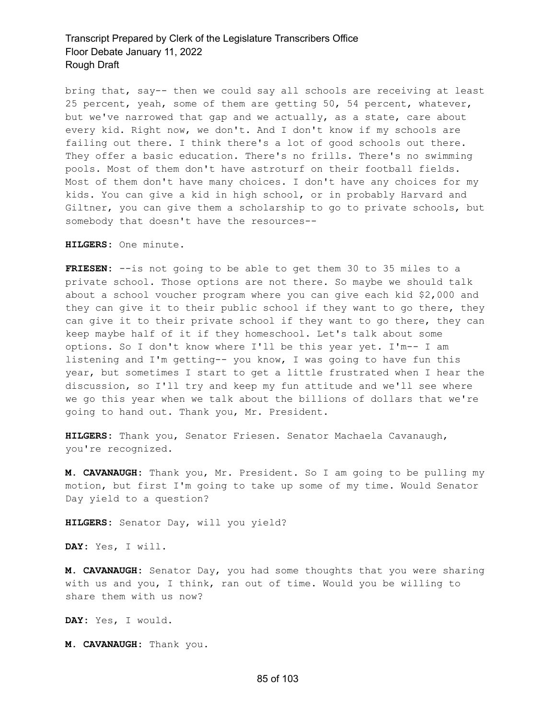bring that, say-- then we could say all schools are receiving at least 25 percent, yeah, some of them are getting 50, 54 percent, whatever, but we've narrowed that gap and we actually, as a state, care about every kid. Right now, we don't. And I don't know if my schools are failing out there. I think there's a lot of good schools out there. They offer a basic education. There's no frills. There's no swimming pools. Most of them don't have astroturf on their football fields. Most of them don't have many choices. I don't have any choices for my kids. You can give a kid in high school, or in probably Harvard and Giltner, you can give them a scholarship to go to private schools, but somebody that doesn't have the resources--

**HILGERS:** One minute.

**FRIESEN:** --is not going to be able to get them 30 to 35 miles to a private school. Those options are not there. So maybe we should talk about a school voucher program where you can give each kid \$2,000 and they can give it to their public school if they want to go there, they can give it to their private school if they want to go there, they can keep maybe half of it if they homeschool. Let's talk about some options. So I don't know where I'll be this year yet. I'm-- I am listening and I'm getting-- you know, I was going to have fun this year, but sometimes I start to get a little frustrated when I hear the discussion, so I'll try and keep my fun attitude and we'll see where we go this year when we talk about the billions of dollars that we're going to hand out. Thank you, Mr. President.

**HILGERS:** Thank you, Senator Friesen. Senator Machaela Cavanaugh, you're recognized.

**M. CAVANAUGH:** Thank you, Mr. President. So I am going to be pulling my motion, but first I'm going to take up some of my time. Would Senator Day yield to a question?

**HILGERS:** Senator Day, will you yield?

**DAY:** Yes, I will.

**M. CAVANAUGH:** Senator Day, you had some thoughts that you were sharing with us and you, I think, ran out of time. Would you be willing to share them with us now?

**DAY:** Yes, I would.

**M. CAVANAUGH:** Thank you.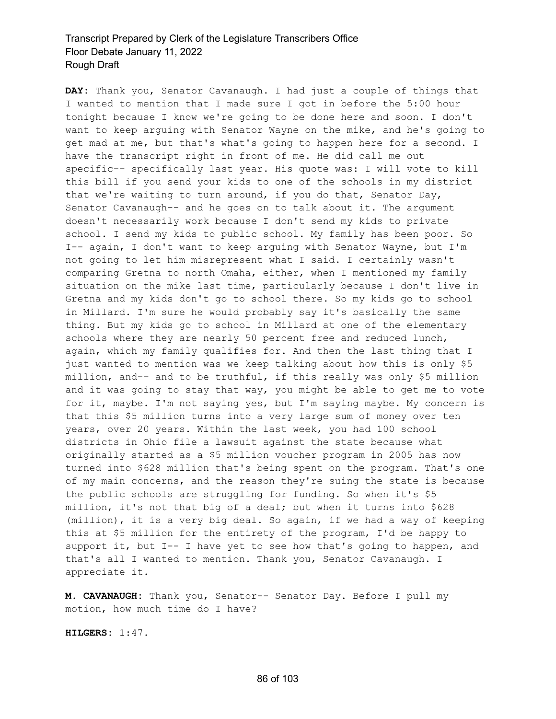**DAY:** Thank you, Senator Cavanaugh. I had just a couple of things that I wanted to mention that I made sure I got in before the 5:00 hour tonight because I know we're going to be done here and soon. I don't want to keep arguing with Senator Wayne on the mike, and he's going to get mad at me, but that's what's going to happen here for a second. I have the transcript right in front of me. He did call me out specific-- specifically last year. His quote was: I will vote to kill this bill if you send your kids to one of the schools in my district that we're waiting to turn around, if you do that, Senator Day, Senator Cavanaugh-- and he goes on to talk about it. The argument doesn't necessarily work because I don't send my kids to private school. I send my kids to public school. My family has been poor. So I-- again, I don't want to keep arguing with Senator Wayne, but I'm not going to let him misrepresent what I said. I certainly wasn't comparing Gretna to north Omaha, either, when I mentioned my family situation on the mike last time, particularly because I don't live in Gretna and my kids don't go to school there. So my kids go to school in Millard. I'm sure he would probably say it's basically the same thing. But my kids go to school in Millard at one of the elementary schools where they are nearly 50 percent free and reduced lunch, again, which my family qualifies for. And then the last thing that I just wanted to mention was we keep talking about how this is only \$5 million, and-- and to be truthful, if this really was only \$5 million and it was going to stay that way, you might be able to get me to vote for it, maybe. I'm not saying yes, but I'm saying maybe. My concern is that this \$5 million turns into a very large sum of money over ten years, over 20 years. Within the last week, you had 100 school districts in Ohio file a lawsuit against the state because what originally started as a \$5 million voucher program in 2005 has now turned into \$628 million that's being spent on the program. That's one of my main concerns, and the reason they're suing the state is because the public schools are struggling for funding. So when it's \$5 million, it's not that big of a deal; but when it turns into \$628 (million), it is a very big deal. So again, if we had a way of keeping this at \$5 million for the entirety of the program, I'd be happy to support it, but I-- I have yet to see how that's going to happen, and that's all I wanted to mention. Thank you, Senator Cavanaugh. I appreciate it.

**M. CAVANAUGH:** Thank you, Senator-- Senator Day. Before I pull my motion, how much time do I have?

**HILGERS:** 1:47.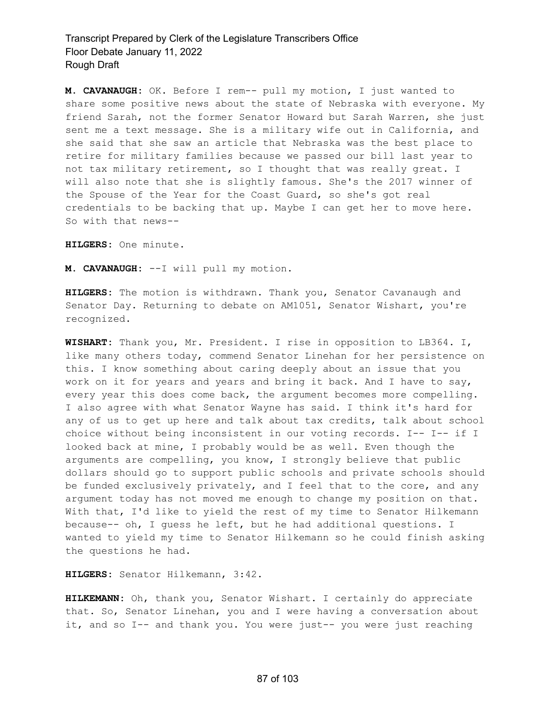**M. CAVANAUGH:** OK. Before I rem-- pull my motion, I just wanted to share some positive news about the state of Nebraska with everyone. My friend Sarah, not the former Senator Howard but Sarah Warren, she just sent me a text message. She is a military wife out in California, and she said that she saw an article that Nebraska was the best place to retire for military families because we passed our bill last year to not tax military retirement, so I thought that was really great. I will also note that she is slightly famous. She's the 2017 winner of the Spouse of the Year for the Coast Guard, so she's got real credentials to be backing that up. Maybe I can get her to move here. So with that news--

**HILGERS:** One minute.

**M. CAVANAUGH:** --I will pull my motion.

**HILGERS:** The motion is withdrawn. Thank you, Senator Cavanaugh and Senator Day. Returning to debate on AM1051, Senator Wishart, you're recognized.

**WISHART:** Thank you, Mr. President. I rise in opposition to LB364. I, like many others today, commend Senator Linehan for her persistence on this. I know something about caring deeply about an issue that you work on it for years and years and bring it back. And I have to say, every year this does come back, the argument becomes more compelling. I also agree with what Senator Wayne has said. I think it's hard for any of us to get up here and talk about tax credits, talk about school choice without being inconsistent in our voting records. I-- I-- if I looked back at mine, I probably would be as well. Even though the arguments are compelling, you know, I strongly believe that public dollars should go to support public schools and private schools should be funded exclusively privately, and I feel that to the core, and any argument today has not moved me enough to change my position on that. With that, I'd like to yield the rest of my time to Senator Hilkemann because-- oh, I guess he left, but he had additional questions. I wanted to yield my time to Senator Hilkemann so he could finish asking the questions he had.

**HILGERS:** Senator Hilkemann, 3:42.

**HILKEMANN:** Oh, thank you, Senator Wishart. I certainly do appreciate that. So, Senator Linehan, you and I were having a conversation about it, and so I-- and thank you. You were just-- you were just reaching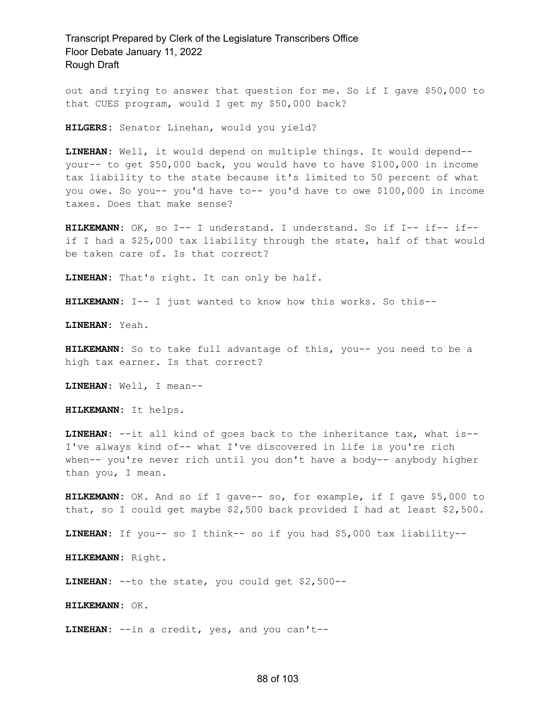out and trying to answer that question for me. So if I gave \$50,000 to that CUES program, would I get my \$50,000 back?

**HILGERS:** Senator Linehan, would you yield?

**LINEHAN:** Well, it would depend on multiple things. It would depend- your-- to get \$50,000 back, you would have to have \$100,000 in income tax liability to the state because it's limited to 50 percent of what you owe. So you-- you'd have to-- you'd have to owe \$100,000 in income taxes. Does that make sense?

**HILKEMANN:** OK, so I-- I understand. I understand. So if I-- if-- if- if I had a \$25,000 tax liability through the state, half of that would be taken care of. Is that correct?

**LINEHAN:** That's right. It can only be half.

**HILKEMANN:** I-- I just wanted to know how this works. So this--

**LINEHAN:** Yeah.

**HILKEMANN:** So to take full advantage of this, you-- you need to be a high tax earner. Is that correct?

**LINEHAN:** Well, I mean--

**HILKEMANN:** It helps.

**LINEHAN:** --it all kind of goes back to the inheritance tax, what is-- I've always kind of-- what I've discovered in life is you're rich when-- you're never rich until you don't have a body-- anybody higher than you, I mean.

**HILKEMANN:** OK. And so if I gave-- so, for example, if I gave \$5,000 to that, so I could get maybe \$2,500 back provided I had at least \$2,500.

**LINEHAN:** If you-- so I think-- so if you had \$5,000 tax liability--

**HILKEMANN:** Right.

**LINEHAN:** --to the state, you could get \$2,500--

**HILKEMANN:** OK.

**LINEHAN:** --in a credit, yes, and you can't--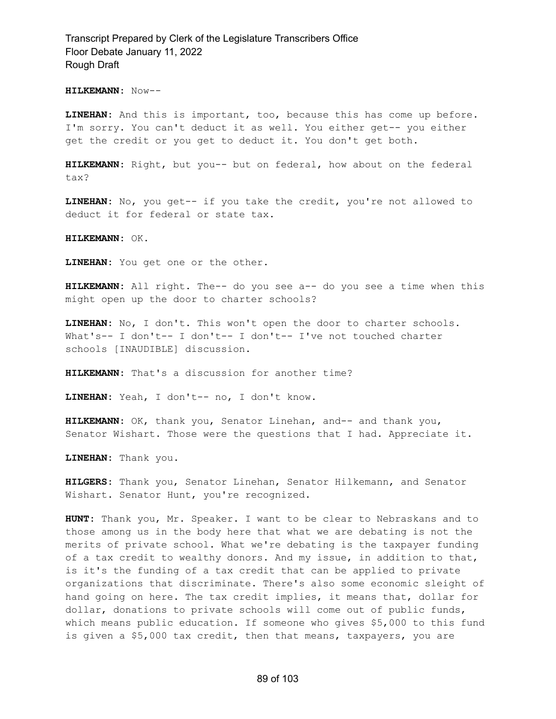#### **HILKEMANN:** Now--

**LINEHAN:** And this is important, too, because this has come up before. I'm sorry. You can't deduct it as well. You either get-- you either get the credit or you get to deduct it. You don't get both.

**HILKEMANN:** Right, but you-- but on federal, how about on the federal tax?

**LINEHAN:** No, you get-- if you take the credit, you're not allowed to deduct it for federal or state tax.

**HILKEMANN:** OK.

**LINEHAN:** You get one or the other.

**HILKEMANN:** All right. The-- do you see a-- do you see a time when this might open up the door to charter schools?

**LINEHAN:** No, I don't. This won't open the door to charter schools. What's-- I don't-- I don't-- I don't-- I've not touched charter schools [INAUDIBLE] discussion.

**HILKEMANN:** That's a discussion for another time?

**LINEHAN:** Yeah, I don't-- no, I don't know.

**HILKEMANN:** OK, thank you, Senator Linehan, and-- and thank you, Senator Wishart. Those were the questions that I had. Appreciate it.

**LINEHAN:** Thank you.

**HILGERS:** Thank you, Senator Linehan, Senator Hilkemann, and Senator Wishart. Senator Hunt, you're recognized.

**HUNT:** Thank you, Mr. Speaker. I want to be clear to Nebraskans and to those among us in the body here that what we are debating is not the merits of private school. What we're debating is the taxpayer funding of a tax credit to wealthy donors. And my issue, in addition to that, is it's the funding of a tax credit that can be applied to private organizations that discriminate. There's also some economic sleight of hand going on here. The tax credit implies, it means that, dollar for dollar, donations to private schools will come out of public funds, which means public education. If someone who gives \$5,000 to this fund is given a \$5,000 tax credit, then that means, taxpayers, you are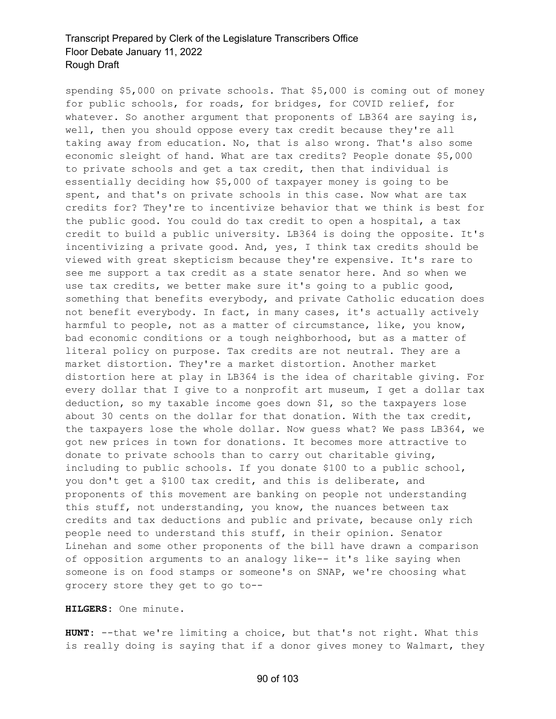spending \$5,000 on private schools. That \$5,000 is coming out of money for public schools, for roads, for bridges, for COVID relief, for whatever. So another argument that proponents of  $LB364$  are saying is, well, then you should oppose every tax credit because they're all taking away from education. No, that is also wrong. That's also some economic sleight of hand. What are tax credits? People donate \$5,000 to private schools and get a tax credit, then that individual is essentially deciding how \$5,000 of taxpayer money is going to be spent, and that's on private schools in this case. Now what are tax credits for? They're to incentivize behavior that we think is best for the public good. You could do tax credit to open a hospital, a tax credit to build a public university. LB364 is doing the opposite. It's incentivizing a private good. And, yes, I think tax credits should be viewed with great skepticism because they're expensive. It's rare to see me support a tax credit as a state senator here. And so when we use tax credits, we better make sure it's going to a public good, something that benefits everybody, and private Catholic education does not benefit everybody. In fact, in many cases, it's actually actively harmful to people, not as a matter of circumstance, like, you know, bad economic conditions or a tough neighborhood, but as a matter of literal policy on purpose. Tax credits are not neutral. They are a market distortion. They're a market distortion. Another market distortion here at play in LB364 is the idea of charitable giving. For every dollar that I give to a nonprofit art museum, I get a dollar tax deduction, so my taxable income goes down \$1, so the taxpayers lose about 30 cents on the dollar for that donation. With the tax credit, the taxpayers lose the whole dollar. Now guess what? We pass LB364, we got new prices in town for donations. It becomes more attractive to donate to private schools than to carry out charitable giving, including to public schools. If you donate \$100 to a public school, you don't get a \$100 tax credit, and this is deliberate, and proponents of this movement are banking on people not understanding this stuff, not understanding, you know, the nuances between tax credits and tax deductions and public and private, because only rich people need to understand this stuff, in their opinion. Senator Linehan and some other proponents of the bill have drawn a comparison of opposition arguments to an analogy like-- it's like saying when someone is on food stamps or someone's on SNAP, we're choosing what grocery store they get to go to--

## **HILGERS:** One minute.

**HUNT:** --that we're limiting a choice, but that's not right. What this is really doing is saying that if a donor gives money to Walmart, they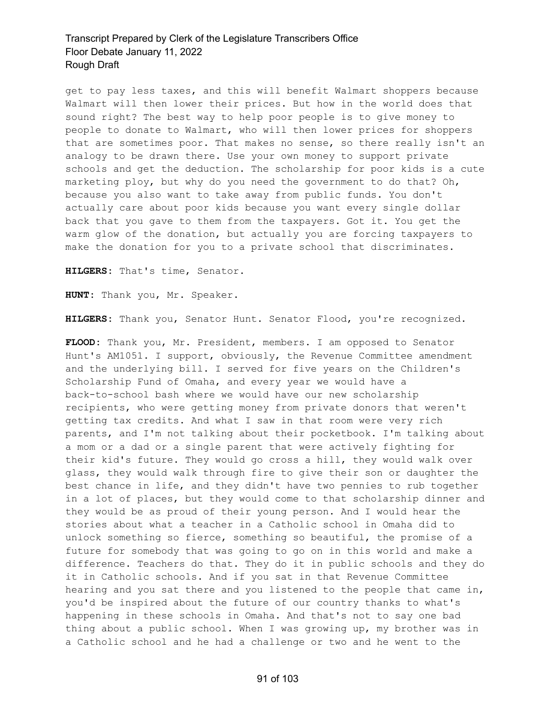get to pay less taxes, and this will benefit Walmart shoppers because Walmart will then lower their prices. But how in the world does that sound right? The best way to help poor people is to give money to people to donate to Walmart, who will then lower prices for shoppers that are sometimes poor. That makes no sense, so there really isn't an analogy to be drawn there. Use your own money to support private schools and get the deduction. The scholarship for poor kids is a cute marketing ploy, but why do you need the government to do that? Oh, because you also want to take away from public funds. You don't actually care about poor kids because you want every single dollar back that you gave to them from the taxpayers. Got it. You get the warm glow of the donation, but actually you are forcing taxpayers to make the donation for you to a private school that discriminates.

**HILGERS:** That's time, Senator.

**HUNT:** Thank you, Mr. Speaker.

**HILGERS:** Thank you, Senator Hunt. Senator Flood, you're recognized.

**FLOOD:** Thank you, Mr. President, members. I am opposed to Senator Hunt's AM1051. I support, obviously, the Revenue Committee amendment and the underlying bill. I served for five years on the Children's Scholarship Fund of Omaha, and every year we would have a back-to-school bash where we would have our new scholarship recipients, who were getting money from private donors that weren't getting tax credits. And what I saw in that room were very rich parents, and I'm not talking about their pocketbook. I'm talking about a mom or a dad or a single parent that were actively fighting for their kid's future. They would go cross a hill, they would walk over glass, they would walk through fire to give their son or daughter the best chance in life, and they didn't have two pennies to rub together in a lot of places, but they would come to that scholarship dinner and they would be as proud of their young person. And I would hear the stories about what a teacher in a Catholic school in Omaha did to unlock something so fierce, something so beautiful, the promise of a future for somebody that was going to go on in this world and make a difference. Teachers do that. They do it in public schools and they do it in Catholic schools. And if you sat in that Revenue Committee hearing and you sat there and you listened to the people that came in, you'd be inspired about the future of our country thanks to what's happening in these schools in Omaha. And that's not to say one bad thing about a public school. When I was growing up, my brother was in a Catholic school and he had a challenge or two and he went to the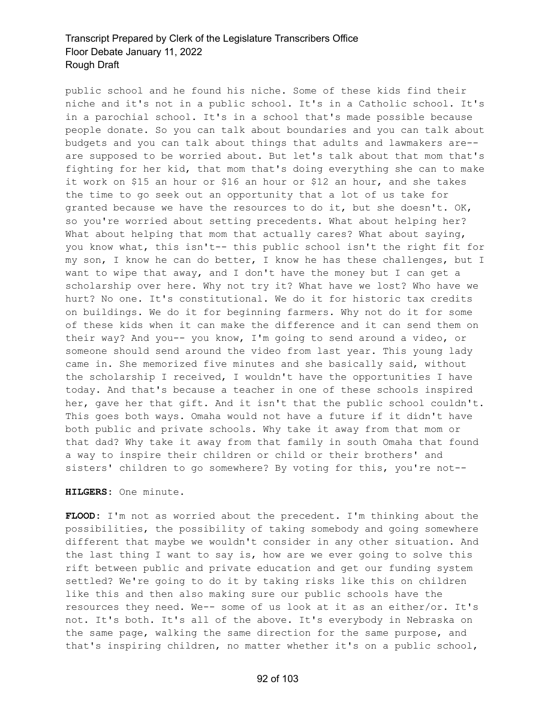public school and he found his niche. Some of these kids find their niche and it's not in a public school. It's in a Catholic school. It's in a parochial school. It's in a school that's made possible because people donate. So you can talk about boundaries and you can talk about budgets and you can talk about things that adults and lawmakers are- are supposed to be worried about. But let's talk about that mom that's fighting for her kid, that mom that's doing everything she can to make it work on \$15 an hour or \$16 an hour or \$12 an hour, and she takes the time to go seek out an opportunity that a lot of us take for granted because we have the resources to do it, but she doesn't. OK, so you're worried about setting precedents. What about helping her? What about helping that mom that actually cares? What about saying, you know what, this isn't-- this public school isn't the right fit for my son, I know he can do better, I know he has these challenges, but I want to wipe that away, and I don't have the money but I can get a scholarship over here. Why not try it? What have we lost? Who have we hurt? No one. It's constitutional. We do it for historic tax credits on buildings. We do it for beginning farmers. Why not do it for some of these kids when it can make the difference and it can send them on their way? And you-- you know, I'm going to send around a video, or someone should send around the video from last year. This young lady came in. She memorized five minutes and she basically said, without the scholarship I received, I wouldn't have the opportunities I have today. And that's because a teacher in one of these schools inspired her, gave her that gift. And it isn't that the public school couldn't. This goes both ways. Omaha would not have a future if it didn't have both public and private schools. Why take it away from that mom or that dad? Why take it away from that family in south Omaha that found a way to inspire their children or child or their brothers' and sisters' children to go somewhere? By voting for this, you're not--

### **HILGERS:** One minute.

**FLOOD:** I'm not as worried about the precedent. I'm thinking about the possibilities, the possibility of taking somebody and going somewhere different that maybe we wouldn't consider in any other situation. And the last thing I want to say is, how are we ever going to solve this rift between public and private education and get our funding system settled? We're going to do it by taking risks like this on children like this and then also making sure our public schools have the resources they need. We-- some of us look at it as an either/or. It's not. It's both. It's all of the above. It's everybody in Nebraska on the same page, walking the same direction for the same purpose, and that's inspiring children, no matter whether it's on a public school,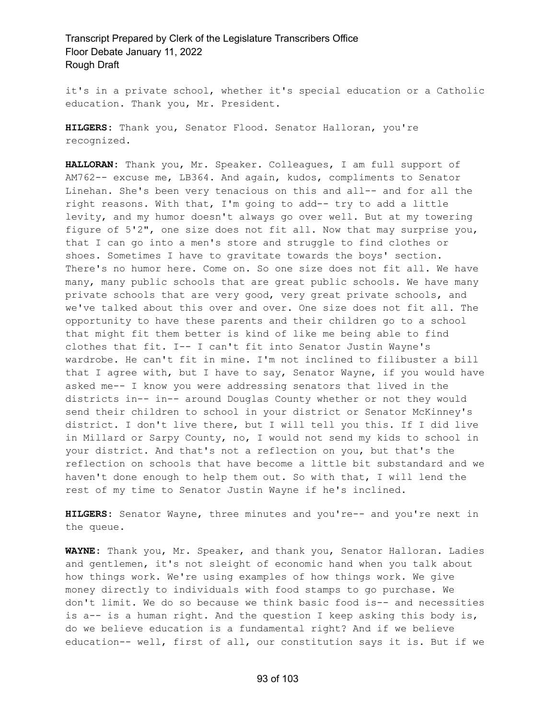it's in a private school, whether it's special education or a Catholic education. Thank you, Mr. President.

**HILGERS:** Thank you, Senator Flood. Senator Halloran, you're recognized.

**HALLORAN:** Thank you, Mr. Speaker. Colleagues, I am full support of AM762-- excuse me, LB364. And again, kudos, compliments to Senator Linehan. She's been very tenacious on this and all-- and for all the right reasons. With that, I'm going to add-- try to add a little levity, and my humor doesn't always go over well. But at my towering figure of 5'2", one size does not fit all. Now that may surprise you, that I can go into a men's store and struggle to find clothes or shoes. Sometimes I have to gravitate towards the boys' section. There's no humor here. Come on. So one size does not fit all. We have many, many public schools that are great public schools. We have many private schools that are very good, very great private schools, and we've talked about this over and over. One size does not fit all. The opportunity to have these parents and their children go to a school that might fit them better is kind of like me being able to find clothes that fit. I-- I can't fit into Senator Justin Wayne's wardrobe. He can't fit in mine. I'm not inclined to filibuster a bill that I agree with, but I have to say, Senator Wayne, if you would have asked me-- I know you were addressing senators that lived in the districts in-- in-- around Douglas County whether or not they would send their children to school in your district or Senator McKinney's district. I don't live there, but I will tell you this. If I did live in Millard or Sarpy County, no, I would not send my kids to school in your district. And that's not a reflection on you, but that's the reflection on schools that have become a little bit substandard and we haven't done enough to help them out. So with that, I will lend the rest of my time to Senator Justin Wayne if he's inclined.

**HILGERS:** Senator Wayne, three minutes and you're-- and you're next in the queue.

**WAYNE:** Thank you, Mr. Speaker, and thank you, Senator Halloran. Ladies and gentlemen, it's not sleight of economic hand when you talk about how things work. We're using examples of how things work. We give money directly to individuals with food stamps to go purchase. We don't limit. We do so because we think basic food is-- and necessities is a-- is a human right. And the question I keep asking this body is, do we believe education is a fundamental right? And if we believe education-- well, first of all, our constitution says it is. But if we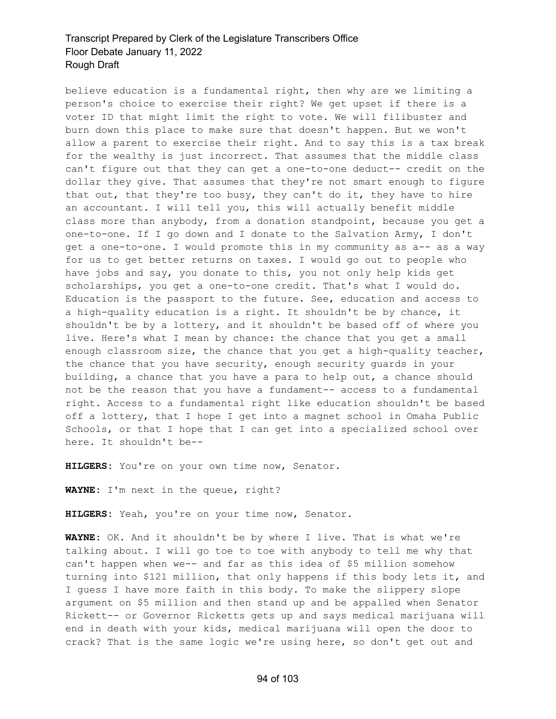believe education is a fundamental right, then why are we limiting a person's choice to exercise their right? We get upset if there is a voter ID that might limit the right to vote. We will filibuster and burn down this place to make sure that doesn't happen. But we won't allow a parent to exercise their right. And to say this is a tax break for the wealthy is just incorrect. That assumes that the middle class can't figure out that they can get a one-to-one deduct-- credit on the dollar they give. That assumes that they're not smart enough to figure that out, that they're too busy, they can't do it, they have to hire an accountant. I will tell you, this will actually benefit middle class more than anybody, from a donation standpoint, because you get a one-to-one. If I go down and I donate to the Salvation Army, I don't get a one-to-one. I would promote this in my community as a-- as a way for us to get better returns on taxes. I would go out to people who have jobs and say, you donate to this, you not only help kids get scholarships, you get a one-to-one credit. That's what I would do. Education is the passport to the future. See, education and access to a high-quality education is a right. It shouldn't be by chance, it shouldn't be by a lottery, and it shouldn't be based off of where you live. Here's what I mean by chance: the chance that you get a small enough classroom size, the chance that you get a high-quality teacher, the chance that you have security, enough security guards in your building, a chance that you have a para to help out, a chance should not be the reason that you have a fundament-- access to a fundamental right. Access to a fundamental right like education shouldn't be based off a lottery, that I hope I get into a magnet school in Omaha Public Schools, or that I hope that I can get into a specialized school over here. It shouldn't be--

**HILGERS:** You're on your own time now, Senator.

**WAYNE:** I'm next in the queue, right?

**HILGERS:** Yeah, you're on your time now, Senator.

**WAYNE:** OK. And it shouldn't be by where I live. That is what we're talking about. I will go toe to toe with anybody to tell me why that can't happen when we-- and far as this idea of \$5 million somehow turning into \$121 million, that only happens if this body lets it, and I guess I have more faith in this body. To make the slippery slope argument on \$5 million and then stand up and be appalled when Senator Rickett-- or Governor Ricketts gets up and says medical marijuana will end in death with your kids, medical marijuana will open the door to crack? That is the same logic we're using here, so don't get out and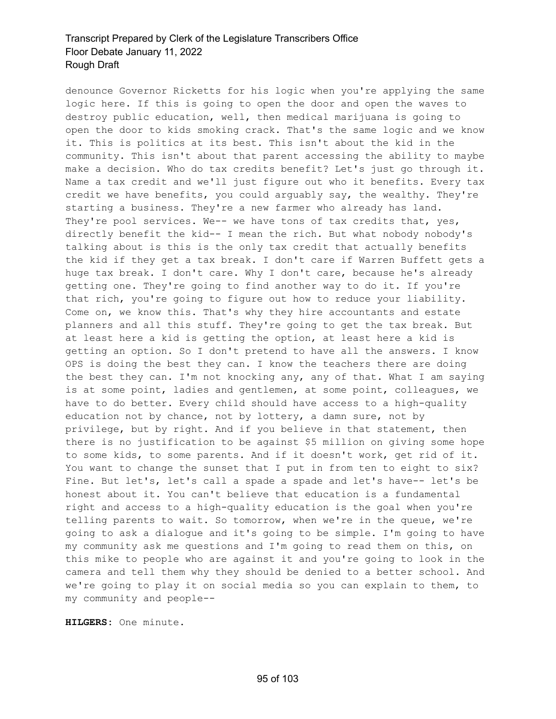denounce Governor Ricketts for his logic when you're applying the same logic here. If this is going to open the door and open the waves to destroy public education, well, then medical marijuana is going to open the door to kids smoking crack. That's the same logic and we know it. This is politics at its best. This isn't about the kid in the community. This isn't about that parent accessing the ability to maybe make a decision. Who do tax credits benefit? Let's just go through it. Name a tax credit and we'll just figure out who it benefits. Every tax credit we have benefits, you could arguably say, the wealthy. They're starting a business. They're a new farmer who already has land. They're pool services. We-- we have tons of tax credits that, yes, directly benefit the kid-- I mean the rich. But what nobody nobody's talking about is this is the only tax credit that actually benefits the kid if they get a tax break. I don't care if Warren Buffett gets a huge tax break. I don't care. Why I don't care, because he's already getting one. They're going to find another way to do it. If you're that rich, you're going to figure out how to reduce your liability. Come on, we know this. That's why they hire accountants and estate planners and all this stuff. They're going to get the tax break. But at least here a kid is getting the option, at least here a kid is getting an option. So I don't pretend to have all the answers. I know OPS is doing the best they can. I know the teachers there are doing the best they can. I'm not knocking any, any of that. What I am saying is at some point, ladies and gentlemen, at some point, colleagues, we have to do better. Every child should have access to a high-quality education not by chance, not by lottery, a damn sure, not by privilege, but by right. And if you believe in that statement, then there is no justification to be against \$5 million on giving some hope to some kids, to some parents. And if it doesn't work, get rid of it. You want to change the sunset that I put in from ten to eight to six? Fine. But let's, let's call a spade a spade and let's have-- let's be honest about it. You can't believe that education is a fundamental right and access to a high-quality education is the goal when you're telling parents to wait. So tomorrow, when we're in the queue, we're going to ask a dialogue and it's going to be simple. I'm going to have my community ask me questions and I'm going to read them on this, on this mike to people who are against it and you're going to look in the camera and tell them why they should be denied to a better school. And we're going to play it on social media so you can explain to them, to my community and people--

**HILGERS:** One minute.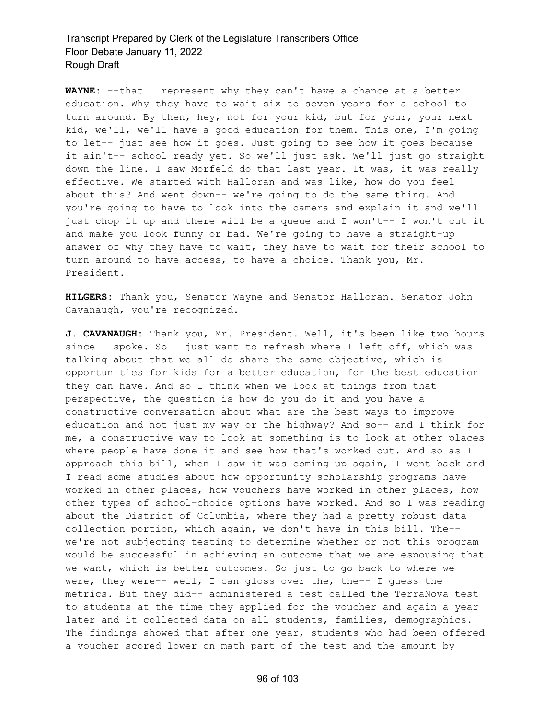**WAYNE:** --that I represent why they can't have a chance at a better education. Why they have to wait six to seven years for a school to turn around. By then, hey, not for your kid, but for your, your next kid, we'll, we'll have a good education for them. This one, I'm going to let-- just see how it goes. Just going to see how it goes because it ain't-- school ready yet. So we'll just ask. We'll just go straight down the line. I saw Morfeld do that last year. It was, it was really effective. We started with Halloran and was like, how do you feel about this? And went down-- we're going to do the same thing. And you're going to have to look into the camera and explain it and we'll just chop it up and there will be a queue and I won't-- I won't cut it and make you look funny or bad. We're going to have a straight-up answer of why they have to wait, they have to wait for their school to turn around to have access, to have a choice. Thank you, Mr. President.

**HILGERS:** Thank you, Senator Wayne and Senator Halloran. Senator John Cavanaugh, you're recognized.

**J. CAVANAUGH:** Thank you, Mr. President. Well, it's been like two hours since I spoke. So I just want to refresh where I left off, which was talking about that we all do share the same objective, which is opportunities for kids for a better education, for the best education they can have. And so I think when we look at things from that perspective, the question is how do you do it and you have a constructive conversation about what are the best ways to improve education and not just my way or the highway? And so-- and I think for me, a constructive way to look at something is to look at other places where people have done it and see how that's worked out. And so as I approach this bill, when I saw it was coming up again, I went back and I read some studies about how opportunity scholarship programs have worked in other places, how vouchers have worked in other places, how other types of school-choice options have worked. And so I was reading about the District of Columbia, where they had a pretty robust data collection portion, which again, we don't have in this bill. The- we're not subjecting testing to determine whether or not this program would be successful in achieving an outcome that we are espousing that we want, which is better outcomes. So just to go back to where we were, they were-- well, I can gloss over the, the-- I guess the metrics. But they did-- administered a test called the TerraNova test to students at the time they applied for the voucher and again a year later and it collected data on all students, families, demographics. The findings showed that after one year, students who had been offered a voucher scored lower on math part of the test and the amount by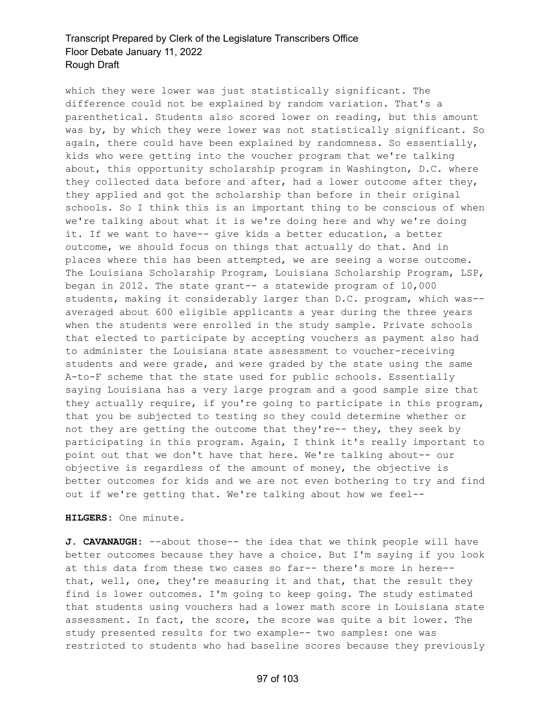which they were lower was just statistically significant. The difference could not be explained by random variation. That's a parenthetical. Students also scored lower on reading, but this amount was by, by which they were lower was not statistically significant. So again, there could have been explained by randomness. So essentially, kids who were getting into the voucher program that we're talking about, this opportunity scholarship program in Washington, D.C. where they collected data before and after, had a lower outcome after they, they applied and got the scholarship than before in their original schools. So I think this is an important thing to be conscious of when we're talking about what it is we're doing here and why we're doing it. If we want to have-- give kids a better education, a better outcome, we should focus on things that actually do that. And in places where this has been attempted, we are seeing a worse outcome. The Louisiana Scholarship Program, Louisiana Scholarship Program, LSP, began in 2012. The state grant-- a statewide program of 10,000 students, making it considerably larger than D.C. program, which was- averaged about 600 eligible applicants a year during the three years when the students were enrolled in the study sample. Private schools that elected to participate by accepting vouchers as payment also had to administer the Louisiana state assessment to voucher-receiving students and were grade, and were graded by the state using the same A-to-F scheme that the state used for public schools. Essentially saying Louisiana has a very large program and a good sample size that they actually require, if you're going to participate in this program, that you be subjected to testing so they could determine whether or not they are getting the outcome that they're-- they, they seek by participating in this program. Again, I think it's really important to point out that we don't have that here. We're talking about-- our objective is regardless of the amount of money, the objective is better outcomes for kids and we are not even bothering to try and find out if we're getting that. We're talking about how we feel--

**HILGERS:** One minute.

**J. CAVANAUGH:** --about those-- the idea that we think people will have better outcomes because they have a choice. But I'm saying if you look at this data from these two cases so far-- there's more in here- that, well, one, they're measuring it and that, that the result they find is lower outcomes. I'm going to keep going. The study estimated that students using vouchers had a lower math score in Louisiana state assessment. In fact, the score, the score was quite a bit lower. The study presented results for two example-- two samples: one was restricted to students who had baseline scores because they previously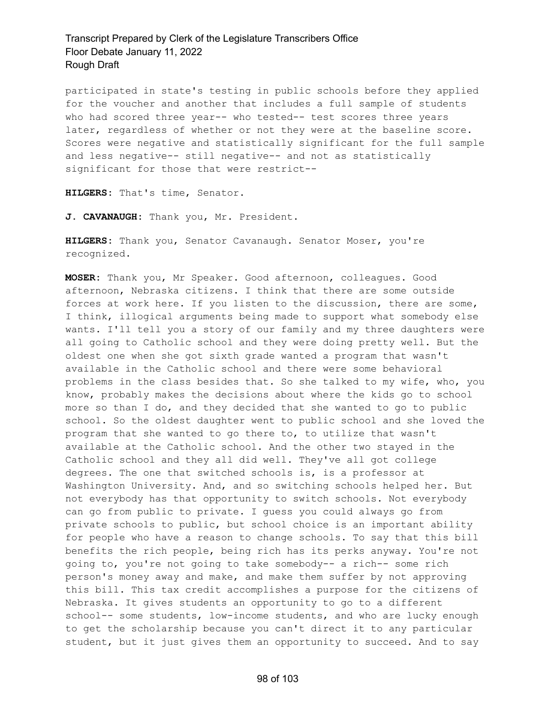participated in state's testing in public schools before they applied for the voucher and another that includes a full sample of students who had scored three year-- who tested-- test scores three years later, regardless of whether or not they were at the baseline score. Scores were negative and statistically significant for the full sample and less negative-- still negative-- and not as statistically significant for those that were restrict--

**HILGERS:** That's time, Senator.

**J. CAVANAUGH:** Thank you, Mr. President.

**HILGERS:** Thank you, Senator Cavanaugh. Senator Moser, you're recognized.

**MOSER:** Thank you, Mr Speaker. Good afternoon, colleagues. Good afternoon, Nebraska citizens. I think that there are some outside forces at work here. If you listen to the discussion, there are some, I think, illogical arguments being made to support what somebody else wants. I'll tell you a story of our family and my three daughters were all going to Catholic school and they were doing pretty well. But the oldest one when she got sixth grade wanted a program that wasn't available in the Catholic school and there were some behavioral problems in the class besides that. So she talked to my wife, who, you know, probably makes the decisions about where the kids go to school more so than I do, and they decided that she wanted to go to public school. So the oldest daughter went to public school and she loved the program that she wanted to go there to, to utilize that wasn't available at the Catholic school. And the other two stayed in the Catholic school and they all did well. They've all got college degrees. The one that switched schools is, is a professor at Washington University. And, and so switching schools helped her. But not everybody has that opportunity to switch schools. Not everybody can go from public to private. I guess you could always go from private schools to public, but school choice is an important ability for people who have a reason to change schools. To say that this bill benefits the rich people, being rich has its perks anyway. You're not going to, you're not going to take somebody-- a rich-- some rich person's money away and make, and make them suffer by not approving this bill. This tax credit accomplishes a purpose for the citizens of Nebraska. It gives students an opportunity to go to a different school-- some students, low-income students, and who are lucky enough to get the scholarship because you can't direct it to any particular student, but it just gives them an opportunity to succeed. And to say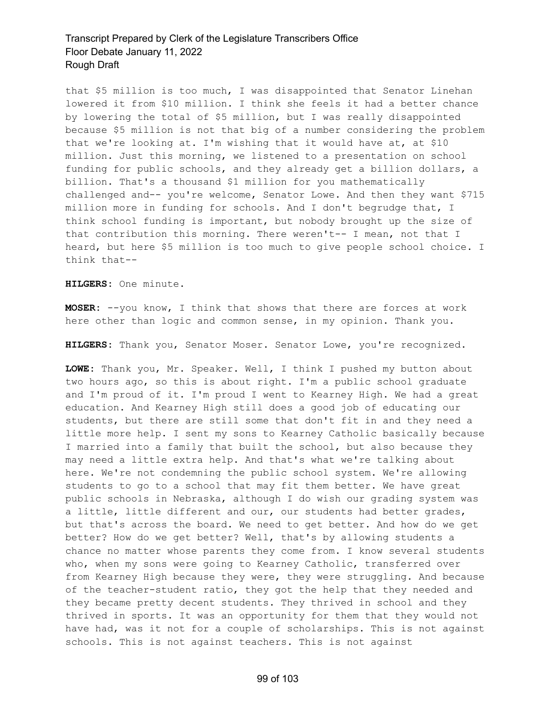that \$5 million is too much, I was disappointed that Senator Linehan lowered it from \$10 million. I think she feels it had a better chance by lowering the total of \$5 million, but I was really disappointed because \$5 million is not that big of a number considering the problem that we're looking at. I'm wishing that it would have at, at \$10 million. Just this morning, we listened to a presentation on school funding for public schools, and they already get a billion dollars, a billion. That's a thousand \$1 million for you mathematically challenged and-- you're welcome, Senator Lowe. And then they want \$715 million more in funding for schools. And I don't begrudge that, I think school funding is important, but nobody brought up the size of that contribution this morning. There weren't-- I mean, not that I heard, but here \$5 million is too much to give people school choice. I think that--

**HILGERS:** One minute.

**MOSER:** --you know, I think that shows that there are forces at work here other than logic and common sense, in my opinion. Thank you.

**HILGERS:** Thank you, Senator Moser. Senator Lowe, you're recognized.

**LOWE:** Thank you, Mr. Speaker. Well, I think I pushed my button about two hours ago, so this is about right. I'm a public school graduate and I'm proud of it. I'm proud I went to Kearney High. We had a great education. And Kearney High still does a good job of educating our students, but there are still some that don't fit in and they need a little more help. I sent my sons to Kearney Catholic basically because I married into a family that built the school, but also because they may need a little extra help. And that's what we're talking about here. We're not condemning the public school system. We're allowing students to go to a school that may fit them better. We have great public schools in Nebraska, although I do wish our grading system was a little, little different and our, our students had better grades, but that's across the board. We need to get better. And how do we get better? How do we get better? Well, that's by allowing students a chance no matter whose parents they come from. I know several students who, when my sons were going to Kearney Catholic, transferred over from Kearney High because they were, they were struggling. And because of the teacher-student ratio, they got the help that they needed and they became pretty decent students. They thrived in school and they thrived in sports. It was an opportunity for them that they would not have had, was it not for a couple of scholarships. This is not against schools. This is not against teachers. This is not against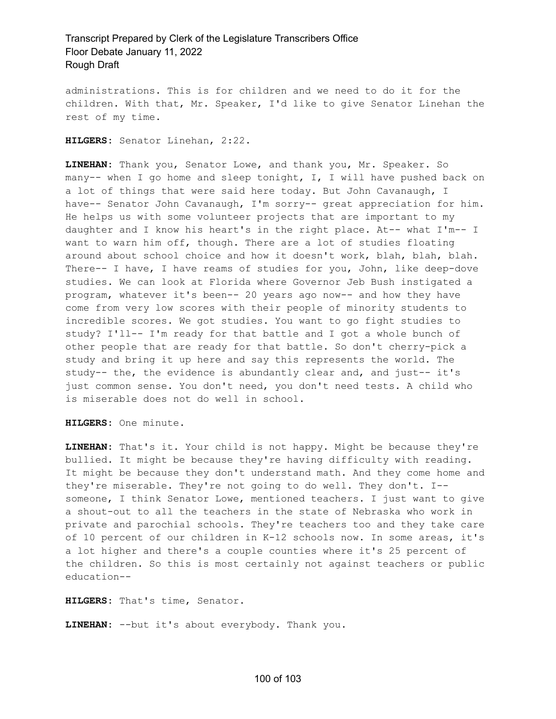administrations. This is for children and we need to do it for the children. With that, Mr. Speaker, I'd like to give Senator Linehan the rest of my time.

**HILGERS:** Senator Linehan, 2:22.

**LINEHAN:** Thank you, Senator Lowe, and thank you, Mr. Speaker. So many-- when I go home and sleep tonight, I, I will have pushed back on a lot of things that were said here today. But John Cavanaugh, I have-- Senator John Cavanaugh, I'm sorry-- great appreciation for him. He helps us with some volunteer projects that are important to my daughter and I know his heart's in the right place. At-- what I'm-- I want to warn him off, though. There are a lot of studies floating around about school choice and how it doesn't work, blah, blah, blah. There-- I have, I have reams of studies for you, John, like deep-dove studies. We can look at Florida where Governor Jeb Bush instigated a program, whatever it's been-- 20 years ago now-- and how they have come from very low scores with their people of minority students to incredible scores. We got studies. You want to go fight studies to study? I'll-- I'm ready for that battle and I got a whole bunch of other people that are ready for that battle. So don't cherry-pick a study and bring it up here and say this represents the world. The study-- the, the evidence is abundantly clear and, and just-- it's just common sense. You don't need, you don't need tests. A child who is miserable does not do well in school.

**HILGERS:** One minute.

**LINEHAN:** That's it. Your child is not happy. Might be because they're bullied. It might be because they're having difficulty with reading. It might be because they don't understand math. And they come home and they're miserable. They're not going to do well. They don't. I- someone, I think Senator Lowe, mentioned teachers. I just want to give a shout-out to all the teachers in the state of Nebraska who work in private and parochial schools. They're teachers too and they take care of 10 percent of our children in K-12 schools now. In some areas, it's a lot higher and there's a couple counties where it's 25 percent of the children. So this is most certainly not against teachers or public education--

**HILGERS:** That's time, Senator.

**LINEHAN:** --but it's about everybody. Thank you.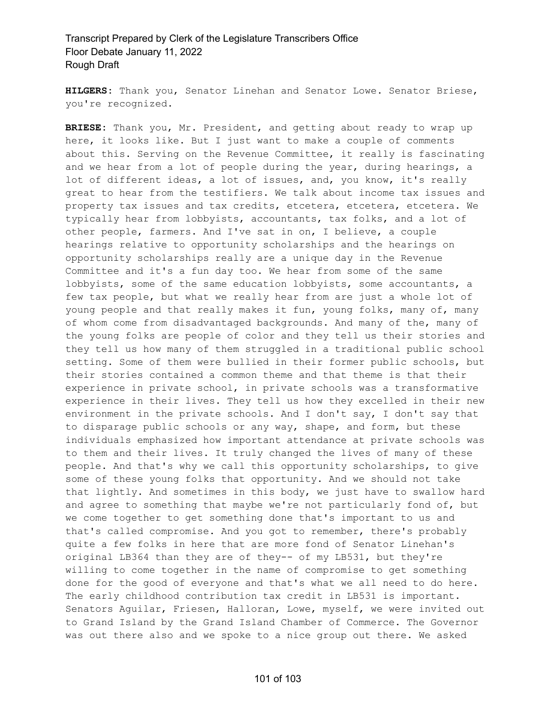**HILGERS:** Thank you, Senator Linehan and Senator Lowe. Senator Briese, you're recognized.

**BRIESE:** Thank you, Mr. President, and getting about ready to wrap up here, it looks like. But I just want to make a couple of comments about this. Serving on the Revenue Committee, it really is fascinating and we hear from a lot of people during the year, during hearings, a lot of different ideas, a lot of issues, and, you know, it's really great to hear from the testifiers. We talk about income tax issues and property tax issues and tax credits, etcetera, etcetera, etcetera. We typically hear from lobbyists, accountants, tax folks, and a lot of other people, farmers. And I've sat in on, I believe, a couple hearings relative to opportunity scholarships and the hearings on opportunity scholarships really are a unique day in the Revenue Committee and it's a fun day too. We hear from some of the same lobbyists, some of the same education lobbyists, some accountants, a few tax people, but what we really hear from are just a whole lot of young people and that really makes it fun, young folks, many of, many of whom come from disadvantaged backgrounds. And many of the, many of the young folks are people of color and they tell us their stories and they tell us how many of them struggled in a traditional public school setting. Some of them were bullied in their former public schools, but their stories contained a common theme and that theme is that their experience in private school, in private schools was a transformative experience in their lives. They tell us how they excelled in their new environment in the private schools. And I don't say, I don't say that to disparage public schools or any way, shape, and form, but these individuals emphasized how important attendance at private schools was to them and their lives. It truly changed the lives of many of these people. And that's why we call this opportunity scholarships, to give some of these young folks that opportunity. And we should not take that lightly. And sometimes in this body, we just have to swallow hard and agree to something that maybe we're not particularly fond of, but we come together to get something done that's important to us and that's called compromise. And you got to remember, there's probably quite a few folks in here that are more fond of Senator Linehan's original LB364 than they are of they-- of my LB531, but they're willing to come together in the name of compromise to get something done for the good of everyone and that's what we all need to do here. The early childhood contribution tax credit in LB531 is important. Senators Aguilar, Friesen, Halloran, Lowe, myself, we were invited out to Grand Island by the Grand Island Chamber of Commerce. The Governor was out there also and we spoke to a nice group out there. We asked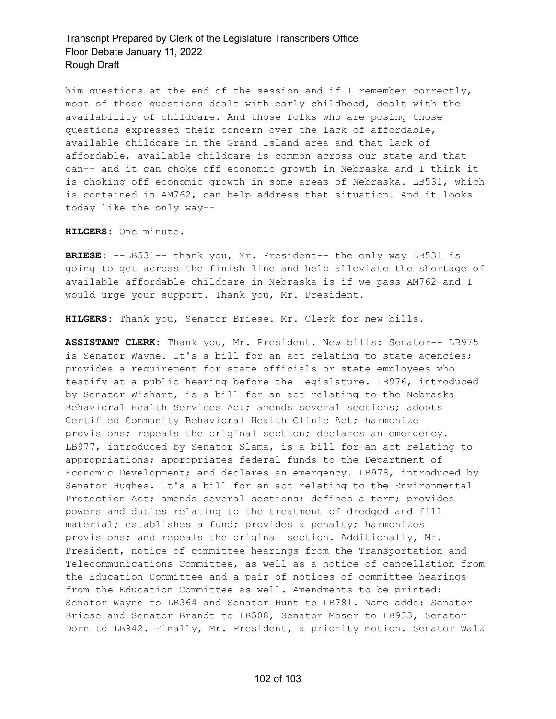him questions at the end of the session and if I remember correctly, most of those questions dealt with early childhood, dealt with the availability of childcare. And those folks who are posing those questions expressed their concern over the lack of affordable, available childcare in the Grand Island area and that lack of affordable, available childcare is common across our state and that can-- and it can choke off economic growth in Nebraska and I think it is choking off economic growth in some areas of Nebraska. LB531, which is contained in AM762, can help address that situation. And it looks today like the only way--

**HILGERS:** One minute.

**BRIESE:** --LB531-- thank you, Mr. President-- the only way LB531 is going to get across the finish line and help alleviate the shortage of available affordable childcare in Nebraska is if we pass AM762 and I would urge your support. Thank you, Mr. President.

**HILGERS:** Thank you, Senator Briese. Mr. Clerk for new bills.

**ASSISTANT CLERK:** Thank you, Mr. President. New bills: Senator-- LB975 is Senator Wayne. It's a bill for an act relating to state agencies; provides a requirement for state officials or state employees who testify at a public hearing before the Legislature. LB976, introduced by Senator Wishart, is a bill for an act relating to the Nebraska Behavioral Health Services Act; amends several sections; adopts Certified Community Behavioral Health Clinic Act; harmonize provisions; repeals the original section; declares an emergency. LB977, introduced by Senator Slama, is a bill for an act relating to appropriations; appropriates federal funds to the Department of Economic Development; and declares an emergency. LB978, introduced by Senator Hughes. It's a bill for an act relating to the Environmental Protection Act; amends several sections; defines a term; provides powers and duties relating to the treatment of dredged and fill material; establishes a fund; provides a penalty; harmonizes provisions; and repeals the original section. Additionally, Mr. President, notice of committee hearings from the Transportation and Telecommunications Committee, as well as a notice of cancellation from the Education Committee and a pair of notices of committee hearings from the Education Committee as well. Amendments to be printed: Senator Wayne to LB364 and Senator Hunt to LB781. Name adds: Senator Briese and Senator Brandt to LB508, Senator Moser to LB933, Senator Dorn to LB942. Finally, Mr. President, a priority motion. Senator Walz